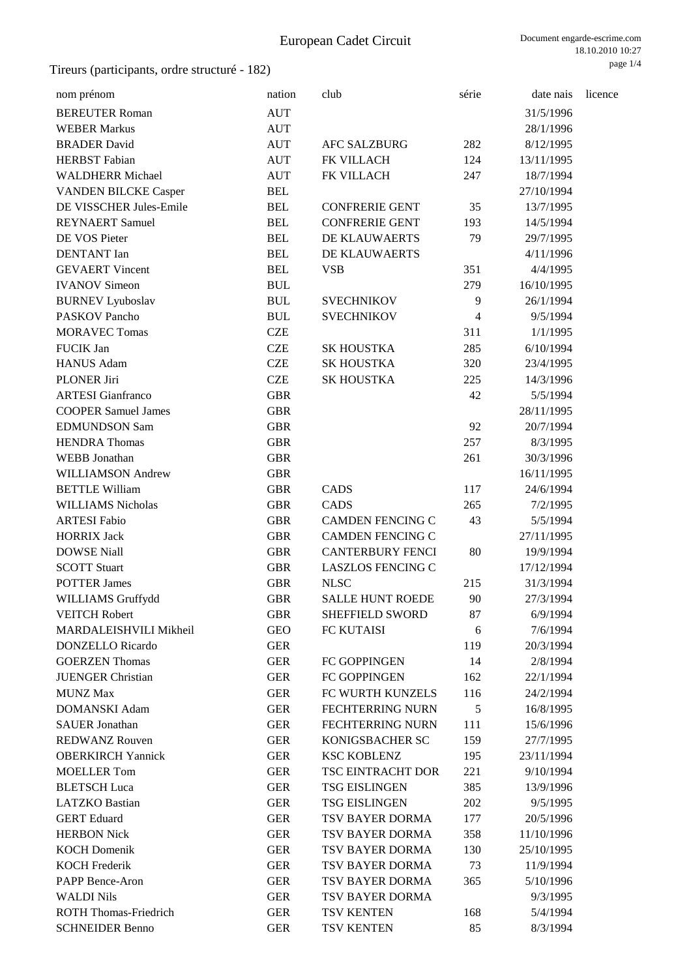| nom prénom                   | nation     | club                     | série          | date nais  | licence |
|------------------------------|------------|--------------------------|----------------|------------|---------|
|                              |            |                          |                |            |         |
| <b>BEREUTER Roman</b>        | <b>AUT</b> |                          |                | 31/5/1996  |         |
| <b>WEBER Markus</b>          | <b>AUT</b> |                          |                | 28/1/1996  |         |
| <b>BRADER David</b>          | <b>AUT</b> | <b>AFC SALZBURG</b>      | 282            | 8/12/1995  |         |
| <b>HERBST</b> Fabian         | <b>AUT</b> | FK VILLACH               | 124            | 13/11/1995 |         |
| <b>WALDHERR Michael</b>      | <b>AUT</b> | FK VILLACH               | 247            | 18/7/1994  |         |
| <b>VANDEN BILCKE Casper</b>  | <b>BEL</b> |                          |                | 27/10/1994 |         |
| DE VISSCHER Jules-Emile      | <b>BEL</b> | <b>CONFRERIE GENT</b>    | 35             | 13/7/1995  |         |
| <b>REYNAERT Samuel</b>       | <b>BEL</b> | <b>CONFRERIE GENT</b>    | 193            | 14/5/1994  |         |
| DE VOS Pieter                | <b>BEL</b> | DE KLAUWAERTS            | 79             | 29/7/1995  |         |
| <b>DENTANT</b> Ian           | <b>BEL</b> | DE KLAUWAERTS            |                | 4/11/1996  |         |
| <b>GEVAERT</b> Vincent       | <b>BEL</b> | <b>VSB</b>               | 351            | 4/4/1995   |         |
| <b>IVANOV</b> Simeon         | <b>BUL</b> |                          | 279            | 16/10/1995 |         |
| <b>BURNEV</b> Lyuboslav      | <b>BUL</b> | <b>SVECHNIKOV</b>        | 9              | 26/1/1994  |         |
| <b>PASKOV Pancho</b>         | <b>BUL</b> | <b>SVECHNIKOV</b>        | $\overline{4}$ | 9/5/1994   |         |
| <b>MORAVEC Tomas</b>         | <b>CZE</b> |                          | 311            | 1/1/1995   |         |
| <b>FUCIK Jan</b>             | <b>CZE</b> | <b>SK HOUSTKA</b>        | 285            | 6/10/1994  |         |
| <b>HANUS Adam</b>            | <b>CZE</b> | <b>SK HOUSTKA</b>        | 320            | 23/4/1995  |         |
| <b>PLONER Jiri</b>           | <b>CZE</b> | <b>SK HOUSTKA</b>        | 225            | 14/3/1996  |         |
| <b>ARTESI</b> Gianfranco     | <b>GBR</b> |                          | 42             | 5/5/1994   |         |
| <b>COOPER Samuel James</b>   | <b>GBR</b> |                          |                | 28/11/1995 |         |
| <b>EDMUNDSON Sam</b>         | <b>GBR</b> |                          | 92             | 20/7/1994  |         |
| <b>HENDRA</b> Thomas         | <b>GBR</b> |                          | 257            | 8/3/1995   |         |
| <b>WEBB</b> Jonathan         | <b>GBR</b> |                          | 261            | 30/3/1996  |         |
| <b>WILLIAMSON Andrew</b>     | <b>GBR</b> |                          |                | 16/11/1995 |         |
| <b>BETTLE William</b>        | <b>GBR</b> | CADS                     | 117            | 24/6/1994  |         |
| <b>WILLIAMS Nicholas</b>     | <b>GBR</b> | <b>CADS</b>              | 265            | 7/2/1995   |         |
| <b>ARTESI Fabio</b>          | <b>GBR</b> | <b>CAMDEN FENCING C</b>  | 43             | 5/5/1994   |         |
| <b>HORRIX Jack</b>           | <b>GBR</b> | <b>CAMDEN FENCING C</b>  |                | 27/11/1995 |         |
| <b>DOWSE Niall</b>           | <b>GBR</b> | <b>CANTERBURY FENCI</b>  | $80\,$         | 19/9/1994  |         |
| <b>SCOTT Stuart</b>          | <b>GBR</b> | <b>LASZLOS FENCING C</b> |                | 17/12/1994 |         |
| <b>POTTER James</b>          | <b>GBR</b> | <b>NLSC</b>              | 215            | 31/3/1994  |         |
| WILLIAMS Gruffydd            | <b>GBR</b> | <b>SALLE HUNT ROEDE</b>  | 90             | 27/3/1994  |         |
| <b>VEITCH Robert</b>         | <b>GBR</b> | SHEFFIELD SWORD          | 87             | 6/9/1994   |         |
| MARDALEISHVILI Mikheil       | <b>GEO</b> | FC KUTAISI               | 6              | 7/6/1994   |         |
| <b>DONZELLO</b> Ricardo      | <b>GER</b> |                          | 119            | 20/3/1994  |         |
| <b>GOERZEN Thomas</b>        | <b>GER</b> | FC GOPPINGEN             | 14             | 2/8/1994   |         |
| <b>JUENGER Christian</b>     | <b>GER</b> | FC GOPPINGEN             | 162            | 22/1/1994  |         |
| <b>MUNZ Max</b>              | <b>GER</b> | FC WURTH KUNZELS         | 116            | 24/2/1994  |         |
| <b>DOMANSKI</b> Adam         | <b>GER</b> | <b>FECHTERRING NURN</b>  | 5              | 16/8/1995  |         |
| <b>SAUER Jonathan</b>        | <b>GER</b> | <b>FECHTERRING NURN</b>  | 111            | 15/6/1996  |         |
| <b>REDWANZ Rouven</b>        | <b>GER</b> | KONIGSBACHER SC          | 159            | 27/7/1995  |         |
| <b>OBERKIRCH Yannick</b>     | <b>GER</b> | <b>KSC KOBLENZ</b>       | 195            | 23/11/1994 |         |
| <b>MOELLER Tom</b>           | <b>GER</b> | TSC EINTRACHT DOR        | 221            | 9/10/1994  |         |
| <b>BLETSCH</b> Luca          | <b>GER</b> | <b>TSG EISLINGEN</b>     | 385            | 13/9/1996  |         |
| <b>LATZKO</b> Bastian        | <b>GER</b> | <b>TSG EISLINGEN</b>     | 202            | 9/5/1995   |         |
| <b>GERT</b> Eduard           | <b>GER</b> | TSV BAYER DORMA          | 177            | 20/5/1996  |         |
| <b>HERBON Nick</b>           | <b>GER</b> | TSV BAYER DORMA          | 358            | 11/10/1996 |         |
| <b>KOCH Domenik</b>          | <b>GER</b> | TSV BAYER DORMA          | 130            | 25/10/1995 |         |
| <b>KOCH Frederik</b>         | <b>GER</b> | TSV BAYER DORMA          | 73             | 11/9/1994  |         |
| PAPP Bence-Aron              | <b>GER</b> | TSV BAYER DORMA          | 365            | 5/10/1996  |         |
| <b>WALDI Nils</b>            | <b>GER</b> | TSV BAYER DORMA          |                | 9/3/1995   |         |
| <b>ROTH Thomas-Friedrich</b> | <b>GER</b> | TSV KENTEN               | 168            | 5/4/1994   |         |
| <b>SCHNEIDER Benno</b>       | <b>GER</b> | TSV KENTEN               | 85             | 8/3/1994   |         |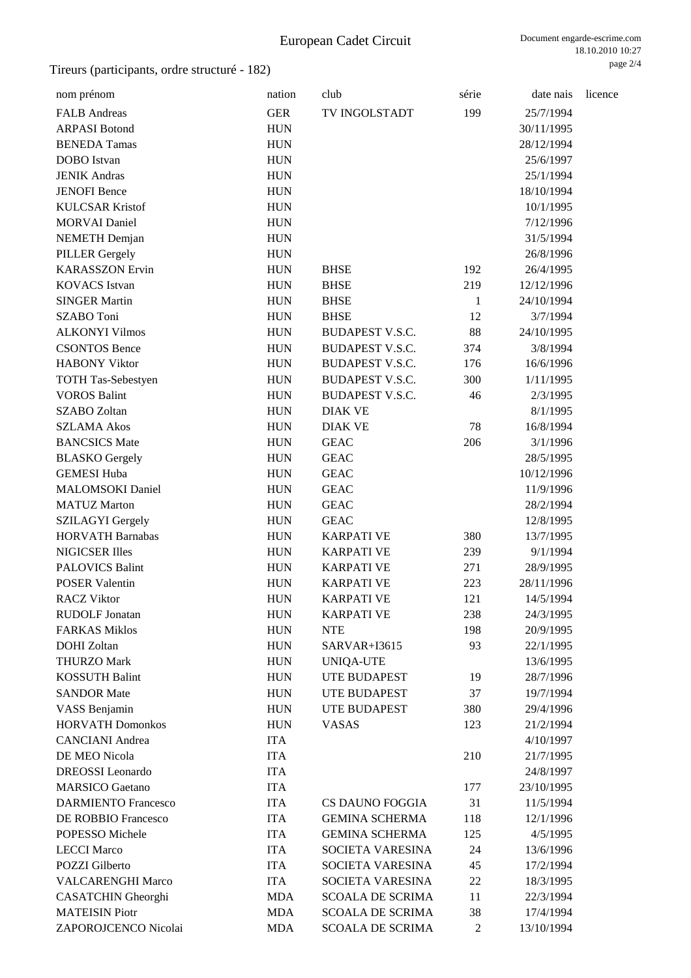| nom prénom                 | nation     | club                                     | série          | date nais              | licence |
|----------------------------|------------|------------------------------------------|----------------|------------------------|---------|
| <b>FALB</b> Andreas        | <b>GER</b> | TV INGOLSTADT                            | 199            | 25/7/1994              |         |
| <b>ARPASI Botond</b>       | <b>HUN</b> |                                          |                | 30/11/1995             |         |
| <b>BENEDA Tamas</b>        | <b>HUN</b> |                                          |                | 28/12/1994             |         |
| <b>DOBO</b> Istvan         | <b>HUN</b> |                                          |                | 25/6/1997              |         |
| <b>JENIK Andras</b>        | <b>HUN</b> |                                          |                | 25/1/1994              |         |
| <b>JENOFI</b> Bence        | <b>HUN</b> |                                          |                | 18/10/1994             |         |
| <b>KULCSAR Kristof</b>     | <b>HUN</b> |                                          |                | 10/1/1995              |         |
| <b>MORVAI</b> Daniel       | <b>HUN</b> |                                          |                | 7/12/1996              |         |
| <b>NEMETH</b> Demjan       | <b>HUN</b> |                                          |                | 31/5/1994              |         |
| <b>PILLER Gergely</b>      | <b>HUN</b> |                                          |                | 26/8/1996              |         |
| <b>KARASSZON Ervin</b>     | <b>HUN</b> | <b>BHSE</b>                              | 192            | 26/4/1995              |         |
| <b>KOVACS</b> Istvan       | <b>HUN</b> | <b>BHSE</b>                              | 219            | 12/12/1996             |         |
| <b>SINGER Martin</b>       | <b>HUN</b> | <b>BHSE</b>                              | $\mathbf{1}$   | 24/10/1994             |         |
| SZABO Toni                 | <b>HUN</b> | <b>BHSE</b>                              | 12             | 3/7/1994               |         |
| <b>ALKONYI Vilmos</b>      | <b>HUN</b> | <b>BUDAPEST V.S.C.</b>                   | 88             | 24/10/1995             |         |
| <b>CSONTOS Bence</b>       | <b>HUN</b> | <b>BUDAPEST V.S.C.</b>                   | 374            | 3/8/1994               |         |
| <b>HABONY Viktor</b>       | <b>HUN</b> | <b>BUDAPEST V.S.C.</b>                   | 176            | 16/6/1996              |         |
| <b>TOTH Tas-Sebestyen</b>  | <b>HUN</b> | <b>BUDAPEST V.S.C.</b>                   | 300            | 1/11/1995              |         |
| <b>VOROS Balint</b>        | <b>HUN</b> | <b>BUDAPEST V.S.C.</b>                   | 46             | 2/3/1995               |         |
| <b>SZABO Zoltan</b>        | <b>HUN</b> | <b>DIAK VE</b>                           |                | 8/1/1995               |         |
| <b>SZLAMA Akos</b>         | <b>HUN</b> | <b>DIAK VE</b>                           | 78             | 16/8/1994              |         |
| <b>BANCSICS Mate</b>       | <b>HUN</b> | <b>GEAC</b>                              | 206            | 3/1/1996               |         |
| <b>BLASKO</b> Gergely      | <b>HUN</b> | <b>GEAC</b>                              |                | 28/5/1995              |         |
| <b>GEMESI Huba</b>         | <b>HUN</b> | <b>GEAC</b>                              |                | 10/12/1996             |         |
| <b>MALOMSOKI</b> Daniel    | <b>HUN</b> | <b>GEAC</b>                              |                | 11/9/1996              |         |
| <b>MATUZ Marton</b>        | <b>HUN</b> | <b>GEAC</b>                              |                | 28/2/1994              |         |
| <b>SZILAGYI Gergely</b>    | <b>HUN</b> | <b>GEAC</b>                              |                | 12/8/1995              |         |
| <b>HORVATH Barnabas</b>    | <b>HUN</b> | <b>KARPATI VE</b>                        | 380            | 13/7/1995              |         |
| <b>NIGICSER Illes</b>      | <b>HUN</b> | <b>KARPATI VE</b>                        | 239            | 9/1/1994               |         |
| <b>PALOVICS Balint</b>     | <b>HUN</b> | <b>KARPATI VE</b>                        | 271            | 28/9/1995              |         |
| <b>POSER Valentin</b>      | <b>HUN</b> | <b>KARPATI VE</b>                        | 223            | 28/11/1996             |         |
| <b>RACZ Viktor</b>         | <b>HUN</b> | <b>KARPATI VE</b>                        | 121            | 14/5/1994              |         |
| <b>RUDOLF Jonatan</b>      | <b>HUN</b> | <b>KARPATI VE</b>                        | 238            | 24/3/1995              |         |
| <b>FARKAS Miklos</b>       | <b>HUN</b> | <b>NTE</b>                               | 198            | 20/9/1995              |         |
| <b>DOHI</b> Zoltan         | <b>HUN</b> | SARVAR+I3615                             | 93             | 22/1/1995              |         |
| <b>THURZO Mark</b>         | <b>HUN</b> | <b>UNIQA-UTE</b>                         |                | 13/6/1995              |         |
| <b>KOSSUTH Balint</b>      | <b>HUN</b> | UTE BUDAPEST                             | 19             | 28/7/1996              |         |
| <b>SANDOR Mate</b>         | <b>HUN</b> | <b>UTE BUDAPEST</b>                      | 37             | 19/7/1994              |         |
| VASS Benjamin              | <b>HUN</b> | UTE BUDAPEST                             | 380            | 29/4/1996              |         |
| <b>HORVATH Domonkos</b>    | <b>HUN</b> | <b>VASAS</b>                             | 123            | 21/2/1994              |         |
| <b>CANCIANI</b> Andrea     | <b>ITA</b> |                                          |                | 4/10/1997              |         |
| DE MEO Nicola              | <b>ITA</b> |                                          | 210            |                        |         |
| <b>DREOSSI</b> Leonardo    | <b>ITA</b> |                                          |                | 21/7/1995<br>24/8/1997 |         |
| <b>MARSICO</b> Gaetano     | <b>ITA</b> |                                          | 177            | 23/10/1995             |         |
| <b>DARMIENTO Francesco</b> | <b>ITA</b> |                                          | 31             |                        |         |
| DE ROBBIO Francesco        | <b>ITA</b> | CS DAUNO FOGGIA<br><b>GEMINA SCHERMA</b> |                | 11/5/1994              |         |
|                            |            |                                          | 118            | 12/1/1996              |         |
| POPESSO Michele            | <b>ITA</b> | <b>GEMINA SCHERMA</b>                    | 125            | 4/5/1995               |         |
| <b>LECCI Marco</b>         | <b>ITA</b> | SOCIETA VARESINA                         | 24             | 13/6/1996              |         |
| POZZI Gilberto             | <b>ITA</b> | SOCIETA VARESINA                         | 45             | 17/2/1994              |         |
| <b>VALCARENGHI Marco</b>   | <b>ITA</b> | SOCIETA VARESINA                         | 22             | 18/3/1995              |         |
| <b>CASATCHIN</b> Gheorghi  | <b>MDA</b> | <b>SCOALA DE SCRIMA</b>                  | 11             | 22/3/1994              |         |
| <b>MATEISIN Piotr</b>      | <b>MDA</b> | <b>SCOALA DE SCRIMA</b>                  | 38             | 17/4/1994              |         |
| ZAPOROJCENCO Nicolai       | <b>MDA</b> | <b>SCOALA DE SCRIMA</b>                  | $\overline{2}$ | 13/10/1994             |         |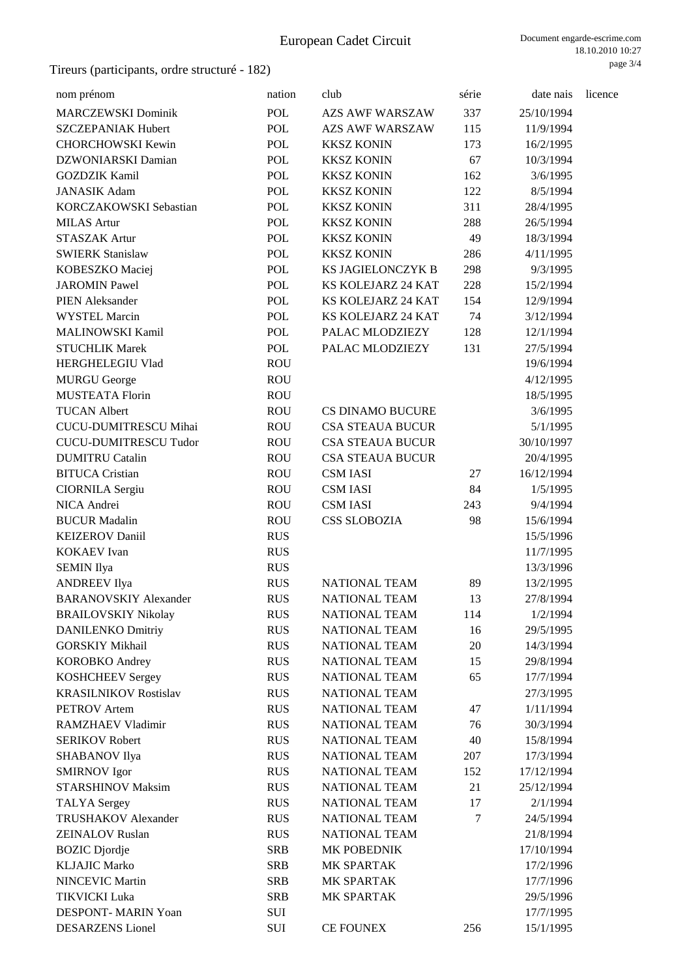| nom prénom                               | nation     | club                    | série | date nais  | licence |
|------------------------------------------|------------|-------------------------|-------|------------|---------|
| <b>MARCZEWSKI Dominik</b>                | POL        | <b>AZS AWF WARSZAW</b>  | 337   | 25/10/1994 |         |
| SZCZEPANIAK Hubert                       | <b>POL</b> | <b>AZS AWF WARSZAW</b>  | 115   | 11/9/1994  |         |
| <b>CHORCHOWSKI Kewin</b>                 | <b>POL</b> | <b>KKSZ KONIN</b>       | 173   | 16/2/1995  |         |
| DZWONIARSKI Damian                       | POL        | <b>KKSZ KONIN</b>       | 67    | 10/3/1994  |         |
| <b>GOZDZIK Kamil</b>                     | <b>POL</b> | <b>KKSZ KONIN</b>       | 162   | 3/6/1995   |         |
| <b>JANASIK Adam</b>                      | <b>POL</b> | <b>KKSZ KONIN</b>       | 122   | 8/5/1994   |         |
| KORCZAKOWSKI Sebastian                   | <b>POL</b> | <b>KKSZ KONIN</b>       | 311   | 28/4/1995  |         |
| <b>MILAS</b> Artur                       | POL        | <b>KKSZ KONIN</b>       | 288   | 26/5/1994  |         |
| <b>STASZAK Artur</b>                     | POL        | <b>KKSZ KONIN</b>       | 49    | 18/3/1994  |         |
| <b>SWIERK Stanislaw</b>                  | <b>POL</b> | <b>KKSZ KONIN</b>       | 286   | 4/11/1995  |         |
| KOBESZKO Maciej                          | <b>POL</b> | KS JAGIELONCZYK B       | 298   | 9/3/1995   |         |
| <b>JAROMIN Pawel</b>                     | <b>POL</b> | KS KOLEJARZ 24 KAT      | 228   | 15/2/1994  |         |
| <b>PIEN Aleksander</b>                   | <b>POL</b> | KS KOLEJARZ 24 KAT      | 154   | 12/9/1994  |         |
| <b>WYSTEL Marcin</b>                     | <b>POL</b> | KS KOLEJARZ 24 KAT      | 74    | 3/12/1994  |         |
| <b>MALINOWSKI Kamil</b>                  | <b>POL</b> | PALAC MLODZIEZY         | 128   | 12/1/1994  |         |
| <b>STUCHLIK Marek</b>                    | <b>POL</b> | PALAC MLODZIEZY         | 131   | 27/5/1994  |         |
| HERGHELEGIU Vlad                         | <b>ROU</b> |                         |       | 19/6/1994  |         |
| <b>MURGU George</b>                      | <b>ROU</b> |                         |       | 4/12/1995  |         |
| <b>MUSTEATA Florin</b>                   | <b>ROU</b> |                         |       | 18/5/1995  |         |
| <b>TUCAN Albert</b>                      | <b>ROU</b> | <b>CS DINAMO BUCURE</b> |       | 3/6/1995   |         |
| CUCU-DUMITRESCU Mihai                    | <b>ROU</b> | <b>CSA STEAUA BUCUR</b> |       | 5/1/1995   |         |
| <b>CUCU-DUMITRESCU Tudor</b>             | <b>ROU</b> | <b>CSA STEAUA BUCUR</b> |       | 30/10/1997 |         |
| <b>DUMITRU Catalin</b>                   | <b>ROU</b> | <b>CSA STEAUA BUCUR</b> |       | 20/4/1995  |         |
| <b>BITUCA Cristian</b>                   | <b>ROU</b> | <b>CSM IASI</b>         | 27    | 16/12/1994 |         |
| CIORNILA Sergiu                          | <b>ROU</b> | <b>CSM IASI</b>         | 84    | 1/5/1995   |         |
| NICA Andrei                              | <b>ROU</b> | <b>CSM IASI</b>         | 243   | 9/4/1994   |         |
| <b>BUCUR Madalin</b>                     | <b>ROU</b> | <b>CSS SLOBOZIA</b>     | 98    | 15/6/1994  |         |
| <b>KEIZEROV Daniil</b>                   | <b>RUS</b> |                         |       | 15/5/1996  |         |
| <b>KOKAEV</b> Ivan                       | <b>RUS</b> |                         |       | 11/7/1995  |         |
|                                          | <b>RUS</b> |                         |       | 13/3/1996  |         |
| <b>SEMIN</b> Ilya<br><b>ANDREEV</b> Ilya | <b>RUS</b> | <b>NATIONAL TEAM</b>    | 89    | 13/2/1995  |         |
| <b>BARANOVSKIY Alexander</b>             | <b>RUS</b> | <b>NATIONAL TEAM</b>    | 13    | 27/8/1994  |         |
|                                          | <b>RUS</b> | <b>NATIONAL TEAM</b>    | 114   | 1/2/1994   |         |
| <b>BRAILOVSKIY Nikolay</b>               |            | <b>NATIONAL TEAM</b>    |       |            |         |
| <b>DANILENKO Dmitriy</b>                 | <b>RUS</b> | <b>NATIONAL TEAM</b>    | 16    | 29/5/1995  |         |
| <b>GORSKIY Mikhail</b>                   | <b>RUS</b> |                         | 20    | 14/3/1994  |         |
| <b>KOROBKO</b> Andrey                    | <b>RUS</b> | NATIONAL TEAM           | 15    | 29/8/1994  |         |
| <b>KOSHCHEEV Sergey</b>                  | <b>RUS</b> | NATIONAL TEAM           | 65    | 17/7/1994  |         |
| <b>KRASILNIKOV Rostislav</b>             | <b>RUS</b> | NATIONAL TEAM           |       | 27/3/1995  |         |
| <b>PETROV</b> Artem                      | <b>RUS</b> | NATIONAL TEAM           | 47    | 1/11/1994  |         |
| RAMZHAEV Vladimir                        | <b>RUS</b> | <b>NATIONAL TEAM</b>    | 76    | 30/3/1994  |         |
| <b>SERIKOV Robert</b>                    | <b>RUS</b> | NATIONAL TEAM           | 40    | 15/8/1994  |         |
| SHABANOV Ilya                            | <b>RUS</b> | <b>NATIONAL TEAM</b>    | 207   | 17/3/1994  |         |
| <b>SMIRNOV</b> Igor                      | <b>RUS</b> | <b>NATIONAL TEAM</b>    | 152   | 17/12/1994 |         |
| <b>STARSHINOV Maksim</b>                 | <b>RUS</b> | <b>NATIONAL TEAM</b>    | 21    | 25/12/1994 |         |
| <b>TALYA</b> Sergey                      | <b>RUS</b> | <b>NATIONAL TEAM</b>    | 17    | 2/1/1994   |         |
| TRUSHAKOV Alexander                      | <b>RUS</b> | NATIONAL TEAM           | 7     | 24/5/1994  |         |
| <b>ZEINALOV Ruslan</b>                   | <b>RUS</b> | NATIONAL TEAM           |       | 21/8/1994  |         |
| <b>BOZIC</b> Djordje                     | <b>SRB</b> | MK POBEDNIK             |       | 17/10/1994 |         |
| <b>KLJAJIC Marko</b>                     | <b>SRB</b> | MK SPARTAK              |       | 17/2/1996  |         |
| <b>NINCEVIC Martin</b>                   | <b>SRB</b> | MK SPARTAK              |       | 17/7/1996  |         |
| <b>TIKVICKI Luka</b>                     | <b>SRB</b> | MK SPARTAK              |       | 29/5/1996  |         |
| DESPONT- MARIN Yoan                      | SUI        |                         |       | 17/7/1995  |         |
| <b>DESARZENS</b> Lionel                  | SUI        | <b>CE FOUNEX</b>        | 256   | 15/1/1995  |         |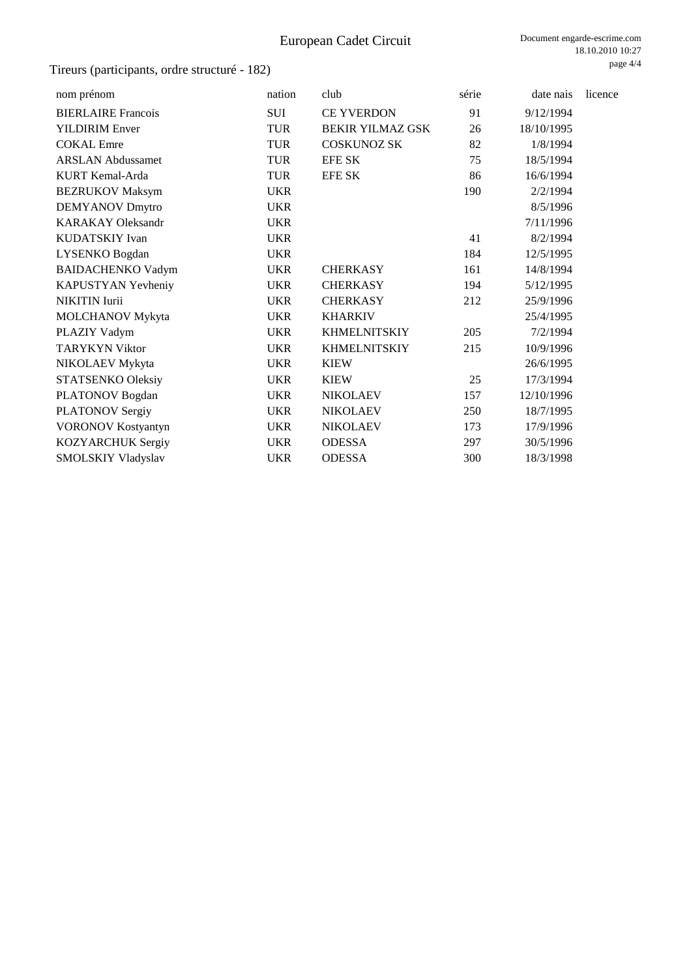| nom prénom                | nation     | club                    | série | date nais  | licence |
|---------------------------|------------|-------------------------|-------|------------|---------|
| <b>BIERLAIRE</b> Francois | SUI        | <b>CE YVERDON</b>       | 91    | 9/12/1994  |         |
| <b>YILDIRIM Enver</b>     | <b>TUR</b> | <b>BEKIR YILMAZ GSK</b> | 26    | 18/10/1995 |         |
| <b>COKAL</b> Emre         | <b>TUR</b> | <b>COSKUNOZ SK</b>      | 82    | 1/8/1994   |         |
| <b>ARSLAN Abdussamet</b>  | <b>TUR</b> | <b>EFE SK</b>           | 75    | 18/5/1994  |         |
| KURT Kemal-Arda           | <b>TUR</b> | <b>EFE SK</b>           | 86    | 16/6/1994  |         |
| <b>BEZRUKOV Maksym</b>    | <b>UKR</b> |                         | 190   | 2/2/1994   |         |
| <b>DEMYANOV Dmytro</b>    | <b>UKR</b> |                         |       | 8/5/1996   |         |
| <b>KARAKAY Oleksandr</b>  | <b>UKR</b> |                         |       | 7/11/1996  |         |
| KUDATSKIY Ivan            | <b>UKR</b> |                         | 41    | 8/2/1994   |         |
| LYSENKO Bogdan            | <b>UKR</b> |                         | 184   | 12/5/1995  |         |
| <b>BAIDACHENKO Vadym</b>  | <b>UKR</b> | <b>CHERKASY</b>         | 161   | 14/8/1994  |         |
| KAPUSTYAN Yevheniy        | <b>UKR</b> | <b>CHERKASY</b>         | 194   | 5/12/1995  |         |
| <b>NIKITIN</b> Iurii      | <b>UKR</b> | <b>CHERKASY</b>         | 212   | 25/9/1996  |         |
| <b>MOLCHANOV Mykyta</b>   | <b>UKR</b> | <b>KHARKIV</b>          |       | 25/4/1995  |         |
| PLAZIY Vadym              | <b>UKR</b> | <b>KHMELNITSKIY</b>     | 205   | 7/2/1994   |         |
| <b>TARYKYN Viktor</b>     | <b>UKR</b> | <b>KHMELNITSKIY</b>     | 215   | 10/9/1996  |         |
| NIKOLAEV Mykyta           | <b>UKR</b> | <b>KIEW</b>             |       | 26/6/1995  |         |
| STATSENKO Oleksiy         | <b>UKR</b> | <b>KIEW</b>             | 25    | 17/3/1994  |         |
| PLATONOV Bogdan           | <b>UKR</b> | <b>NIKOLAEV</b>         | 157   | 12/10/1996 |         |
| PLATONOV Sergiy           | <b>UKR</b> | <b>NIKOLAEV</b>         | 250   | 18/7/1995  |         |
| <b>VORONOV Kostyantyn</b> | <b>UKR</b> | <b>NIKOLAEV</b>         | 173   | 17/9/1996  |         |
| KOZYARCHUK Sergiy         | <b>UKR</b> | <b>ODESSA</b>           | 297   | 30/5/1996  |         |
| SMOLSKIY Vladyslav        | <b>UKR</b> | <b>ODESSA</b>           | 300   | 18/3/1998  |         |
|                           |            |                         |       |            |         |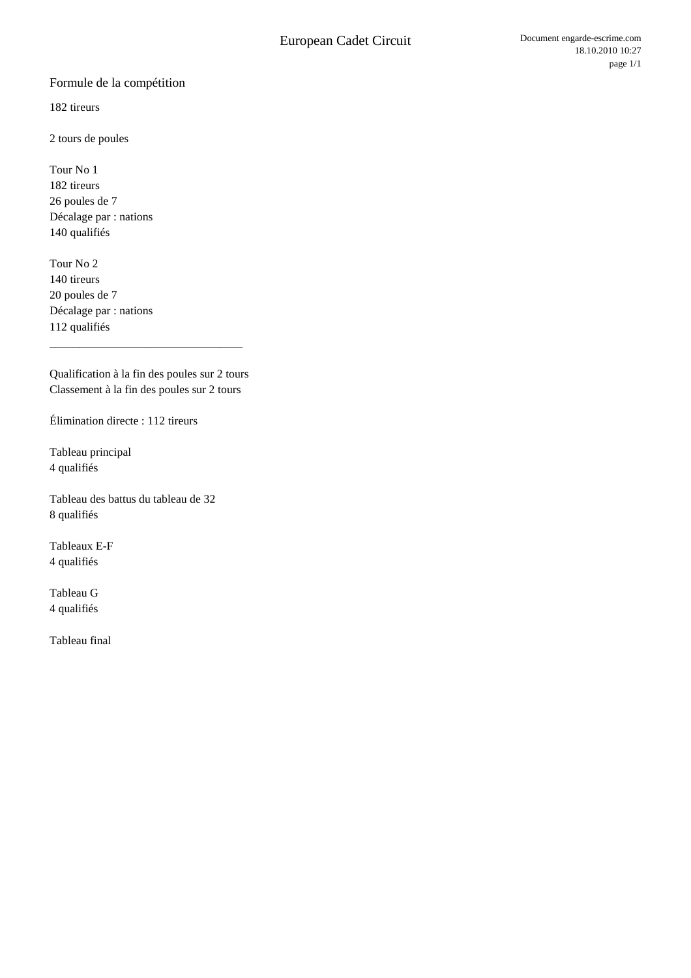### Formule de la compétition

182 tireurs

2 tours de poules

Tour No 1 182 tireurs 26 poules de 7 Décalage par : nations 140 qualifiés

Tour No 2 140 tireurs 20 poules de 7 Décalage par : nations 112 qualifiés

Qualification à la fin des poules sur 2 tours Classement à la fin des poules sur 2 tours

\_\_\_\_\_\_\_\_\_\_\_\_\_\_\_\_\_\_\_\_\_\_\_\_\_\_\_\_\_\_\_\_\_

Élimination directe : 112 tireurs

Tableau principal 4 qualifiés

Tableau des battus du tableau de 32 8 qualifiés

Tableaux E-F 4 qualifiés

Tableau G 4 qualifiés

Tableau final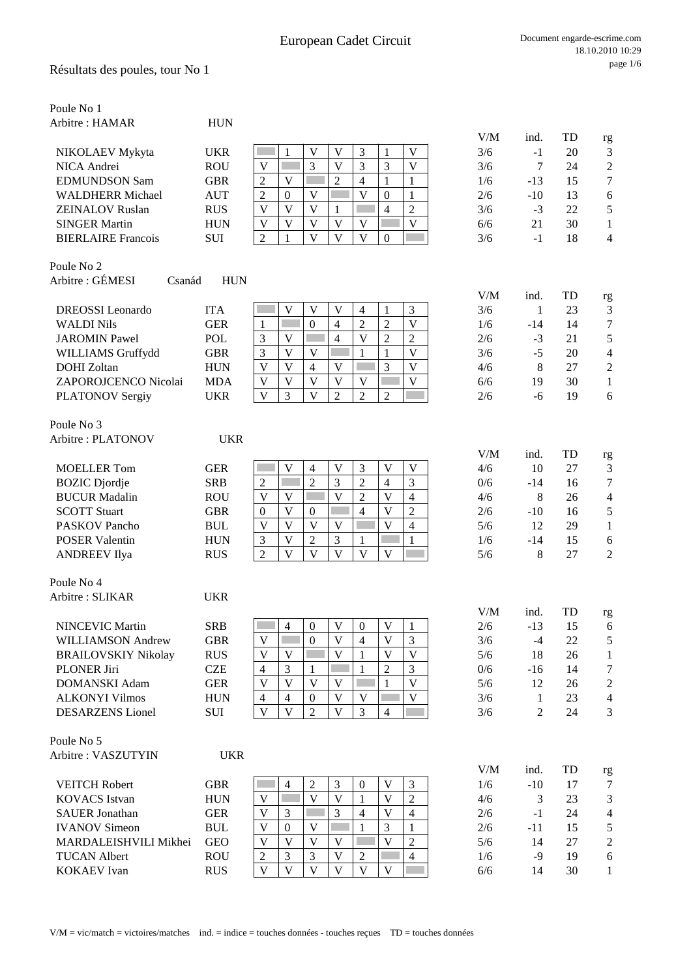| Arbitre: HAMAR<br><b>HUN</b><br>V/M<br>TD<br>ind.<br>rg<br>3<br>V<br>V<br>V<br>3/6<br>20<br>3<br><b>UKR</b><br>1<br>1<br>$-1$<br>NIKOLAEV Mykyta<br>3<br>3<br>3<br>$\sqrt{2}$<br>$\mathbf V$<br>NICA Andrei<br><b>ROU</b><br>V<br>V<br>3/6<br>7<br>24<br>$\boldsymbol{7}$<br><b>GBR</b><br>$\overline{2}$<br>$\overline{4}$<br>$\mathbf{1}$<br><b>EDMUNDSON Sam</b><br>$\overline{c}$<br>V<br>1<br>1/6<br>15<br>-13<br><b>AUT</b><br>$\mathfrak{2}$<br>$\mathbf V$<br>V<br><b>WALDHERR Michael</b><br>$\mathbf{0}$<br>$\boldsymbol{0}$<br>2/6<br>6<br>1<br>$-10$<br>13<br>$\mathbf V$<br>5<br><b>RUS</b><br>$\mathbf{V}$<br>V<br>$\overline{4}$<br>$\overline{c}$<br><b>ZEINALOV Ruslan</b><br>3/6<br>22<br>1<br>$-3$<br>$\overline{V}$<br>$\mathbf V$<br>$\overline{\mathsf{V}}$<br>$\overline{\mathsf{V}}$<br>V<br>$\mathbf V$<br><b>SINGER Martin</b><br><b>HUN</b><br>6/6<br>21<br>30<br>1<br>$\overline{\mathbf{V}}$<br>$\overline{\mathsf{V}}$<br>$\overline{\mathbf{V}}$<br>$\mathfrak{2}$<br>$\mathbf{1}$<br>$\overline{0}$<br>3/6<br><b>BIERLAIRE</b> Francois<br><b>SUI</b><br>$-1$<br>18<br>$\overline{4}$<br>Poule No 2<br>Arbitre : GÉMESI<br><b>HUN</b><br>Csanád<br>V/M<br>TD<br>ind.<br>rg<br>V<br>3<br><b>DREOSSI</b> Leonardo<br><b>ITA</b><br>V<br>V<br>4<br>1<br>3/6<br>$\mathbf{1}$<br>23<br>$\mathfrak{Z}$<br>$\overline{V}$<br>$\boldsymbol{7}$<br>П<br>$\overline{4}$<br>$\overline{c}$<br>$\overline{2}$<br><b>WALDI Nils</b><br><b>GER</b><br>$\mathbf{0}$<br>1/6<br>1<br>$-14$<br>14<br>$\overline{2}$<br>$\overline{4}$<br>$\overline{V}$<br>$\sqrt{5}$<br>$\mathfrak{Z}$<br>V<br>$\overline{c}$<br><b>JAROMIN Pawel</b><br><b>POL</b><br>2/6<br>21<br>$-3$<br>3<br>$\mathbf{V}$<br>$\mathbf{1}$<br>$\mathbf{V}$<br>$-5$<br>$\overline{4}$<br>WILLIAMS Gruffydd<br><b>GBR</b><br>V<br>1<br>3/6<br>20<br>3<br>V<br>V<br>V<br>V<br>$\mathfrak{2}$<br><b>DOHI</b> Zoltan<br><b>HUN</b><br>$\overline{4}$<br>4/6<br>8<br>27<br>ZAPOROJCENCO Nicolai<br><b>MDA</b><br>V<br>V<br>V<br>6/6<br>30<br>V<br>V<br>V<br>19<br>1<br>3<br>$\mathbf{V}$<br>$\overline{2}$<br>$\overline{2}$<br>V<br>$\overline{2}$<br>6<br><b>UKR</b><br>2/6<br>19<br>PLATONOV Sergiy<br>$-6$<br>Poule No 3<br>Arbitre: PLATONOV<br><b>UKR</b><br>V/M<br>TD<br>ind.<br>rg<br><b>GER</b><br>$\mathbf V$<br>$\mathbf V$<br>3<br>$\mathbf V$<br>$\mathbf V$<br>10<br>3<br><b>MOELLER Tom</b><br>$\overline{4}$<br>4/6<br>27<br>$\overline{2}$<br>3<br>$\overline{2}$<br>$\overline{4}$<br>3<br><b>SRB</b><br>$\overline{2}$<br>7<br><b>BOZIC</b> Djordje<br>in.<br>0/6<br>$-14$<br>16<br>$\overline{\mathsf{V}}$<br>$\mathbf V$<br><b>BUCUR</b> Madalin<br>$\mathbf V$<br><b>The State</b><br>$\overline{2}$<br>$\overline{4}$<br><b>ROU</b><br>V<br>4/6<br>8<br>26<br>$\overline{4}$<br>$\overline{\mathsf{V}}$<br><b>SCOTT Stuart</b><br>V<br>$\overline{4}$<br>$\overline{2}$<br>$\sqrt{5}$<br><b>GBR</b><br>$\boldsymbol{0}$<br>$\boldsymbol{0}$<br>2/6<br>$-10$<br>16<br>$\overline{\mathsf{V}}$<br>V<br>V<br>$\mathbf V$<br>$\overline{4}$<br><b>PASKOV</b> Pancho<br><b>BUL</b><br>V<br>5/6<br>12<br>29<br>$\mathbf{1}$<br>3<br>V<br>$\overline{2}$<br>$\mathbf{1}$<br><b>POSER Valentin</b><br><b>HUN</b><br>3<br>1/6<br>$-14$<br>15<br>1<br>6<br>$\overline{V}$<br>$\overline{\mathsf{V}}$<br>$\overline{2}$<br>$\mathbf{V}$<br>$\overline{\mathbf{V}}$<br>$\mathbf V$<br>$\overline{2}$<br>5/6<br>8<br>27<br><b>ANDREEV</b> Ilya<br><b>RUS</b><br>Poule No 4<br>Arbitre: SLIKAR<br><b>UKR</b><br>V/M<br>TD<br>ind.<br>rg<br><b>NINCEVIC Martin</b><br><b>SRB</b><br>4<br>$\boldsymbol{0}$<br>V<br>$\boldsymbol{0}$<br>V<br>2/6<br>$-13$<br>15<br>6<br>V<br>$\overline{4}$<br>V<br>3<br><b>WILLIAMSON Andrew</b><br><b>GBR</b><br>V<br>$\overline{0}$<br>3/6<br>5<br>$-4$<br>22<br><b>RUS</b><br>$\mathbf V$<br>V<br>$\mathbf{V}$<br><b>BRAILOVSKIY Nikolay</b><br>V<br>5/6<br>18<br>26<br>V<br>1<br>1<br><b>CZE</b><br>$\overline{4}$<br>3<br>$\overline{2}$<br>3<br><b>PLONER Jiri</b><br>1<br>0/6<br>7<br>1<br>$-16$<br>14<br>$\overline{\mathbf{V}}$<br>$\mathbf V$<br><b>GER</b><br>V<br>V<br>V<br>$\mathbf{1}$<br>$\overline{c}$<br><b>DOMANSKI</b> Adam<br>5/6<br>12<br>26<br>$\mathbf V$<br>V<br>V<br>3/6<br><b>ALKONYI Vilmos</b><br><b>HUN</b><br>$\overline{4}$<br>$\overline{4}$<br>$\boldsymbol{0}$<br>23<br>$\overline{4}$<br>1<br>$\overline{\mathbf{V}}$<br>$\overline{\mathbf{V}}$<br>$\overline{2}$<br>$\overline{\mathbf{V}}$<br>3<br><b>DESARZENS</b> Lionel<br><b>SUI</b><br>$\overline{4}$<br>$\overline{2}$<br>$\overline{3}$<br>3/6<br>24<br>Poule No 5<br><b>UKR</b><br>Arbitre: VASZUTYIN<br>V/M<br>TD<br>ind.<br>rg<br>$\mathfrak{Z}$<br>3<br>$\overline{c}$<br>$\mathbf V$<br>1/6<br>$-10$<br><b>VEITCH Robert</b><br><b>GBR</b><br>$\overline{4}$<br>$\boldsymbol{0}$<br>17<br>7<br>$\overline{\mathbf{V}}$<br>V<br>V<br>$\overline{c}$<br>3<br><b>KOVACS</b> Istvan<br><b>HUN</b><br>4/6<br>3<br>23<br>V<br>1<br>3<br>3<br>V<br><b>SAUER Jonathan</b><br><b>GER</b><br>V<br>$\overline{4}$<br>$\overline{4}$<br>2/6<br>24<br>$\overline{4}$<br>$-1$<br>3<br><b>IVANOV Simeon</b><br><b>BUL</b><br>V<br>2/6<br>15<br>5<br>V<br>$\mathbf{0}$<br>1<br>$-11$<br>1<br>$\overline{V}$<br><b>GEO</b><br>V<br>V<br>V<br>$\mathfrak{2}$<br>5/6<br>$\overline{c}$<br>MARDALEISHVILI Mikhei<br>V<br>14<br>27<br>1/6 | Poule No 1          |            |                                                                   |      |         |
|-------------------------------------------------------------------------------------------------------------------------------------------------------------------------------------------------------------------------------------------------------------------------------------------------------------------------------------------------------------------------------------------------------------------------------------------------------------------------------------------------------------------------------------------------------------------------------------------------------------------------------------------------------------------------------------------------------------------------------------------------------------------------------------------------------------------------------------------------------------------------------------------------------------------------------------------------------------------------------------------------------------------------------------------------------------------------------------------------------------------------------------------------------------------------------------------------------------------------------------------------------------------------------------------------------------------------------------------------------------------------------------------------------------------------------------------------------------------------------------------------------------------------------------------------------------------------------------------------------------------------------------------------------------------------------------------------------------------------------------------------------------------------------------------------------------------------------------------------------------------------------------------------------------------------------------------------------------------------------------------------------------------------------------------------------------------------------------------------------------------------------------------------------------------------------------------------------------------------------------------------------------------------------------------------------------------------------------------------------------------------------------------------------------------------------------------------------------------------------------------------------------------------------------------------------------------------------------------------------------------------------------------------------------------------------------------------------------------------------------------------------------------------------------------------------------------------------------------------------------------------------------------------------------------------------------------------------------------------------------------------------------------------------------------------------------------------------------------------------------------------------------------------------------------------------------------------------------------------------------------------------------------------------------------------------------------------------------------------------------------------------------------------------------------------------------------------------------------------------------------------------------------------------------------------------------------------------------------------------------------------------------------------------------------------------------------------------------------------------------------------------------------------------------------------------------------------------------------------------------------------------------------------------------------------------------------------------------------------------------------------------------------------------------------------------------------------------------------------------------------------------------------------------------------------------------------------------------------------------------------------------------------------------------------------------------------------------------------------------------------------------------------------------------------------------------------------------------------------------------------------------------------------------------------------------------------------------------------------------------------------------------------------------------------------------------------------------------------------------------------------------------------------------------------------------------------------------------------------------------------------------------------------------------------------------------------------------------------------------------------------------------------------------------------------------------------------------------------------------------------------------------------------------------------------------------------------------------------------------------------------------------------------------------------------------------------------------------------|---------------------|------------|-------------------------------------------------------------------|------|---------|
|                                                                                                                                                                                                                                                                                                                                                                                                                                                                                                                                                                                                                                                                                                                                                                                                                                                                                                                                                                                                                                                                                                                                                                                                                                                                                                                                                                                                                                                                                                                                                                                                                                                                                                                                                                                                                                                                                                                                                                                                                                                                                                                                                                                                                                                                                                                                                                                                                                                                                                                                                                                                                                                                                                                                                                                                                                                                                                                                                                                                                                                                                                                                                                                                                                                                                                                                                                                                                                                                                                                                                                                                                                                                                                                                                                                                                                                                                                                                                                                                                                                                                                                                                                                                                                                                                                                                                                                                                                                                                                                                                                                                                                                                                                                                                                                                                                                                                                                                                                                                                                                                                                                                                                                                                                                                                                                                           |                     |            |                                                                   |      |         |
|                                                                                                                                                                                                                                                                                                                                                                                                                                                                                                                                                                                                                                                                                                                                                                                                                                                                                                                                                                                                                                                                                                                                                                                                                                                                                                                                                                                                                                                                                                                                                                                                                                                                                                                                                                                                                                                                                                                                                                                                                                                                                                                                                                                                                                                                                                                                                                                                                                                                                                                                                                                                                                                                                                                                                                                                                                                                                                                                                                                                                                                                                                                                                                                                                                                                                                                                                                                                                                                                                                                                                                                                                                                                                                                                                                                                                                                                                                                                                                                                                                                                                                                                                                                                                                                                                                                                                                                                                                                                                                                                                                                                                                                                                                                                                                                                                                                                                                                                                                                                                                                                                                                                                                                                                                                                                                                                           |                     |            |                                                                   |      |         |
|                                                                                                                                                                                                                                                                                                                                                                                                                                                                                                                                                                                                                                                                                                                                                                                                                                                                                                                                                                                                                                                                                                                                                                                                                                                                                                                                                                                                                                                                                                                                                                                                                                                                                                                                                                                                                                                                                                                                                                                                                                                                                                                                                                                                                                                                                                                                                                                                                                                                                                                                                                                                                                                                                                                                                                                                                                                                                                                                                                                                                                                                                                                                                                                                                                                                                                                                                                                                                                                                                                                                                                                                                                                                                                                                                                                                                                                                                                                                                                                                                                                                                                                                                                                                                                                                                                                                                                                                                                                                                                                                                                                                                                                                                                                                                                                                                                                                                                                                                                                                                                                                                                                                                                                                                                                                                                                                           |                     |            |                                                                   |      |         |
|                                                                                                                                                                                                                                                                                                                                                                                                                                                                                                                                                                                                                                                                                                                                                                                                                                                                                                                                                                                                                                                                                                                                                                                                                                                                                                                                                                                                                                                                                                                                                                                                                                                                                                                                                                                                                                                                                                                                                                                                                                                                                                                                                                                                                                                                                                                                                                                                                                                                                                                                                                                                                                                                                                                                                                                                                                                                                                                                                                                                                                                                                                                                                                                                                                                                                                                                                                                                                                                                                                                                                                                                                                                                                                                                                                                                                                                                                                                                                                                                                                                                                                                                                                                                                                                                                                                                                                                                                                                                                                                                                                                                                                                                                                                                                                                                                                                                                                                                                                                                                                                                                                                                                                                                                                                                                                                                           |                     |            |                                                                   |      |         |
|                                                                                                                                                                                                                                                                                                                                                                                                                                                                                                                                                                                                                                                                                                                                                                                                                                                                                                                                                                                                                                                                                                                                                                                                                                                                                                                                                                                                                                                                                                                                                                                                                                                                                                                                                                                                                                                                                                                                                                                                                                                                                                                                                                                                                                                                                                                                                                                                                                                                                                                                                                                                                                                                                                                                                                                                                                                                                                                                                                                                                                                                                                                                                                                                                                                                                                                                                                                                                                                                                                                                                                                                                                                                                                                                                                                                                                                                                                                                                                                                                                                                                                                                                                                                                                                                                                                                                                                                                                                                                                                                                                                                                                                                                                                                                                                                                                                                                                                                                                                                                                                                                                                                                                                                                                                                                                                                           |                     |            |                                                                   |      |         |
|                                                                                                                                                                                                                                                                                                                                                                                                                                                                                                                                                                                                                                                                                                                                                                                                                                                                                                                                                                                                                                                                                                                                                                                                                                                                                                                                                                                                                                                                                                                                                                                                                                                                                                                                                                                                                                                                                                                                                                                                                                                                                                                                                                                                                                                                                                                                                                                                                                                                                                                                                                                                                                                                                                                                                                                                                                                                                                                                                                                                                                                                                                                                                                                                                                                                                                                                                                                                                                                                                                                                                                                                                                                                                                                                                                                                                                                                                                                                                                                                                                                                                                                                                                                                                                                                                                                                                                                                                                                                                                                                                                                                                                                                                                                                                                                                                                                                                                                                                                                                                                                                                                                                                                                                                                                                                                                                           |                     |            |                                                                   |      |         |
|                                                                                                                                                                                                                                                                                                                                                                                                                                                                                                                                                                                                                                                                                                                                                                                                                                                                                                                                                                                                                                                                                                                                                                                                                                                                                                                                                                                                                                                                                                                                                                                                                                                                                                                                                                                                                                                                                                                                                                                                                                                                                                                                                                                                                                                                                                                                                                                                                                                                                                                                                                                                                                                                                                                                                                                                                                                                                                                                                                                                                                                                                                                                                                                                                                                                                                                                                                                                                                                                                                                                                                                                                                                                                                                                                                                                                                                                                                                                                                                                                                                                                                                                                                                                                                                                                                                                                                                                                                                                                                                                                                                                                                                                                                                                                                                                                                                                                                                                                                                                                                                                                                                                                                                                                                                                                                                                           |                     |            |                                                                   |      |         |
|                                                                                                                                                                                                                                                                                                                                                                                                                                                                                                                                                                                                                                                                                                                                                                                                                                                                                                                                                                                                                                                                                                                                                                                                                                                                                                                                                                                                                                                                                                                                                                                                                                                                                                                                                                                                                                                                                                                                                                                                                                                                                                                                                                                                                                                                                                                                                                                                                                                                                                                                                                                                                                                                                                                                                                                                                                                                                                                                                                                                                                                                                                                                                                                                                                                                                                                                                                                                                                                                                                                                                                                                                                                                                                                                                                                                                                                                                                                                                                                                                                                                                                                                                                                                                                                                                                                                                                                                                                                                                                                                                                                                                                                                                                                                                                                                                                                                                                                                                                                                                                                                                                                                                                                                                                                                                                                                           |                     |            |                                                                   |      |         |
|                                                                                                                                                                                                                                                                                                                                                                                                                                                                                                                                                                                                                                                                                                                                                                                                                                                                                                                                                                                                                                                                                                                                                                                                                                                                                                                                                                                                                                                                                                                                                                                                                                                                                                                                                                                                                                                                                                                                                                                                                                                                                                                                                                                                                                                                                                                                                                                                                                                                                                                                                                                                                                                                                                                                                                                                                                                                                                                                                                                                                                                                                                                                                                                                                                                                                                                                                                                                                                                                                                                                                                                                                                                                                                                                                                                                                                                                                                                                                                                                                                                                                                                                                                                                                                                                                                                                                                                                                                                                                                                                                                                                                                                                                                                                                                                                                                                                                                                                                                                                                                                                                                                                                                                                                                                                                                                                           |                     |            |                                                                   |      |         |
|                                                                                                                                                                                                                                                                                                                                                                                                                                                                                                                                                                                                                                                                                                                                                                                                                                                                                                                                                                                                                                                                                                                                                                                                                                                                                                                                                                                                                                                                                                                                                                                                                                                                                                                                                                                                                                                                                                                                                                                                                                                                                                                                                                                                                                                                                                                                                                                                                                                                                                                                                                                                                                                                                                                                                                                                                                                                                                                                                                                                                                                                                                                                                                                                                                                                                                                                                                                                                                                                                                                                                                                                                                                                                                                                                                                                                                                                                                                                                                                                                                                                                                                                                                                                                                                                                                                                                                                                                                                                                                                                                                                                                                                                                                                                                                                                                                                                                                                                                                                                                                                                                                                                                                                                                                                                                                                                           |                     |            |                                                                   |      |         |
|                                                                                                                                                                                                                                                                                                                                                                                                                                                                                                                                                                                                                                                                                                                                                                                                                                                                                                                                                                                                                                                                                                                                                                                                                                                                                                                                                                                                                                                                                                                                                                                                                                                                                                                                                                                                                                                                                                                                                                                                                                                                                                                                                                                                                                                                                                                                                                                                                                                                                                                                                                                                                                                                                                                                                                                                                                                                                                                                                                                                                                                                                                                                                                                                                                                                                                                                                                                                                                                                                                                                                                                                                                                                                                                                                                                                                                                                                                                                                                                                                                                                                                                                                                                                                                                                                                                                                                                                                                                                                                                                                                                                                                                                                                                                                                                                                                                                                                                                                                                                                                                                                                                                                                                                                                                                                                                                           |                     |            |                                                                   |      |         |
|                                                                                                                                                                                                                                                                                                                                                                                                                                                                                                                                                                                                                                                                                                                                                                                                                                                                                                                                                                                                                                                                                                                                                                                                                                                                                                                                                                                                                                                                                                                                                                                                                                                                                                                                                                                                                                                                                                                                                                                                                                                                                                                                                                                                                                                                                                                                                                                                                                                                                                                                                                                                                                                                                                                                                                                                                                                                                                                                                                                                                                                                                                                                                                                                                                                                                                                                                                                                                                                                                                                                                                                                                                                                                                                                                                                                                                                                                                                                                                                                                                                                                                                                                                                                                                                                                                                                                                                                                                                                                                                                                                                                                                                                                                                                                                                                                                                                                                                                                                                                                                                                                                                                                                                                                                                                                                                                           |                     |            |                                                                   |      |         |
|                                                                                                                                                                                                                                                                                                                                                                                                                                                                                                                                                                                                                                                                                                                                                                                                                                                                                                                                                                                                                                                                                                                                                                                                                                                                                                                                                                                                                                                                                                                                                                                                                                                                                                                                                                                                                                                                                                                                                                                                                                                                                                                                                                                                                                                                                                                                                                                                                                                                                                                                                                                                                                                                                                                                                                                                                                                                                                                                                                                                                                                                                                                                                                                                                                                                                                                                                                                                                                                                                                                                                                                                                                                                                                                                                                                                                                                                                                                                                                                                                                                                                                                                                                                                                                                                                                                                                                                                                                                                                                                                                                                                                                                                                                                                                                                                                                                                                                                                                                                                                                                                                                                                                                                                                                                                                                                                           |                     |            |                                                                   |      |         |
|                                                                                                                                                                                                                                                                                                                                                                                                                                                                                                                                                                                                                                                                                                                                                                                                                                                                                                                                                                                                                                                                                                                                                                                                                                                                                                                                                                                                                                                                                                                                                                                                                                                                                                                                                                                                                                                                                                                                                                                                                                                                                                                                                                                                                                                                                                                                                                                                                                                                                                                                                                                                                                                                                                                                                                                                                                                                                                                                                                                                                                                                                                                                                                                                                                                                                                                                                                                                                                                                                                                                                                                                                                                                                                                                                                                                                                                                                                                                                                                                                                                                                                                                                                                                                                                                                                                                                                                                                                                                                                                                                                                                                                                                                                                                                                                                                                                                                                                                                                                                                                                                                                                                                                                                                                                                                                                                           |                     |            |                                                                   |      |         |
|                                                                                                                                                                                                                                                                                                                                                                                                                                                                                                                                                                                                                                                                                                                                                                                                                                                                                                                                                                                                                                                                                                                                                                                                                                                                                                                                                                                                                                                                                                                                                                                                                                                                                                                                                                                                                                                                                                                                                                                                                                                                                                                                                                                                                                                                                                                                                                                                                                                                                                                                                                                                                                                                                                                                                                                                                                                                                                                                                                                                                                                                                                                                                                                                                                                                                                                                                                                                                                                                                                                                                                                                                                                                                                                                                                                                                                                                                                                                                                                                                                                                                                                                                                                                                                                                                                                                                                                                                                                                                                                                                                                                                                                                                                                                                                                                                                                                                                                                                                                                                                                                                                                                                                                                                                                                                                                                           |                     |            |                                                                   |      |         |
|                                                                                                                                                                                                                                                                                                                                                                                                                                                                                                                                                                                                                                                                                                                                                                                                                                                                                                                                                                                                                                                                                                                                                                                                                                                                                                                                                                                                                                                                                                                                                                                                                                                                                                                                                                                                                                                                                                                                                                                                                                                                                                                                                                                                                                                                                                                                                                                                                                                                                                                                                                                                                                                                                                                                                                                                                                                                                                                                                                                                                                                                                                                                                                                                                                                                                                                                                                                                                                                                                                                                                                                                                                                                                                                                                                                                                                                                                                                                                                                                                                                                                                                                                                                                                                                                                                                                                                                                                                                                                                                                                                                                                                                                                                                                                                                                                                                                                                                                                                                                                                                                                                                                                                                                                                                                                                                                           |                     |            |                                                                   |      |         |
|                                                                                                                                                                                                                                                                                                                                                                                                                                                                                                                                                                                                                                                                                                                                                                                                                                                                                                                                                                                                                                                                                                                                                                                                                                                                                                                                                                                                                                                                                                                                                                                                                                                                                                                                                                                                                                                                                                                                                                                                                                                                                                                                                                                                                                                                                                                                                                                                                                                                                                                                                                                                                                                                                                                                                                                                                                                                                                                                                                                                                                                                                                                                                                                                                                                                                                                                                                                                                                                                                                                                                                                                                                                                                                                                                                                                                                                                                                                                                                                                                                                                                                                                                                                                                                                                                                                                                                                                                                                                                                                                                                                                                                                                                                                                                                                                                                                                                                                                                                                                                                                                                                                                                                                                                                                                                                                                           |                     |            |                                                                   |      |         |
|                                                                                                                                                                                                                                                                                                                                                                                                                                                                                                                                                                                                                                                                                                                                                                                                                                                                                                                                                                                                                                                                                                                                                                                                                                                                                                                                                                                                                                                                                                                                                                                                                                                                                                                                                                                                                                                                                                                                                                                                                                                                                                                                                                                                                                                                                                                                                                                                                                                                                                                                                                                                                                                                                                                                                                                                                                                                                                                                                                                                                                                                                                                                                                                                                                                                                                                                                                                                                                                                                                                                                                                                                                                                                                                                                                                                                                                                                                                                                                                                                                                                                                                                                                                                                                                                                                                                                                                                                                                                                                                                                                                                                                                                                                                                                                                                                                                                                                                                                                                                                                                                                                                                                                                                                                                                                                                                           |                     |            |                                                                   |      |         |
|                                                                                                                                                                                                                                                                                                                                                                                                                                                                                                                                                                                                                                                                                                                                                                                                                                                                                                                                                                                                                                                                                                                                                                                                                                                                                                                                                                                                                                                                                                                                                                                                                                                                                                                                                                                                                                                                                                                                                                                                                                                                                                                                                                                                                                                                                                                                                                                                                                                                                                                                                                                                                                                                                                                                                                                                                                                                                                                                                                                                                                                                                                                                                                                                                                                                                                                                                                                                                                                                                                                                                                                                                                                                                                                                                                                                                                                                                                                                                                                                                                                                                                                                                                                                                                                                                                                                                                                                                                                                                                                                                                                                                                                                                                                                                                                                                                                                                                                                                                                                                                                                                                                                                                                                                                                                                                                                           |                     |            |                                                                   |      |         |
|                                                                                                                                                                                                                                                                                                                                                                                                                                                                                                                                                                                                                                                                                                                                                                                                                                                                                                                                                                                                                                                                                                                                                                                                                                                                                                                                                                                                                                                                                                                                                                                                                                                                                                                                                                                                                                                                                                                                                                                                                                                                                                                                                                                                                                                                                                                                                                                                                                                                                                                                                                                                                                                                                                                                                                                                                                                                                                                                                                                                                                                                                                                                                                                                                                                                                                                                                                                                                                                                                                                                                                                                                                                                                                                                                                                                                                                                                                                                                                                                                                                                                                                                                                                                                                                                                                                                                                                                                                                                                                                                                                                                                                                                                                                                                                                                                                                                                                                                                                                                                                                                                                                                                                                                                                                                                                                                           |                     |            |                                                                   |      |         |
|                                                                                                                                                                                                                                                                                                                                                                                                                                                                                                                                                                                                                                                                                                                                                                                                                                                                                                                                                                                                                                                                                                                                                                                                                                                                                                                                                                                                                                                                                                                                                                                                                                                                                                                                                                                                                                                                                                                                                                                                                                                                                                                                                                                                                                                                                                                                                                                                                                                                                                                                                                                                                                                                                                                                                                                                                                                                                                                                                                                                                                                                                                                                                                                                                                                                                                                                                                                                                                                                                                                                                                                                                                                                                                                                                                                                                                                                                                                                                                                                                                                                                                                                                                                                                                                                                                                                                                                                                                                                                                                                                                                                                                                                                                                                                                                                                                                                                                                                                                                                                                                                                                                                                                                                                                                                                                                                           |                     |            |                                                                   |      |         |
|                                                                                                                                                                                                                                                                                                                                                                                                                                                                                                                                                                                                                                                                                                                                                                                                                                                                                                                                                                                                                                                                                                                                                                                                                                                                                                                                                                                                                                                                                                                                                                                                                                                                                                                                                                                                                                                                                                                                                                                                                                                                                                                                                                                                                                                                                                                                                                                                                                                                                                                                                                                                                                                                                                                                                                                                                                                                                                                                                                                                                                                                                                                                                                                                                                                                                                                                                                                                                                                                                                                                                                                                                                                                                                                                                                                                                                                                                                                                                                                                                                                                                                                                                                                                                                                                                                                                                                                                                                                                                                                                                                                                                                                                                                                                                                                                                                                                                                                                                                                                                                                                                                                                                                                                                                                                                                                                           |                     |            |                                                                   |      |         |
|                                                                                                                                                                                                                                                                                                                                                                                                                                                                                                                                                                                                                                                                                                                                                                                                                                                                                                                                                                                                                                                                                                                                                                                                                                                                                                                                                                                                                                                                                                                                                                                                                                                                                                                                                                                                                                                                                                                                                                                                                                                                                                                                                                                                                                                                                                                                                                                                                                                                                                                                                                                                                                                                                                                                                                                                                                                                                                                                                                                                                                                                                                                                                                                                                                                                                                                                                                                                                                                                                                                                                                                                                                                                                                                                                                                                                                                                                                                                                                                                                                                                                                                                                                                                                                                                                                                                                                                                                                                                                                                                                                                                                                                                                                                                                                                                                                                                                                                                                                                                                                                                                                                                                                                                                                                                                                                                           |                     |            |                                                                   |      |         |
|                                                                                                                                                                                                                                                                                                                                                                                                                                                                                                                                                                                                                                                                                                                                                                                                                                                                                                                                                                                                                                                                                                                                                                                                                                                                                                                                                                                                                                                                                                                                                                                                                                                                                                                                                                                                                                                                                                                                                                                                                                                                                                                                                                                                                                                                                                                                                                                                                                                                                                                                                                                                                                                                                                                                                                                                                                                                                                                                                                                                                                                                                                                                                                                                                                                                                                                                                                                                                                                                                                                                                                                                                                                                                                                                                                                                                                                                                                                                                                                                                                                                                                                                                                                                                                                                                                                                                                                                                                                                                                                                                                                                                                                                                                                                                                                                                                                                                                                                                                                                                                                                                                                                                                                                                                                                                                                                           |                     |            |                                                                   |      |         |
|                                                                                                                                                                                                                                                                                                                                                                                                                                                                                                                                                                                                                                                                                                                                                                                                                                                                                                                                                                                                                                                                                                                                                                                                                                                                                                                                                                                                                                                                                                                                                                                                                                                                                                                                                                                                                                                                                                                                                                                                                                                                                                                                                                                                                                                                                                                                                                                                                                                                                                                                                                                                                                                                                                                                                                                                                                                                                                                                                                                                                                                                                                                                                                                                                                                                                                                                                                                                                                                                                                                                                                                                                                                                                                                                                                                                                                                                                                                                                                                                                                                                                                                                                                                                                                                                                                                                                                                                                                                                                                                                                                                                                                                                                                                                                                                                                                                                                                                                                                                                                                                                                                                                                                                                                                                                                                                                           |                     |            |                                                                   |      |         |
|                                                                                                                                                                                                                                                                                                                                                                                                                                                                                                                                                                                                                                                                                                                                                                                                                                                                                                                                                                                                                                                                                                                                                                                                                                                                                                                                                                                                                                                                                                                                                                                                                                                                                                                                                                                                                                                                                                                                                                                                                                                                                                                                                                                                                                                                                                                                                                                                                                                                                                                                                                                                                                                                                                                                                                                                                                                                                                                                                                                                                                                                                                                                                                                                                                                                                                                                                                                                                                                                                                                                                                                                                                                                                                                                                                                                                                                                                                                                                                                                                                                                                                                                                                                                                                                                                                                                                                                                                                                                                                                                                                                                                                                                                                                                                                                                                                                                                                                                                                                                                                                                                                                                                                                                                                                                                                                                           |                     |            |                                                                   |      |         |
|                                                                                                                                                                                                                                                                                                                                                                                                                                                                                                                                                                                                                                                                                                                                                                                                                                                                                                                                                                                                                                                                                                                                                                                                                                                                                                                                                                                                                                                                                                                                                                                                                                                                                                                                                                                                                                                                                                                                                                                                                                                                                                                                                                                                                                                                                                                                                                                                                                                                                                                                                                                                                                                                                                                                                                                                                                                                                                                                                                                                                                                                                                                                                                                                                                                                                                                                                                                                                                                                                                                                                                                                                                                                                                                                                                                                                                                                                                                                                                                                                                                                                                                                                                                                                                                                                                                                                                                                                                                                                                                                                                                                                                                                                                                                                                                                                                                                                                                                                                                                                                                                                                                                                                                                                                                                                                                                           |                     |            |                                                                   |      |         |
|                                                                                                                                                                                                                                                                                                                                                                                                                                                                                                                                                                                                                                                                                                                                                                                                                                                                                                                                                                                                                                                                                                                                                                                                                                                                                                                                                                                                                                                                                                                                                                                                                                                                                                                                                                                                                                                                                                                                                                                                                                                                                                                                                                                                                                                                                                                                                                                                                                                                                                                                                                                                                                                                                                                                                                                                                                                                                                                                                                                                                                                                                                                                                                                                                                                                                                                                                                                                                                                                                                                                                                                                                                                                                                                                                                                                                                                                                                                                                                                                                                                                                                                                                                                                                                                                                                                                                                                                                                                                                                                                                                                                                                                                                                                                                                                                                                                                                                                                                                                                                                                                                                                                                                                                                                                                                                                                           |                     |            |                                                                   |      |         |
|                                                                                                                                                                                                                                                                                                                                                                                                                                                                                                                                                                                                                                                                                                                                                                                                                                                                                                                                                                                                                                                                                                                                                                                                                                                                                                                                                                                                                                                                                                                                                                                                                                                                                                                                                                                                                                                                                                                                                                                                                                                                                                                                                                                                                                                                                                                                                                                                                                                                                                                                                                                                                                                                                                                                                                                                                                                                                                                                                                                                                                                                                                                                                                                                                                                                                                                                                                                                                                                                                                                                                                                                                                                                                                                                                                                                                                                                                                                                                                                                                                                                                                                                                                                                                                                                                                                                                                                                                                                                                                                                                                                                                                                                                                                                                                                                                                                                                                                                                                                                                                                                                                                                                                                                                                                                                                                                           |                     |            |                                                                   |      |         |
|                                                                                                                                                                                                                                                                                                                                                                                                                                                                                                                                                                                                                                                                                                                                                                                                                                                                                                                                                                                                                                                                                                                                                                                                                                                                                                                                                                                                                                                                                                                                                                                                                                                                                                                                                                                                                                                                                                                                                                                                                                                                                                                                                                                                                                                                                                                                                                                                                                                                                                                                                                                                                                                                                                                                                                                                                                                                                                                                                                                                                                                                                                                                                                                                                                                                                                                                                                                                                                                                                                                                                                                                                                                                                                                                                                                                                                                                                                                                                                                                                                                                                                                                                                                                                                                                                                                                                                                                                                                                                                                                                                                                                                                                                                                                                                                                                                                                                                                                                                                                                                                                                                                                                                                                                                                                                                                                           |                     |            |                                                                   |      |         |
|                                                                                                                                                                                                                                                                                                                                                                                                                                                                                                                                                                                                                                                                                                                                                                                                                                                                                                                                                                                                                                                                                                                                                                                                                                                                                                                                                                                                                                                                                                                                                                                                                                                                                                                                                                                                                                                                                                                                                                                                                                                                                                                                                                                                                                                                                                                                                                                                                                                                                                                                                                                                                                                                                                                                                                                                                                                                                                                                                                                                                                                                                                                                                                                                                                                                                                                                                                                                                                                                                                                                                                                                                                                                                                                                                                                                                                                                                                                                                                                                                                                                                                                                                                                                                                                                                                                                                                                                                                                                                                                                                                                                                                                                                                                                                                                                                                                                                                                                                                                                                                                                                                                                                                                                                                                                                                                                           |                     |            |                                                                   |      |         |
|                                                                                                                                                                                                                                                                                                                                                                                                                                                                                                                                                                                                                                                                                                                                                                                                                                                                                                                                                                                                                                                                                                                                                                                                                                                                                                                                                                                                                                                                                                                                                                                                                                                                                                                                                                                                                                                                                                                                                                                                                                                                                                                                                                                                                                                                                                                                                                                                                                                                                                                                                                                                                                                                                                                                                                                                                                                                                                                                                                                                                                                                                                                                                                                                                                                                                                                                                                                                                                                                                                                                                                                                                                                                                                                                                                                                                                                                                                                                                                                                                                                                                                                                                                                                                                                                                                                                                                                                                                                                                                                                                                                                                                                                                                                                                                                                                                                                                                                                                                                                                                                                                                                                                                                                                                                                                                                                           |                     |            |                                                                   |      |         |
|                                                                                                                                                                                                                                                                                                                                                                                                                                                                                                                                                                                                                                                                                                                                                                                                                                                                                                                                                                                                                                                                                                                                                                                                                                                                                                                                                                                                                                                                                                                                                                                                                                                                                                                                                                                                                                                                                                                                                                                                                                                                                                                                                                                                                                                                                                                                                                                                                                                                                                                                                                                                                                                                                                                                                                                                                                                                                                                                                                                                                                                                                                                                                                                                                                                                                                                                                                                                                                                                                                                                                                                                                                                                                                                                                                                                                                                                                                                                                                                                                                                                                                                                                                                                                                                                                                                                                                                                                                                                                                                                                                                                                                                                                                                                                                                                                                                                                                                                                                                                                                                                                                                                                                                                                                                                                                                                           |                     |            |                                                                   |      |         |
|                                                                                                                                                                                                                                                                                                                                                                                                                                                                                                                                                                                                                                                                                                                                                                                                                                                                                                                                                                                                                                                                                                                                                                                                                                                                                                                                                                                                                                                                                                                                                                                                                                                                                                                                                                                                                                                                                                                                                                                                                                                                                                                                                                                                                                                                                                                                                                                                                                                                                                                                                                                                                                                                                                                                                                                                                                                                                                                                                                                                                                                                                                                                                                                                                                                                                                                                                                                                                                                                                                                                                                                                                                                                                                                                                                                                                                                                                                                                                                                                                                                                                                                                                                                                                                                                                                                                                                                                                                                                                                                                                                                                                                                                                                                                                                                                                                                                                                                                                                                                                                                                                                                                                                                                                                                                                                                                           |                     |            |                                                                   |      |         |
|                                                                                                                                                                                                                                                                                                                                                                                                                                                                                                                                                                                                                                                                                                                                                                                                                                                                                                                                                                                                                                                                                                                                                                                                                                                                                                                                                                                                                                                                                                                                                                                                                                                                                                                                                                                                                                                                                                                                                                                                                                                                                                                                                                                                                                                                                                                                                                                                                                                                                                                                                                                                                                                                                                                                                                                                                                                                                                                                                                                                                                                                                                                                                                                                                                                                                                                                                                                                                                                                                                                                                                                                                                                                                                                                                                                                                                                                                                                                                                                                                                                                                                                                                                                                                                                                                                                                                                                                                                                                                                                                                                                                                                                                                                                                                                                                                                                                                                                                                                                                                                                                                                                                                                                                                                                                                                                                           |                     |            |                                                                   |      |         |
|                                                                                                                                                                                                                                                                                                                                                                                                                                                                                                                                                                                                                                                                                                                                                                                                                                                                                                                                                                                                                                                                                                                                                                                                                                                                                                                                                                                                                                                                                                                                                                                                                                                                                                                                                                                                                                                                                                                                                                                                                                                                                                                                                                                                                                                                                                                                                                                                                                                                                                                                                                                                                                                                                                                                                                                                                                                                                                                                                                                                                                                                                                                                                                                                                                                                                                                                                                                                                                                                                                                                                                                                                                                                                                                                                                                                                                                                                                                                                                                                                                                                                                                                                                                                                                                                                                                                                                                                                                                                                                                                                                                                                                                                                                                                                                                                                                                                                                                                                                                                                                                                                                                                                                                                                                                                                                                                           |                     |            |                                                                   |      |         |
|                                                                                                                                                                                                                                                                                                                                                                                                                                                                                                                                                                                                                                                                                                                                                                                                                                                                                                                                                                                                                                                                                                                                                                                                                                                                                                                                                                                                                                                                                                                                                                                                                                                                                                                                                                                                                                                                                                                                                                                                                                                                                                                                                                                                                                                                                                                                                                                                                                                                                                                                                                                                                                                                                                                                                                                                                                                                                                                                                                                                                                                                                                                                                                                                                                                                                                                                                                                                                                                                                                                                                                                                                                                                                                                                                                                                                                                                                                                                                                                                                                                                                                                                                                                                                                                                                                                                                                                                                                                                                                                                                                                                                                                                                                                                                                                                                                                                                                                                                                                                                                                                                                                                                                                                                                                                                                                                           |                     |            |                                                                   |      |         |
|                                                                                                                                                                                                                                                                                                                                                                                                                                                                                                                                                                                                                                                                                                                                                                                                                                                                                                                                                                                                                                                                                                                                                                                                                                                                                                                                                                                                                                                                                                                                                                                                                                                                                                                                                                                                                                                                                                                                                                                                                                                                                                                                                                                                                                                                                                                                                                                                                                                                                                                                                                                                                                                                                                                                                                                                                                                                                                                                                                                                                                                                                                                                                                                                                                                                                                                                                                                                                                                                                                                                                                                                                                                                                                                                                                                                                                                                                                                                                                                                                                                                                                                                                                                                                                                                                                                                                                                                                                                                                                                                                                                                                                                                                                                                                                                                                                                                                                                                                                                                                                                                                                                                                                                                                                                                                                                                           |                     |            |                                                                   |      |         |
|                                                                                                                                                                                                                                                                                                                                                                                                                                                                                                                                                                                                                                                                                                                                                                                                                                                                                                                                                                                                                                                                                                                                                                                                                                                                                                                                                                                                                                                                                                                                                                                                                                                                                                                                                                                                                                                                                                                                                                                                                                                                                                                                                                                                                                                                                                                                                                                                                                                                                                                                                                                                                                                                                                                                                                                                                                                                                                                                                                                                                                                                                                                                                                                                                                                                                                                                                                                                                                                                                                                                                                                                                                                                                                                                                                                                                                                                                                                                                                                                                                                                                                                                                                                                                                                                                                                                                                                                                                                                                                                                                                                                                                                                                                                                                                                                                                                                                                                                                                                                                                                                                                                                                                                                                                                                                                                                           |                     |            |                                                                   |      |         |
|                                                                                                                                                                                                                                                                                                                                                                                                                                                                                                                                                                                                                                                                                                                                                                                                                                                                                                                                                                                                                                                                                                                                                                                                                                                                                                                                                                                                                                                                                                                                                                                                                                                                                                                                                                                                                                                                                                                                                                                                                                                                                                                                                                                                                                                                                                                                                                                                                                                                                                                                                                                                                                                                                                                                                                                                                                                                                                                                                                                                                                                                                                                                                                                                                                                                                                                                                                                                                                                                                                                                                                                                                                                                                                                                                                                                                                                                                                                                                                                                                                                                                                                                                                                                                                                                                                                                                                                                                                                                                                                                                                                                                                                                                                                                                                                                                                                                                                                                                                                                                                                                                                                                                                                                                                                                                                                                           |                     |            |                                                                   |      |         |
|                                                                                                                                                                                                                                                                                                                                                                                                                                                                                                                                                                                                                                                                                                                                                                                                                                                                                                                                                                                                                                                                                                                                                                                                                                                                                                                                                                                                                                                                                                                                                                                                                                                                                                                                                                                                                                                                                                                                                                                                                                                                                                                                                                                                                                                                                                                                                                                                                                                                                                                                                                                                                                                                                                                                                                                                                                                                                                                                                                                                                                                                                                                                                                                                                                                                                                                                                                                                                                                                                                                                                                                                                                                                                                                                                                                                                                                                                                                                                                                                                                                                                                                                                                                                                                                                                                                                                                                                                                                                                                                                                                                                                                                                                                                                                                                                                                                                                                                                                                                                                                                                                                                                                                                                                                                                                                                                           |                     |            |                                                                   |      |         |
|                                                                                                                                                                                                                                                                                                                                                                                                                                                                                                                                                                                                                                                                                                                                                                                                                                                                                                                                                                                                                                                                                                                                                                                                                                                                                                                                                                                                                                                                                                                                                                                                                                                                                                                                                                                                                                                                                                                                                                                                                                                                                                                                                                                                                                                                                                                                                                                                                                                                                                                                                                                                                                                                                                                                                                                                                                                                                                                                                                                                                                                                                                                                                                                                                                                                                                                                                                                                                                                                                                                                                                                                                                                                                                                                                                                                                                                                                                                                                                                                                                                                                                                                                                                                                                                                                                                                                                                                                                                                                                                                                                                                                                                                                                                                                                                                                                                                                                                                                                                                                                                                                                                                                                                                                                                                                                                                           |                     |            |                                                                   |      |         |
|                                                                                                                                                                                                                                                                                                                                                                                                                                                                                                                                                                                                                                                                                                                                                                                                                                                                                                                                                                                                                                                                                                                                                                                                                                                                                                                                                                                                                                                                                                                                                                                                                                                                                                                                                                                                                                                                                                                                                                                                                                                                                                                                                                                                                                                                                                                                                                                                                                                                                                                                                                                                                                                                                                                                                                                                                                                                                                                                                                                                                                                                                                                                                                                                                                                                                                                                                                                                                                                                                                                                                                                                                                                                                                                                                                                                                                                                                                                                                                                                                                                                                                                                                                                                                                                                                                                                                                                                                                                                                                                                                                                                                                                                                                                                                                                                                                                                                                                                                                                                                                                                                                                                                                                                                                                                                                                                           |                     |            |                                                                   |      |         |
|                                                                                                                                                                                                                                                                                                                                                                                                                                                                                                                                                                                                                                                                                                                                                                                                                                                                                                                                                                                                                                                                                                                                                                                                                                                                                                                                                                                                                                                                                                                                                                                                                                                                                                                                                                                                                                                                                                                                                                                                                                                                                                                                                                                                                                                                                                                                                                                                                                                                                                                                                                                                                                                                                                                                                                                                                                                                                                                                                                                                                                                                                                                                                                                                                                                                                                                                                                                                                                                                                                                                                                                                                                                                                                                                                                                                                                                                                                                                                                                                                                                                                                                                                                                                                                                                                                                                                                                                                                                                                                                                                                                                                                                                                                                                                                                                                                                                                                                                                                                                                                                                                                                                                                                                                                                                                                                                           |                     |            |                                                                   |      |         |
|                                                                                                                                                                                                                                                                                                                                                                                                                                                                                                                                                                                                                                                                                                                                                                                                                                                                                                                                                                                                                                                                                                                                                                                                                                                                                                                                                                                                                                                                                                                                                                                                                                                                                                                                                                                                                                                                                                                                                                                                                                                                                                                                                                                                                                                                                                                                                                                                                                                                                                                                                                                                                                                                                                                                                                                                                                                                                                                                                                                                                                                                                                                                                                                                                                                                                                                                                                                                                                                                                                                                                                                                                                                                                                                                                                                                                                                                                                                                                                                                                                                                                                                                                                                                                                                                                                                                                                                                                                                                                                                                                                                                                                                                                                                                                                                                                                                                                                                                                                                                                                                                                                                                                                                                                                                                                                                                           |                     |            |                                                                   |      |         |
|                                                                                                                                                                                                                                                                                                                                                                                                                                                                                                                                                                                                                                                                                                                                                                                                                                                                                                                                                                                                                                                                                                                                                                                                                                                                                                                                                                                                                                                                                                                                                                                                                                                                                                                                                                                                                                                                                                                                                                                                                                                                                                                                                                                                                                                                                                                                                                                                                                                                                                                                                                                                                                                                                                                                                                                                                                                                                                                                                                                                                                                                                                                                                                                                                                                                                                                                                                                                                                                                                                                                                                                                                                                                                                                                                                                                                                                                                                                                                                                                                                                                                                                                                                                                                                                                                                                                                                                                                                                                                                                                                                                                                                                                                                                                                                                                                                                                                                                                                                                                                                                                                                                                                                                                                                                                                                                                           |                     |            |                                                                   |      |         |
|                                                                                                                                                                                                                                                                                                                                                                                                                                                                                                                                                                                                                                                                                                                                                                                                                                                                                                                                                                                                                                                                                                                                                                                                                                                                                                                                                                                                                                                                                                                                                                                                                                                                                                                                                                                                                                                                                                                                                                                                                                                                                                                                                                                                                                                                                                                                                                                                                                                                                                                                                                                                                                                                                                                                                                                                                                                                                                                                                                                                                                                                                                                                                                                                                                                                                                                                                                                                                                                                                                                                                                                                                                                                                                                                                                                                                                                                                                                                                                                                                                                                                                                                                                                                                                                                                                                                                                                                                                                                                                                                                                                                                                                                                                                                                                                                                                                                                                                                                                                                                                                                                                                                                                                                                                                                                                                                           |                     |            |                                                                   |      |         |
|                                                                                                                                                                                                                                                                                                                                                                                                                                                                                                                                                                                                                                                                                                                                                                                                                                                                                                                                                                                                                                                                                                                                                                                                                                                                                                                                                                                                                                                                                                                                                                                                                                                                                                                                                                                                                                                                                                                                                                                                                                                                                                                                                                                                                                                                                                                                                                                                                                                                                                                                                                                                                                                                                                                                                                                                                                                                                                                                                                                                                                                                                                                                                                                                                                                                                                                                                                                                                                                                                                                                                                                                                                                                                                                                                                                                                                                                                                                                                                                                                                                                                                                                                                                                                                                                                                                                                                                                                                                                                                                                                                                                                                                                                                                                                                                                                                                                                                                                                                                                                                                                                                                                                                                                                                                                                                                                           |                     |            |                                                                   |      |         |
|                                                                                                                                                                                                                                                                                                                                                                                                                                                                                                                                                                                                                                                                                                                                                                                                                                                                                                                                                                                                                                                                                                                                                                                                                                                                                                                                                                                                                                                                                                                                                                                                                                                                                                                                                                                                                                                                                                                                                                                                                                                                                                                                                                                                                                                                                                                                                                                                                                                                                                                                                                                                                                                                                                                                                                                                                                                                                                                                                                                                                                                                                                                                                                                                                                                                                                                                                                                                                                                                                                                                                                                                                                                                                                                                                                                                                                                                                                                                                                                                                                                                                                                                                                                                                                                                                                                                                                                                                                                                                                                                                                                                                                                                                                                                                                                                                                                                                                                                                                                                                                                                                                                                                                                                                                                                                                                                           |                     |            |                                                                   |      |         |
|                                                                                                                                                                                                                                                                                                                                                                                                                                                                                                                                                                                                                                                                                                                                                                                                                                                                                                                                                                                                                                                                                                                                                                                                                                                                                                                                                                                                                                                                                                                                                                                                                                                                                                                                                                                                                                                                                                                                                                                                                                                                                                                                                                                                                                                                                                                                                                                                                                                                                                                                                                                                                                                                                                                                                                                                                                                                                                                                                                                                                                                                                                                                                                                                                                                                                                                                                                                                                                                                                                                                                                                                                                                                                                                                                                                                                                                                                                                                                                                                                                                                                                                                                                                                                                                                                                                                                                                                                                                                                                                                                                                                                                                                                                                                                                                                                                                                                                                                                                                                                                                                                                                                                                                                                                                                                                                                           |                     |            |                                                                   |      |         |
|                                                                                                                                                                                                                                                                                                                                                                                                                                                                                                                                                                                                                                                                                                                                                                                                                                                                                                                                                                                                                                                                                                                                                                                                                                                                                                                                                                                                                                                                                                                                                                                                                                                                                                                                                                                                                                                                                                                                                                                                                                                                                                                                                                                                                                                                                                                                                                                                                                                                                                                                                                                                                                                                                                                                                                                                                                                                                                                                                                                                                                                                                                                                                                                                                                                                                                                                                                                                                                                                                                                                                                                                                                                                                                                                                                                                                                                                                                                                                                                                                                                                                                                                                                                                                                                                                                                                                                                                                                                                                                                                                                                                                                                                                                                                                                                                                                                                                                                                                                                                                                                                                                                                                                                                                                                                                                                                           |                     |            |                                                                   |      |         |
|                                                                                                                                                                                                                                                                                                                                                                                                                                                                                                                                                                                                                                                                                                                                                                                                                                                                                                                                                                                                                                                                                                                                                                                                                                                                                                                                                                                                                                                                                                                                                                                                                                                                                                                                                                                                                                                                                                                                                                                                                                                                                                                                                                                                                                                                                                                                                                                                                                                                                                                                                                                                                                                                                                                                                                                                                                                                                                                                                                                                                                                                                                                                                                                                                                                                                                                                                                                                                                                                                                                                                                                                                                                                                                                                                                                                                                                                                                                                                                                                                                                                                                                                                                                                                                                                                                                                                                                                                                                                                                                                                                                                                                                                                                                                                                                                                                                                                                                                                                                                                                                                                                                                                                                                                                                                                                                                           |                     |            |                                                                   |      |         |
|                                                                                                                                                                                                                                                                                                                                                                                                                                                                                                                                                                                                                                                                                                                                                                                                                                                                                                                                                                                                                                                                                                                                                                                                                                                                                                                                                                                                                                                                                                                                                                                                                                                                                                                                                                                                                                                                                                                                                                                                                                                                                                                                                                                                                                                                                                                                                                                                                                                                                                                                                                                                                                                                                                                                                                                                                                                                                                                                                                                                                                                                                                                                                                                                                                                                                                                                                                                                                                                                                                                                                                                                                                                                                                                                                                                                                                                                                                                                                                                                                                                                                                                                                                                                                                                                                                                                                                                                                                                                                                                                                                                                                                                                                                                                                                                                                                                                                                                                                                                                                                                                                                                                                                                                                                                                                                                                           |                     |            |                                                                   |      |         |
|                                                                                                                                                                                                                                                                                                                                                                                                                                                                                                                                                                                                                                                                                                                                                                                                                                                                                                                                                                                                                                                                                                                                                                                                                                                                                                                                                                                                                                                                                                                                                                                                                                                                                                                                                                                                                                                                                                                                                                                                                                                                                                                                                                                                                                                                                                                                                                                                                                                                                                                                                                                                                                                                                                                                                                                                                                                                                                                                                                                                                                                                                                                                                                                                                                                                                                                                                                                                                                                                                                                                                                                                                                                                                                                                                                                                                                                                                                                                                                                                                                                                                                                                                                                                                                                                                                                                                                                                                                                                                                                                                                                                                                                                                                                                                                                                                                                                                                                                                                                                                                                                                                                                                                                                                                                                                                                                           | <b>TUCAN Albert</b> | <b>ROU</b> | $\overline{c}$<br>3<br>3<br>V<br>$\overline{4}$<br>$\overline{2}$ | $-9$ | 19<br>6 |
| $\mathbf V$<br>V<br>V<br>$\mathbf V$<br>V<br>$\mathbf V$<br><b>KOKAEV</b> Ivan<br><b>RUS</b><br>6/6<br>14<br>30<br>$\mathbf{1}$                                                                                                                                                                                                                                                                                                                                                                                                                                                                                                                                                                                                                                                                                                                                                                                                                                                                                                                                                                                                                                                                                                                                                                                                                                                                                                                                                                                                                                                                                                                                                                                                                                                                                                                                                                                                                                                                                                                                                                                                                                                                                                                                                                                                                                                                                                                                                                                                                                                                                                                                                                                                                                                                                                                                                                                                                                                                                                                                                                                                                                                                                                                                                                                                                                                                                                                                                                                                                                                                                                                                                                                                                                                                                                                                                                                                                                                                                                                                                                                                                                                                                                                                                                                                                                                                                                                                                                                                                                                                                                                                                                                                                                                                                                                                                                                                                                                                                                                                                                                                                                                                                                                                                                                                           |                     |            |                                                                   |      |         |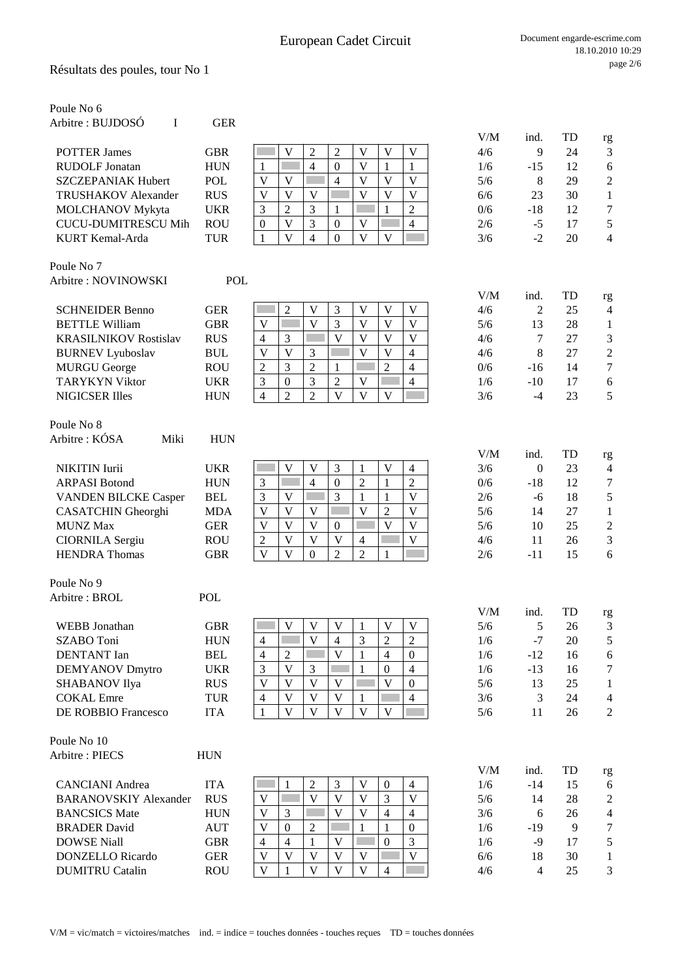Résultats des poules, tour No 1

| Poule No 6                   |            |                                                                                                                                |     |                |    |                      |
|------------------------------|------------|--------------------------------------------------------------------------------------------------------------------------------|-----|----------------|----|----------------------|
| Arbitre : BUJDOSÓ<br>I       | <b>GER</b> |                                                                                                                                |     |                |    |                      |
|                              |            |                                                                                                                                | V/M | ind.           | TD | rg                   |
| <b>POTTER James</b>          | <b>GBR</b> | $\overline{2}$<br>$\overline{2}$<br>V<br>V<br>V<br>$\mathbf V$                                                                 | 4/6 | 9              | 24 | $\mathfrak{Z}$       |
| <b>RUDOLF Jonatan</b>        | <b>HUN</b> | $\overline{4}$<br>$\boldsymbol{0}$<br>V<br>1<br>1<br>1                                                                         | 1/6 | $-15$          | 12 | $\sqrt{6}$           |
| <b>SZCZEPANIAK Hubert</b>    | <b>POL</b> | $\overline{4}$<br>V<br>V<br>V<br>V<br>V                                                                                        | 5/6 | 8              | 29 | $\sqrt{2}$           |
| TRUSHAKOV Alexander          | <b>RUS</b> | $\overline{\mathsf{V}}$<br>$\mathbf V$<br>V<br>V<br>$\bar{V}$<br>V                                                             | 6/6 | 23             | 30 | $\mathbf{1}$         |
| <b>MOLCHANOV Mykyta</b>      | <b>UKR</b> | 3<br>$\overline{2}$<br>3<br>2<br>1<br>1                                                                                        | 0/6 | $-18$          | 12 | $\boldsymbol{7}$     |
| <b>CUCU-DUMITRESCU Mih</b>   | <b>ROU</b> | 3<br>$\overline{\mathsf{V}}$<br>$\boldsymbol{0}$<br>$\mathbf V$<br>$\boldsymbol{0}$<br>$\overline{4}$                          | 2/6 | $-5$           | 17 | $\sqrt{5}$           |
| KURT Kemal-Arda              | <b>TUR</b> | $\overline{\mathsf{V}}$<br>$\overline{\mathbf{V}}$<br>$\mathbf{1}$<br>$\overline{4}$<br>$\boldsymbol{0}$<br>V                  | 3/6 | $-2$           | 20 | $\overline{4}$       |
| Poule No 7                   |            |                                                                                                                                |     |                |    |                      |
| Arbitre: NOVINOWSKI          | <b>POL</b> |                                                                                                                                |     |                |    |                      |
|                              |            |                                                                                                                                | V/M | ind.           | TD |                      |
| <b>SCHNEIDER Benno</b>       | <b>GER</b> | V<br>3<br>V<br>V<br>$\bar{V}$<br>$\overline{2}$                                                                                | 4/6 | 2              | 25 | rg<br>$\overline{4}$ |
| <b>BETTLE William</b>        | <b>GBR</b> | $\overline{\mathbf{V}}$<br>3<br>$\overline{V}$<br>V<br>V<br>V                                                                  | 5/6 | 13             | 28 | $\mathbf{1}$         |
| <b>KRASILNIKOV Rostislav</b> | <b>RUS</b> | $\overline{\mathbf{V}}$<br>$\overline{\mathsf{V}}$<br>$\mathbf{V}$<br>$\overline{\mathsf{V}}$<br>3<br>$\overline{4}$           | 4/6 | 7              | 27 | $\mathfrak{Z}$       |
|                              | <b>BUL</b> | $\overline{V}$<br>3<br>$\overline{V}$<br>V<br>4<br>V                                                                           | 4/6 | 8              | 27 | $\sqrt{2}$           |
| <b>BURNEV</b> Lyuboslav      |            | 3<br>$\overline{2}$<br>$\overline{2}$                                                                                          |     |                | 14 | $\boldsymbol{7}$     |
| <b>MURGU George</b>          | <b>ROU</b> | $\mathfrak{2}$<br>4<br>1                                                                                                       | 0/6 | $-16$          |    |                      |
| <b>TARYKYN Viktor</b>        | <b>UKR</b> | 3<br>$\overline{2}$<br>3<br>$\boldsymbol{0}$<br>V<br>$\overline{4}$                                                            | 1/6 | $-10$          | 17 | $\sqrt{6}$           |
| <b>NIGICSER Illes</b>        | <b>HUN</b> | $\overline{4}$<br>$\overline{2}$<br>$\overline{2}$<br>$\mathbf V$<br>V<br>V                                                    | 3/6 | $-4$           | 23 | 5                    |
| Poule No 8                   |            |                                                                                                                                |     |                |    |                      |
| Arbitre: KÓSA<br>Miki        | <b>HUN</b> |                                                                                                                                |     |                |    |                      |
|                              |            |                                                                                                                                | V/M | ind.           | TD | rg                   |
| <b>NIKITIN</b> Iurii         | <b>UKR</b> | V<br>V<br>$\mathfrak{Z}$<br>V<br>$\mathbf{1}$<br>$\overline{4}$                                                                | 3/6 | $\mathbf{0}$   | 23 | $\overline{4}$       |
| <b>ARPASI Botond</b>         | <b>HUN</b> | $\overline{4}$<br>$\overline{2}$<br>3<br>$\boldsymbol{0}$<br>$\mathbf{1}$<br>$\overline{2}$                                    | 0/6 | $-18$          | 12 | $\tau$               |
| <b>VANDEN BILCKE Casper</b>  | <b>BEL</b> | 3<br>$\overline{\mathsf{V}}$<br>3<br>$\mathbf V$<br>$\mathbf{1}$<br>$\mathbf{1}$                                               | 2/6 | $-6$           | 18 | $\sqrt{5}$           |
| <b>CASATCHIN</b> Gheorghi    | <b>MDA</b> | $\overline{V}$<br>$\mathbf V$<br>$\overline{\mathsf{V}}$<br>$\overline{2}$<br>$\overline{V}$<br>$\overline{\mathsf{V}}$        | 5/6 | 14             | 27 | $\mathbf{1}$         |
| <b>MUNZ Max</b>              | <b>GER</b> | $\overline{V}$<br>$\overline{\mathbf{V}}$<br>$\overline{\mathsf{V}}$<br>$\overline{\mathsf{V}}$<br>$\mathbf{0}$<br>$\mathbf V$ | 5/6 | 10             | 25 | $\boldsymbol{2}$     |
|                              | <b>ROU</b> | $\overline{\mathbf{V}}$<br>V<br>V<br>V<br>$\overline{4}$                                                                       | 4/6 | 11             | 26 | $\mathfrak{Z}$       |
| <b>CIORNILA</b> Sergiu       |            | $\overline{c}$<br>$\mathbf{V}$<br>$\overline{c}$<br>$\overline{2}$<br>$\mathbf V$<br>$\mathbf{0}$                              |     |                | 15 | 6                    |
| <b>HENDRA</b> Thomas         | <b>GBR</b> | 1                                                                                                                              | 2/6 | $-11$          |    |                      |
| Poule No 9                   |            |                                                                                                                                |     |                |    |                      |
| Arbitre: BROL                | <b>POL</b> |                                                                                                                                |     |                |    |                      |
|                              |            |                                                                                                                                | V/M | ind.           | TD | rg                   |
| <b>WEBB</b> Jonathan         | <b>GBR</b> | V<br>V<br>V<br>V<br>V<br>1                                                                                                     | 5/6 | 5              | 26 | 3                    |
| SZABO Toni                   | <b>HUN</b> | $\overline{\mathbf{V}}$<br>3<br>$\overline{2}$<br>$\overline{c}$<br>$\overline{4}$<br>$\overline{4}$                           | 1/6 | $-7$           | 20 | $\mathfrak s$        |
| <b>DENTANT</b> Ian           | <b>BEL</b> | $\mathbf V$<br>$\overline{4}$<br>$\overline{2}$<br>$\overline{4}$<br>$\mathbf{0}$<br>1                                         | 1/6 | $-12$          | 16 | $\sqrt{6}$           |
| <b>DEMYANOV Dmytro</b>       | <b>UKR</b> | $\mathfrak{Z}$<br>V<br>3<br>$\mathbf{0}$<br>$\overline{4}$<br>$\mathbf{1}$                                                     | 1/6 | $-13$          | 16 | $\boldsymbol{7}$     |
| SHABANOV Ilya                | <b>RUS</b> | $\overline{\mathsf{V}}$<br>V<br>$\mathbf V$<br>V<br>$\mathbf{V}$<br>$\boldsymbol{0}$                                           | 5/6 | 13             | 25 | 1                    |
| <b>COKAL</b> Emre            | <b>TUR</b> | V<br>$\mathbf{V}$<br>$\mathbf{V}$<br>$\overline{4}$<br>$\overline{4}$<br>1                                                     | 3/6 | 3              | 24 | $\overline{4}$       |
| DE ROBBIO Francesco          | <b>ITA</b> | $\mathbf{V}$<br>$\mathbf{V}$<br>$\mathbf{V}$<br>$\mathbf{V}$<br>$\mathbf{V}$<br>$\mathbf{1}$                                   | 5/6 | 11             | 26 | $\sqrt{2}$           |
|                              |            |                                                                                                                                |     |                |    |                      |
| Poule No 10                  |            |                                                                                                                                |     |                |    |                      |
| Arbitre: PIECS               | <b>HUN</b> |                                                                                                                                |     |                |    |                      |
|                              |            |                                                                                                                                | V/M | ind.           | TD | rg                   |
| <b>CANCIANI</b> Andrea       | <b>ITA</b> | $\mathfrak{Z}$<br>$\overline{c}$<br>V<br>$\boldsymbol{0}$<br>1<br>$\overline{4}$<br>$\overline{\mathbf{V}}$                    | 1/6 | $-14$          | 15 | 6                    |
| <b>BARANOVSKIY Alexander</b> | <b>RUS</b> | $\mathbf{V}$<br>3<br>$\overline{\mathsf{V}}$<br>$\mathbf V$<br>V                                                               | 5/6 | 14             | 28 | $\mathfrak{2}$       |
| <b>BANCSICS Mate</b>         | <b>HUN</b> | $\overline{\mathbf{V}}$<br>$\mathbf V$<br>3<br>V<br>$\overline{4}$<br>$\overline{4}$                                           | 3/6 | 6              | 26 | $\overline{4}$       |
| <b>BRADER David</b>          | <b>AUT</b> | V<br>2<br>$\theta$<br>1<br>1<br>$\mathbf{0}$                                                                                   | 1/6 | $-19$          | 9  | 7                    |
| <b>DOWSE Niall</b>           | <b>GBR</b> | $\mathbf{0}$<br>3<br>V<br>$\overline{4}$<br>4<br>1                                                                             | 1/6 | $-9$           | 17 | $\sqrt{5}$           |
| <b>DONZELLO</b> Ricardo      | <b>GER</b> | $\mathbf V$<br>V<br>V<br>V<br>$\mathbf V$<br>$\mathbf V$                                                                       | 6/6 | 18             | 30 | $\mathbf{1}$         |
| <b>DUMITRU Catalin</b>       | <b>ROU</b> | $\mathbf V$<br>V<br>$\mathbf{V}$<br>V<br>$\overline{4}$<br>$\mathbf{1}$                                                        | 4/6 | $\overline{4}$ | 25 | 3                    |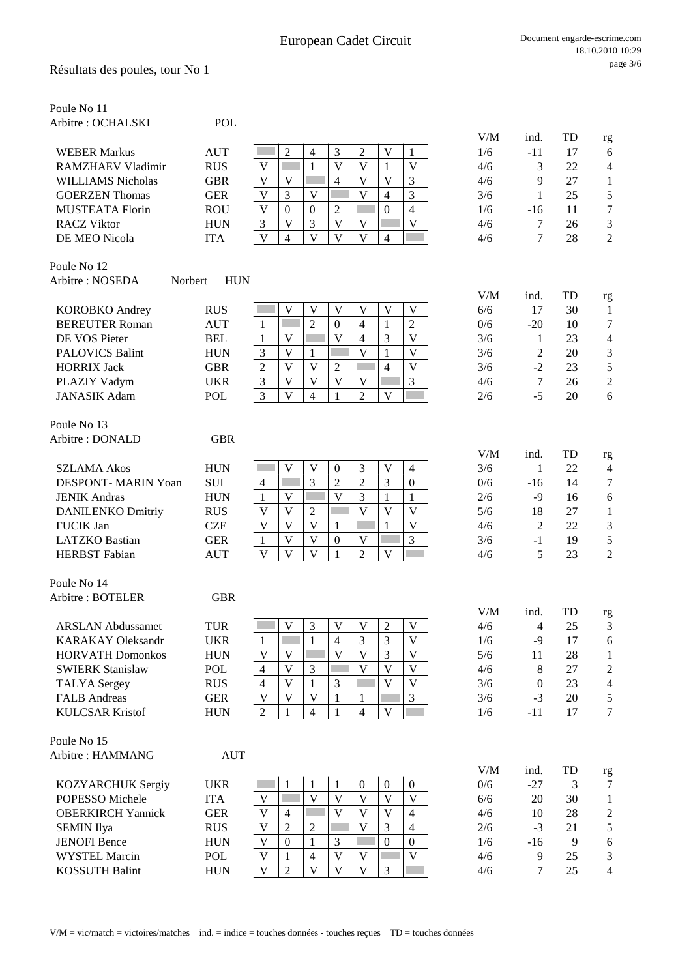| Poule No 11                |            |                                                                                                                                     |            |                 |          |                             |
|----------------------------|------------|-------------------------------------------------------------------------------------------------------------------------------------|------------|-----------------|----------|-----------------------------|
| Arbitre : OCHALSKI         | <b>POL</b> |                                                                                                                                     |            |                 |          |                             |
|                            |            |                                                                                                                                     | V/M        | ind.            | TD       | rg                          |
| <b>WEBER Markus</b>        | <b>AUT</b> | $\overline{2}$<br>$\mathfrak{Z}$<br>$\overline{2}$<br>V<br>$\overline{4}$<br>1                                                      | 1/6        | $-11$           | 17       | 6                           |
| <b>RAMZHAEV Vladimir</b>   | <b>RUS</b> | V<br>$\mathbf V$<br>V<br>$\mathbf{1}$<br>V<br>1                                                                                     | 4/6        | 3               | 22       | $\overline{4}$              |
| <b>WILLIAMS Nicholas</b>   | <b>GBR</b> | V<br>V<br>V<br>V<br>$\overline{4}$<br>3                                                                                             | 4/6        | 9               | 27       | $\mathbf{1}$                |
| <b>GOERZEN</b> Thomas      | <b>GER</b> | $\mathbf V$<br>$\mathbf V$<br>V<br>3<br>3<br>$\overline{4}$                                                                         | 3/6        | 1               | 25       | $\mathfrak s$               |
| <b>MUSTEATA Florin</b>     | <b>ROU</b> | V<br>$\boldsymbol{0}$<br>2<br>$\boldsymbol{0}$<br>4<br>$\mathbf{0}$                                                                 | 1/6        | $-16$           | 11       | $\boldsymbol{7}$            |
| <b>RACZ Viktor</b>         | <b>HUN</b> | 3<br>V<br>$\mathbf V$<br>$\mathbf V$<br>$\mathfrak{Z}$<br>V                                                                         | 4/6        | 7               | 26       | $\ensuremath{\mathfrak{Z}}$ |
| DE MEO Nicola              | <b>ITA</b> | $\overline{V}$<br>$\overline{\mathbf{V}}$<br>$\overline{\mathbf{V}}$<br>$\overline{\mathbf{V}}$<br>$\overline{4}$<br>$\overline{4}$ | 4/6        | 7               | 28       | $\sqrt{2}$                  |
| Poule No 12                |            |                                                                                                                                     |            |                 |          |                             |
| Arbitre: NOSEDA<br>Norbert | <b>HUN</b> |                                                                                                                                     |            |                 |          |                             |
| <b>KOROBKO</b> Andrey      | <b>RUS</b> | V<br>V<br>V<br>V<br>V<br>V                                                                                                          | V/M<br>6/6 | ind.<br>17      | TD<br>30 | rg<br>1                     |
| <b>BEREUTER Roman</b>      | <b>AUT</b> | $\overline{2}$<br>$\overline{c}$<br>$\overline{0}$<br>$\overline{4}$<br>$\mathbf{1}$<br>$\mathbf{1}$                                | 0/6        | $-20$           | 10       | $\tau$                      |
| DE VOS Pieter              | <b>BEL</b> | 3<br>$\overline{\mathsf{V}}$<br>$\overline{\mathbf{V}}$<br>$\overline{4}$<br>V<br>$\mathbf{1}$                                      | 3/6        | 1               | 23       | $\overline{4}$              |
| <b>PALOVICS Balint</b>     | <b>HUN</b> | $\mathbf{V}$<br>$\overline{\mathbf{V}}$<br>$\overline{V}$<br>3<br>$\mathbf{1}$<br>$\mathbf{1}$                                      | 3/6        | 2               | 20       | $\ensuremath{\mathfrak{Z}}$ |
| <b>HORRIX Jack</b>         | <b>GBR</b> | $\overline{2}$<br>$\overline{V}$<br>V<br>V<br>$\overline{4}$<br>$\overline{c}$                                                      | 3/6        | $-2$            | 23       | 5                           |
| PLAZIY Vadym               | <b>UKR</b> | $\mathbf V$<br>3<br>$\mathfrak{Z}$<br>V<br>V<br>V                                                                                   | 4/6        | $7\phantom{.0}$ | 26       | $\sqrt{2}$                  |
| <b>JANASIK Adam</b>        | POL        | 3<br>V<br>$\overline{2}$<br>V<br>$\overline{4}$<br>1                                                                                | 2/6        | $-5$            | 20       | 6                           |
| Poule No 13                |            |                                                                                                                                     |            |                 |          |                             |
| Arbitre: DONALD            | <b>GBR</b> |                                                                                                                                     |            |                 |          |                             |
|                            |            |                                                                                                                                     | V/M        | ind.            | TD       | rg                          |
| <b>SZLAMA Akos</b>         | <b>HUN</b> | V<br>$\mathbf V$<br>3<br>V<br>$\boldsymbol{0}$<br>$\overline{4}$                                                                    | 3/6        | $\mathbf{1}$    | 22       | $\overline{4}$              |
| <b>DESPONT- MARIN Yoan</b> | <b>SUI</b> | 3<br>$\overline{2}$<br>$\overline{2}$<br>$\mathfrak{Z}$<br>$\mathbf{0}$<br>$\overline{4}$                                           | 0/6        | $-16$           | 14       | $\tau$                      |
| <b>JENIK Andras</b>        | <b>HUN</b> | V<br>V<br>3<br>$\mathbf{1}$<br>1<br>1                                                                                               | 2/6        | $-9$            | 16       | 6                           |
| <b>DANILENKO Dmitriy</b>   | <b>RUS</b> | $\overline{2}$<br>V<br>V<br>V<br>$\mathbf V$<br>$\mathbf V$                                                                         | 5/6        | 18              | 27       | $\mathbf{1}$                |
| FUCIK Jan                  | <b>CZE</b> | $\overline{V}$<br>$\overline{\mathbf{V}}$<br>$\overline{\mathbf{V}}$<br>$\mathbf V$<br>$\mathbf{1}$<br>$\mathbf{1}$                 | 4/6        | $\mathfrak{2}$  | 22       | $\mathfrak{Z}$              |
| <b>LATZKO</b> Bastian      | <b>GER</b> | $\overline{\mathbf{V}}$<br>$\overline{V}$<br>3<br>$\boldsymbol{0}$<br>V<br>$\mathbf{1}$                                             | 3/6        | $-1$            | 19       | $\sqrt{5}$                  |
| <b>HERBST</b> Fabian       | <b>AUT</b> | $\overline{\mathbf{V}}$<br>$\overline{V}$<br>$\overline{V}$<br>$\overline{2}$<br>$\mathbf{V}$<br>1                                  | 4/6        | 5               | 23       | $\overline{2}$              |
| Poule No 14                |            |                                                                                                                                     |            |                 |          |                             |
| Arbitre: BOTELER           | <b>GBR</b> |                                                                                                                                     | V/M        | ind.            | TD       |                             |
| <b>ARSLAN Abdussamet</b>   | <b>TUR</b> | ⊏<br>3<br>V<br>V<br>$\overline{c}$<br>V<br>v                                                                                        | 4/6        | 4               | 25       | rg<br>3                     |
| <b>KARAKAY Oleksandr</b>   | <b>UKR</b> | $\overline{3}$<br>$\bar{V}$<br>$\mathbf{1}$<br>$\overline{4}$<br>3<br>$\mathbf{1}$                                                  | 1/6        | $-9$            | 17       | $\boldsymbol{6}$            |
| <b>HORVATH Domonkos</b>    | <b>HUN</b> | $\overline{\mathbf{V}}$<br>$\mathbf V$<br>V<br>V<br>3<br>$\mathbf V$                                                                | 5/6        | 11              | 28       | $\mathbf{1}$                |
| <b>SWIERK Stanislaw</b>    | POL        | $\overline{\mathbf{V}}$<br>$\overline{V}$<br>$\overline{\mathbf{V}}$<br>$\bar{V}$<br>3<br>$\overline{4}$                            | 4/6        | 8               | 27       | $\sqrt{2}$                  |
| <b>TALYA</b> Sergey        | <b>RUS</b> | $\overline{\mathsf{V}}$<br>V<br>$\mathbf{1}$<br>3<br>V<br>$\overline{4}$                                                            | 3/6        | $\theta$        | 23       | $\overline{4}$              |
| <b>FALB</b> Andreas        | <b>GER</b> | $\overline{\mathbf{V}}$<br>$\overline{3}$<br>V<br>V<br>$\mathbf{1}$<br>1                                                            | 3/6        | $-3$            | 20       | 5                           |
| <b>KULCSAR Kristof</b>     | <b>HUN</b> | $\overline{2}$<br>$\mathbf{V}$<br>$\overline{4}$<br>$\overline{4}$<br>$\mathbf{1}$<br>$\mathbf{1}$                                  | 1/6        | $-11$           | 17       | $\overline{7}$              |
| Poule No 15                |            |                                                                                                                                     |            |                 |          |                             |
| Arbitre: HAMMANG           | <b>AUT</b> |                                                                                                                                     |            |                 |          |                             |
|                            |            |                                                                                                                                     | V/M        | ind.            | TD       | rg                          |
| KOZYARCHUK Sergiy          | <b>UKR</b> | $\boldsymbol{0}$<br>1<br>1<br>1<br>$\boldsymbol{0}$<br>$\boldsymbol{0}$                                                             | 0/6        | $-27$           | 3        | $\tau$                      |
| POPESSO Michele            | <b>ITA</b> | $\overline{\mathbf{V}}$<br>$\mathbf{V}$<br>$\bar{V}$<br>V<br>V<br>V                                                                 | 6/6        | 20              | 30       | $\mathbf{1}$                |
| <b>OBERKIRCH Yannick</b>   | <b>GER</b> | $\mathbf V$<br>V<br>V<br>$\overline{4}$<br>V<br>$\overline{4}$                                                                      | 4/6        | 10              | 28       | $\sqrt{2}$                  |
| <b>SEMIN Ilya</b>          | <b>RUS</b> | V<br>$\overline{c}$<br>2<br>V<br>$\overline{4}$<br>3                                                                                | 2/6        | $-3$            | 21       | $\mathfrak s$               |
| <b>JENOFI</b> Bence        | <b>HUN</b> | $\overline{0}$<br>$\mathbf V$<br>3<br>$\boldsymbol{0}$<br>$\mathbf{0}$<br>1                                                         | 1/6        | $-16$           | 9        | $\sqrt{6}$                  |
| <b>WYSTEL Marcin</b>       | <b>POL</b> | $\overline{\mathsf{V}}$<br>$\mathbf V$<br>$\mathbf V$<br>$\overline{4}$<br>V<br>1                                                   | 4/6        | 9               | 25       | 3                           |
| <b>KOSSUTH Balint</b>      | <b>HUN</b> | $\overline{\mathbf{V}}$<br>$\mathbf V$<br>$\mathbf V$<br>$\overline{2}$<br>V<br>3                                                   | 4/6        | $\tau$          | 25       | $\overline{4}$              |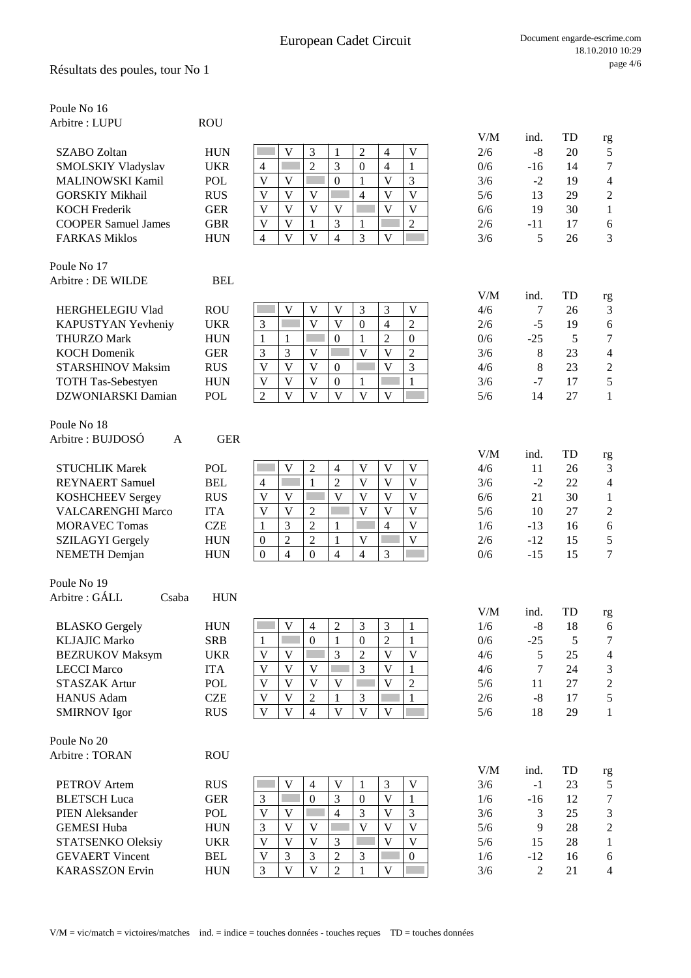### Résultats des poules, tour No 1

| Poule No 16<br>Arbitre: LUPU                 | <b>ROU</b>        |                                                                                                                                                                       |            |                         |          |                        |
|----------------------------------------------|-------------------|-----------------------------------------------------------------------------------------------------------------------------------------------------------------------|------------|-------------------------|----------|------------------------|
|                                              |                   |                                                                                                                                                                       | V/M        | ind.                    | TD       | rg                     |
| <b>SZABO Zoltan</b>                          | <b>HUN</b>        | V<br>3<br>$\overline{2}$<br>$\mathbf V$<br>$\mathbf{1}$<br>$\overline{4}$                                                                                             | 2/6        | $-8$                    | 20       | 5                      |
| <b>SMOLSKIY Vladyslav</b>                    | <b>UKR</b>        | $\overline{2}$<br>3<br>$\overline{4}$<br>1<br>$\overline{4}$<br>$\theta$                                                                                              | 0/6        | $-16$                   | 14       | 7                      |
| <b>MALINOWSKI Kamil</b>                      | <b>POL</b>        | $\mathbf{V}$<br>V<br>V<br>$\boldsymbol{0}$<br>1<br>3                                                                                                                  | 3/6        | $-2$                    | 19       | $\overline{4}$         |
| <b>GORSKIY Mikhail</b>                       | <b>RUS</b>        | $\overline{V}$<br>$\mathbf{V}$<br>$\overline{\mathsf{V}}$<br>V<br>V<br>$\overline{4}$                                                                                 | 5/6        | 13                      | 29       | $\overline{c}$         |
| <b>KOCH Frederik</b>                         | <b>GER</b>        | $\mathbf{V}$<br>$\mathbf{V}$<br>$\overline{\mathsf{V}}$<br>$\mathbf{V}$<br>V<br>V                                                                                     | 6/6        | 19                      | 30       | $\mathbf{1}$           |
| <b>COOPER Samuel James</b>                   | <b>GBR</b>        | $\mathbf V$<br>V<br>3<br>$\overline{2}$<br>$\mathbf{1}$<br>$\mathbf{1}$                                                                                               | 2/6        | $-11$                   | 17       | 6                      |
| <b>FARKAS Miklos</b>                         | <b>HUN</b>        | $\mathbf{V}$<br>3<br>V<br>$\overline{4}$<br>V<br>$\overline{4}$                                                                                                       | 3/6        | 5                       | 26       | 3                      |
| Poule No 17                                  |                   |                                                                                                                                                                       |            |                         |          |                        |
| Arbitre : DE WILDE                           | <b>BEL</b>        |                                                                                                                                                                       | V/M        | ind.                    | TD       |                        |
| <b>HERGHELEGIU Vlad</b>                      | <b>ROU</b>        | 3<br>3<br>V<br>V<br>V<br>V                                                                                                                                            | 4/6        | 7                       | 26       | rg<br>$\mathfrak{Z}$   |
| KAPUSTYAN Yevheniy                           | <b>UKR</b>        | $\overline{\mathsf{V}}$<br>$\mathfrak{Z}$<br>V<br>$\overline{4}$<br>$\boldsymbol{2}$<br>$\boldsymbol{0}$                                                              | 2/6        | $-5$                    | 19       | 6                      |
| <b>THURZO Mark</b>                           | <b>HUN</b>        | $\overline{2}$<br>$\mathbf{1}$<br>$\mathbf{0}$<br>$\mathbf{1}$<br>$\mathbf{0}$<br>$\mathbf{1}$                                                                        | 0/6        | $-25$                   | 5        | $\tau$                 |
| <b>KOCH Domenik</b>                          | <b>GER</b>        | 3<br>3<br>$\mathbf V$<br>V<br>V<br>$\overline{2}$                                                                                                                     | 3/6        | 8                       | 23       | $\overline{4}$         |
| <b>STARSHINOV Maksim</b>                     | <b>RUS</b>        | 3<br>$\mathbf V$<br>$\mathbf V$<br>$\mathbf{V}$<br>V<br>$\boldsymbol{0}$                                                                                              | 4/6        | 8                       | 23       | $\boldsymbol{2}$       |
| TOTH Tas-Sebestyen                           | <b>HUN</b>        | V<br>V<br>$\boldsymbol{0}$<br>$\,1$<br>$\mathbf V$<br>$\mathbf{1}$                                                                                                    | 3/6        | $-7$                    | 17       | $\mathfrak s$          |
| <b>DZWONIARSKI Damian</b>                    | <b>POL</b>        | $\overline{\mathbf{V}}$<br>$\overline{2}$<br>$\mathbf{V}$<br>$\overline{V}$<br>$\mathbf{V}$<br>$\mathbf{V}$                                                           | 5/6        | 14                      | 27       | $\mathbf{1}$           |
| Poule No 18                                  |                   |                                                                                                                                                                       |            |                         |          |                        |
| Arbitre : BUJDOSÓ<br>A                       | <b>GER</b>        |                                                                                                                                                                       |            |                         |          |                        |
| <b>STUCHLIK Marek</b>                        | POL               | $\sqrt{2}$<br>$\mathbf V$<br>V<br>$\mathbf V$<br>V<br>$\overline{4}$                                                                                                  | V/M<br>4/6 | ind.<br>11              | TD<br>26 | rg<br>3                |
| <b>REYNAERT</b> Samuel                       | <b>BEL</b>        | $\mathbf{1}$<br>$\overline{2}$<br>$\mathbf{V}$<br>$\mathbf{V}$<br>$\overline{\mathsf{V}}$<br>$\overline{4}$                                                           | 3/6        | $-2$                    | 22       | $\overline{4}$         |
| <b>KOSHCHEEV Sergey</b>                      | <b>RUS</b>        | $\overline{\mathbf{V}}$<br>$\mathbf{V}$<br>$\overline{\mathsf{V}}$<br>$\mathbf{V}$<br>V<br>V                                                                          | 6/6        | 21                      | 30       | $\mathbf{1}$           |
| <b>VALCARENGHI Marco</b>                     | <b>ITA</b>        | V<br>V<br>$\overline{2}$<br>V<br>$\mathbf V$<br>V                                                                                                                     | 5/6        | 10                      | 27       | $\sqrt{2}$             |
| <b>MORAVEC Tomas</b>                         | <b>CZE</b>        | 3<br>$\overline{2}$<br>$\overline{\mathsf{V}}$<br>$\overline{4}$<br>$\mathbf{1}$<br>$\mathbf{1}$                                                                      | 1/6        | $-13$                   | 16       | 6                      |
| <b>SZILAGYI Gergely</b>                      | <b>HUN</b>        | $\overline{2}$<br>$\overline{2}$<br>$\overline{\mathsf{V}}$<br>$\mathbf{1}$<br>$\boldsymbol{0}$<br>V                                                                  | 2/6        | $-12$                   | 15       | 5                      |
| <b>NEMETH</b> Demjan                         | <b>HUN</b>        | $\overline{4}$<br>$\boldsymbol{0}$<br>$\overline{4}$<br>$\overline{0}$<br>3<br>4                                                                                      | 0/6        | $-15$                   | 15       | $\tau$                 |
| Poule No 19                                  |                   |                                                                                                                                                                       |            |                         |          |                        |
| Arbitre : GÁLL<br>Csaba                      | <b>HUN</b>        |                                                                                                                                                                       |            |                         |          |                        |
|                                              |                   |                                                                                                                                                                       | V/M        | ind.                    | TD       | rg                     |
| <b>BLASKO</b> Gergely                        | <b>HUN</b>        | $\overline{\mathsf{V}}$<br>$\overline{c}$<br>3<br>3<br>$\overline{4}$<br>1<br>$\boldsymbol{0}$                                                                        | 1/6        | $-8$                    | 18       | 6                      |
| <b>KLJAJIC Marko</b>                         | <b>SRB</b>        | $\sqrt{2}$<br>$\mathbf{1}$<br>1<br>$\boldsymbol{0}$<br>$\mathbf{1}$<br>3<br>$\mathbf{V}$<br>$\overline{2}$<br>$\overline{\mathsf{V}}$<br>$\overline{\mathsf{V}}$<br>V | 0/6        | $-25$                   | 5<br>25  | 7                      |
| <b>BEZRUKOV Maksym</b><br><b>LECCI Marco</b> | <b>UKR</b>        | $\overline{\mathsf{V}}$<br>$\overline{\mathbf{V}}$<br>$\overline{\mathbf{V}}$<br>3<br>$\mathbf{V}$                                                                    | 4/6        | 5                       |          | $\overline{4}$         |
| <b>STASZAK Artur</b>                         | <b>ITA</b><br>POL | $\mathbf{1}$<br>V<br>V<br>V<br>V<br>V<br>$\overline{2}$                                                                                                               | 4/6        | 7<br>11                 | 24<br>27 | 3                      |
| <b>HANUS Adam</b>                            | <b>CZE</b>        | V<br>$\overline{2}$<br>3<br>$\mathbf{1}$<br>V                                                                                                                         | 5/6<br>2/6 | $-8$                    | 17       | $\boldsymbol{2}$       |
| <b>SMIRNOV</b> Igor                          | <b>RUS</b>        | $\mathbf{1}$<br>$\overline{\mathbf{V}}$<br>$\overline{\mathbf{V}}$<br>$\overline{\mathbf{V}}$<br>$\overline{\mathbf{V}}$<br>$\mathbf{V}$<br>$\overline{4}$            | 5/6        | 18                      | 29       | 5<br>$\mathbf{1}$      |
| Poule No 20                                  |                   |                                                                                                                                                                       |            |                         |          |                        |
| Arbitre: TORAN                               | <b>ROU</b>        |                                                                                                                                                                       |            |                         |          |                        |
|                                              |                   |                                                                                                                                                                       | V/M        | ind.                    | TD       | $\mathbf{r}\mathbf{g}$ |
| <b>PETROV</b> Artem                          | <b>RUS</b>        | $\mathfrak{Z}$<br>V<br>V<br>$\mathbf V$<br>$\overline{4}$<br>$\mathbf{1}$                                                                                             | 3/6        | $-1$                    | 23       | 5                      |
| <b>BLETSCH</b> Luca                          | <b>GER</b>        | $\mathfrak{Z}$<br>3<br>$\boldsymbol{0}$<br>V<br>$\overline{0}$<br>1                                                                                                   | 1/6        | $-16$                   | 12       | 7                      |
| <b>PIEN Aleksander</b>                       | <b>POL</b>        | $\mathbf{V}$<br>3<br>$\overline{4}$<br>3<br>V<br>V                                                                                                                    | 3/6        | 3                       | 25       | 3                      |
| <b>GEMESI Huba</b>                           | <b>HUN</b>        | V<br>3<br>V<br>V<br>V<br>V                                                                                                                                            | 5/6        | 9                       | 28       | $\boldsymbol{2}$       |
| STATSENKO Oleksiy                            | <b>UKR</b>        | $\mathbf{V}$<br>V<br>V<br>3<br>V<br>$\mathbf V$<br>$\overline{2}$                                                                                                     | 5/6        | 15                      | 28       | $\mathbf{1}$           |
| <b>GEVAERT</b> Vincent                       | <b>BEL</b>        | $\mathbf V$<br>3<br>3<br>3<br>$\boldsymbol{0}$<br>$\overline{V}$<br>3<br>$\mathbf{V}$<br>$\overline{2}$<br>$\mathbf V$<br>$\mathbf{1}$                                | 1/6        | $-12$<br>$\overline{2}$ | 16       | 6                      |
| <b>KARASSZON</b> Ervin                       | <b>HUN</b>        |                                                                                                                                                                       | 3/6        |                         | 21       | $\overline{4}$         |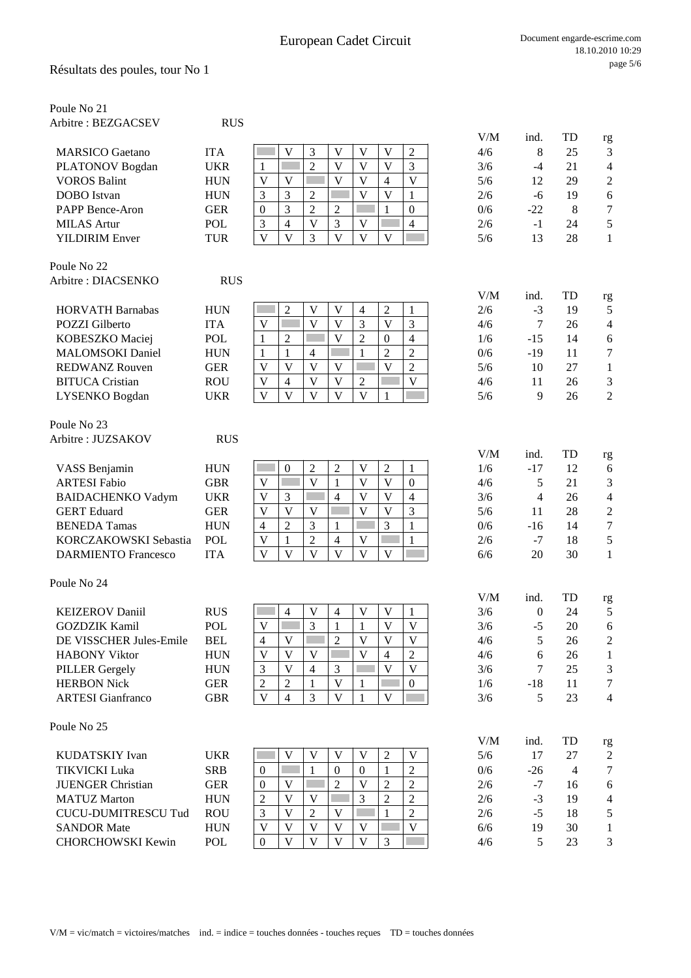| Poule No 21                |            |                                                                                                                               |            |                  |                |                  |
|----------------------------|------------|-------------------------------------------------------------------------------------------------------------------------------|------------|------------------|----------------|------------------|
| Arbitre: BEZGACSEV         | <b>RUS</b> |                                                                                                                               |            |                  |                |                  |
|                            |            |                                                                                                                               | V/M        | ind.             | TD             | rg               |
| <b>MARSICO</b> Gaetano     | <b>ITA</b> | V<br>3<br>V<br>V<br>$\mathbf{V}$<br>$\overline{2}$                                                                            | 4/6        | 8                | 25             | 3                |
| PLATONOV Bogdan            | <b>UKR</b> | $\overline{2}$<br>V<br>V<br>3<br>V<br>1                                                                                       | 3/6        | -4               | 21             | $\overline{4}$   |
| <b>VOROS Balint</b>        | <b>HUN</b> | $\overline{V}$<br>$\overline{\mathsf{V}}$<br>V<br>$\mathbf V$<br>$\mathbf V$<br>4                                             | 5/6        | 12               | 29             | $\overline{c}$   |
| <b>DOBO</b> Istvan         | <b>HUN</b> | $\overline{\mathsf{V}}$<br>3<br>3<br>$\mathfrak{2}$<br>V<br>1                                                                 | 2/6        | $-6$             | 19             | 6                |
| PAPP Bence-Aron            | <b>GER</b> | $\overline{2}$<br>3<br>$\overline{2}$<br>$\mathbf{1}$<br>$\boldsymbol{0}$<br>$\boldsymbol{0}$                                 | 0/6        | $-22$            | 8              | $\boldsymbol{7}$ |
| <b>MILAS</b> Artur         | <b>POL</b> | $\overline{\mathbf{V}}$<br>$\mathfrak{Z}$<br>$\mathbf{V}$<br>3<br>$\overline{4}$<br>$\overline{4}$                            | 2/6        | $-1$             | 24             | 5                |
| <b>YILDIRIM Enver</b>      | <b>TUR</b> | $\overline{\mathsf{V}}$<br>$\mathbf{V}$<br>$\overline{\mathsf{V}}$<br>3<br>$\overline{\mathbf{V}}$<br>$\overline{\mathsf{V}}$ | 5/6        | 13               | 28             | $\mathbf{1}$     |
| Poule No 22                |            |                                                                                                                               |            |                  |                |                  |
| Arbitre : DIACSENKO        | <b>RUS</b> |                                                                                                                               |            |                  |                |                  |
| <b>HORVATH Barnabas</b>    | <b>HUN</b> | $\overline{c}$<br>$\overline{2}$<br>V<br>V<br>$\overline{4}$<br>$\mathbf{1}$                                                  | V/M<br>2/6 | ind.<br>$-3$     | TD<br>19       | rg<br>5          |
| <b>POZZI</b> Gilberto      | <b>ITA</b> | 3<br>$\mathfrak{Z}$<br>$\overline{V}$<br>V<br>V<br>V                                                                          | 4/6        | $\tau$           | 26             | $\overline{4}$   |
| KOBESZKO Maciej            | <b>POL</b> | $\overline{\mathbf{V}}$<br>$\overline{2}$<br>$\overline{4}$<br>$\overline{2}$<br>$\mathbf{1}$<br>$\overline{0}$               | 1/6        | $-15$            | 14             | 6                |
| <b>MALOMSOKI</b> Daniel    | <b>HUN</b> | $\overline{2}$<br>$\overline{2}$<br>$\mathbf{1}$<br>1<br>$\overline{4}$<br>1                                                  | 0/6        | $-19$            | 11             | $\boldsymbol{7}$ |
| <b>REDWANZ Rouven</b>      | <b>GER</b> | $\overline{2}$<br>V<br>V<br>$\mathbf V$<br>V<br>V                                                                             | 5/6        | 10               | 27             | $\mathbf{1}$     |
| <b>BITUCA</b> Cristian     | <b>ROU</b> | V<br>V<br>V<br>$\mathbf{V}$<br>$\overline{4}$<br>$\mathfrak{2}$                                                               | 4/6        | 11               | 26             | 3                |
| LYSENKO Bogdan             | <b>UKR</b> | $\overline{\mathsf{V}}$<br>$\mathbf{V}$<br>$\mathbf{V}$<br>$\mathbf{V}$<br>$\mathbf{V}$<br>1                                  | 5/6        | 9                | 26             | $\overline{2}$   |
| Poule No 23                |            |                                                                                                                               |            |                  |                |                  |
| Arbitre : JUZSAKOV         | <b>RUS</b> |                                                                                                                               |            |                  |                |                  |
|                            |            |                                                                                                                               | V/M        | ind.             | TD             | rg               |
| VASS Benjamin              | <b>HUN</b> | $\overline{2}$<br>$\overline{2}$<br>$\mathbf V$<br>$\overline{2}$<br>$\boldsymbol{0}$<br>1                                    | 1/6        | $-17$            | 12             | 6                |
| <b>ARTESI Fabio</b>        | <b>GBR</b> | $\mathbf{1}$<br>$\mathbf V$<br>$\overline{\mathbf{V}}$<br>$\mathbf{V}$<br>$\overline{V}$<br>$\boldsymbol{0}$                  | 4/6        | 5                | 21             | 3                |
| <b>BAIDACHENKO Vadym</b>   | <b>UKR</b> | $\mathbf{V}$<br>3<br>$\overline{4}$<br>$\mathbf{V}$<br>$\overline{\mathsf{V}}$<br>$\overline{4}$                              | 3/6        | $\overline{4}$   | 26             | $\overline{4}$   |
| <b>GERT</b> Eduard         | <b>GER</b> | $\mathbf{V}$<br>$\overline{\mathsf{V}}$<br>V<br>$\overline{\mathsf{V}}$<br>3<br>V                                             | 5/6        | 11               | 28             | $\overline{c}$   |
| <b>BENEDA Tamas</b>        | <b>HUN</b> | $\overline{2}$<br>3<br>3<br>$\mathbf{1}$<br>$\overline{4}$<br>1                                                               | 0/6        | $-16$            | 14             | $\overline{7}$   |
| KORCZAKOWSKI Sebastia      | POL        | $\overline{2}$<br>$\mathbf{1}$<br>V<br>$\mathbf{1}$<br>$\overline{4}$<br>V                                                    | 2/6        | $-7$             | 18             | 5                |
| <b>DARMIENTO Francesco</b> | <b>ITA</b> | $\overline{V}$<br>$\overline{V}$<br>$\mathbf{V}$<br>V<br>$\mathbf{V}$<br>$\mathbf{V}$                                         | 6/6        | 20               | 30             | $\mathbf{1}$     |
| Poule No 24                |            |                                                                                                                               |            |                  |                |                  |
|                            |            |                                                                                                                               | V/M        | ind.             | TD             | rg               |
| <b>KEIZEROV Daniil</b>     | <b>RUS</b> | V<br>$\overline{4}$<br>V<br>V<br>$\overline{4}$<br>1                                                                          | 3/6        | $\boldsymbol{0}$ | 24             | 5                |
| <b>GOZDZIK Kamil</b>       | POL        | V<br>3<br>$\mathbf V$<br>V<br>1<br>1                                                                                          | 3/6        | $-5$             | 20             | 6                |
| DE VISSCHER Jules-Emile    | <b>BEL</b> | $\overline{2}$<br>$\overline{\mathbf{V}}$<br>$\overline{\mathsf{V}}$<br>$\overline{4}$<br>$\mathbf{V}$<br>V                   | 4/6        | 5                | 26             | $\boldsymbol{2}$ |
| <b>HABONY Viktor</b>       | <b>HUN</b> | $\overline{V}$<br>$\overline{\mathsf{V}}$<br>$\overline{2}$<br>V<br>V<br>4                                                    | 4/6        | 6                | 26             | 1                |
| <b>PILLER Gergely</b>      | <b>HUN</b> | $\overline{3}$<br>$\overline{\mathsf{V}}$<br>$\overline{V}$<br>$\mathfrak{Z}$<br>V<br>$\overline{4}$                          | 3/6        | 7                | 25             | 3                |
| <b>HERBON Nick</b>         | <b>GER</b> | $\mathfrak{2}$<br>V<br>$\mathfrak{2}$<br>$\mathbf{1}$<br>$\boldsymbol{0}$<br>1                                                | 1/6        | $-18$            | 11             | $\tau$           |
| <b>ARTESI</b> Gianfranco   | <b>GBR</b> | $\overline{\mathbf{V}}$<br>$\mathbf{V}$<br>3<br>$\overline{\mathsf{V}}$<br>$\overline{4}$<br>$\mathbf{1}$                     | 3/6        | 5                | 23             | $\overline{4}$   |
| Poule No 25                |            |                                                                                                                               |            |                  |                |                  |
|                            |            |                                                                                                                               | V/M        | ind.             | TD             | rg               |
| KUDATSKIY Ivan             | <b>UKR</b> | V<br>V<br>V<br>$\overline{2}$<br>$\mathbf{V}$<br>V                                                                            | 5/6        | 17               | 27             | $\overline{c}$   |
| <b>TIKVICKI Luka</b>       | <b>SRB</b> | $\overline{2}$<br>$\mathbf{1}$<br>$\mathbf{0}$<br>$\mathbf{1}$<br>$\boldsymbol{0}$<br>$\overline{0}$                          | 0/6        | $-26$            | $\overline{4}$ | $\tau$           |
| <b>JUENGER Christian</b>   | <b>GER</b> | $\overline{2}$<br>$\overline{2}$<br>V<br>$\overline{2}$<br>$\boldsymbol{0}$<br>V                                              | 2/6        | $-7$             | 16             | 6                |
| <b>MATUZ Marton</b>        | <b>HUN</b> | $\overline{2}$<br>$\overline{2}$<br>$\overline{c}$<br>V<br>3<br>V                                                             | 2/6        | $-3$             | 19             | $\overline{4}$   |
| <b>CUCU-DUMITRESCU Tud</b> | <b>ROU</b> | $\overline{c}$<br>3<br>V<br>V<br>$\overline{2}$<br>1                                                                          | 2/6        | $-5$             | 18             | 5                |
| <b>SANDOR Mate</b>         | <b>HUN</b> | $\overline{\mathbf{V}}$<br>V<br>$\mathbf V$<br>V<br>V<br>V                                                                    | 6/6        | 19               | 30             | $\mathbf{1}$     |

CHORCHOWSKI Kewin POL 0 V V V V 3 4/6 5 23 3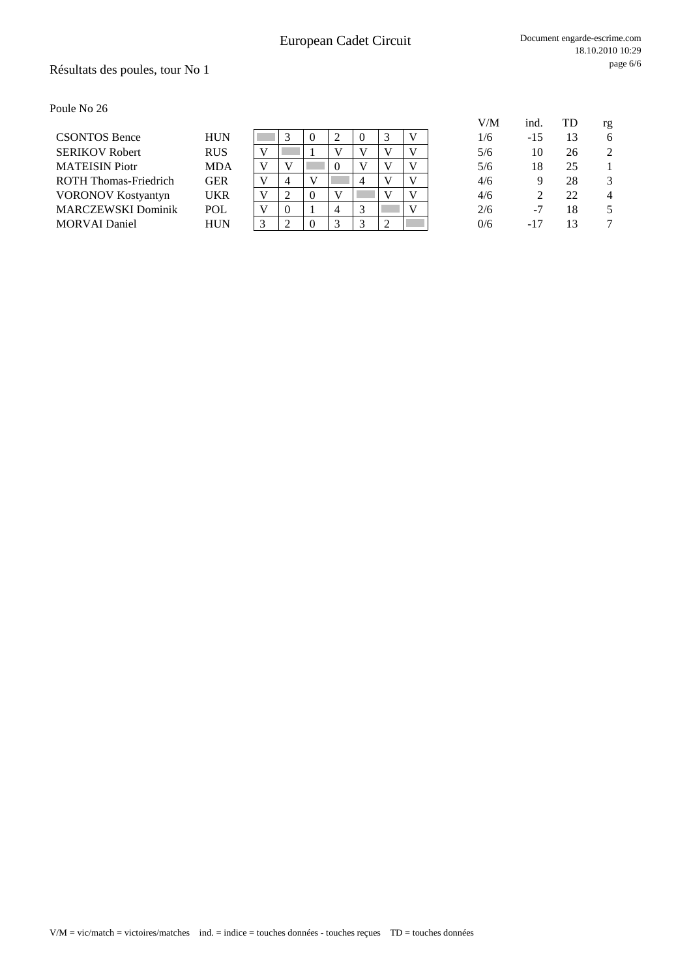## Résultats des poules, tour No 1

Poule No 26

|                              |            |              |   |          |             |    |   |  | V/M | ind.  | TD | rg             |
|------------------------------|------------|--------------|---|----------|-------------|----|---|--|-----|-------|----|----------------|
| <b>CSONTOS Bence</b>         | <b>HUN</b> |              |   | $\Omega$ |             | -0 |   |  | 1/6 | -15   | 13 | 6              |
| <b>SERIKOV Robert</b>        | <b>RUS</b> |              |   |          |             |    | V |  | 5/6 | 10    | 26 | 2              |
| <b>MATEISIN</b> Piotr        | <b>MDA</b> |              |   |          | 0           |    | V |  | 5/6 | 18    | 25 |                |
| <b>ROTH Thomas-Friedrich</b> | <b>GER</b> | $\mathbf{V}$ | 4 | V        |             | 4  | V |  | 4/6 | g     | 28 | 3              |
| <b>VORONOV Kostyantyn</b>    | <b>UKR</b> |              |   | $\Omega$ |             |    | V |  | 4/6 |       | 22 | $\overline{4}$ |
| <b>MARCZEWSKI Dominik</b>    | <b>POL</b> |              |   |          | 4           |    |   |  | 2/6 | -7    | 18 |                |
| <b>MORVAI</b> Daniel         | <b>HUN</b> |              |   | $\Omega$ | $\mathbf 3$ |    | ◠ |  | 0/6 | $-17$ |    |                |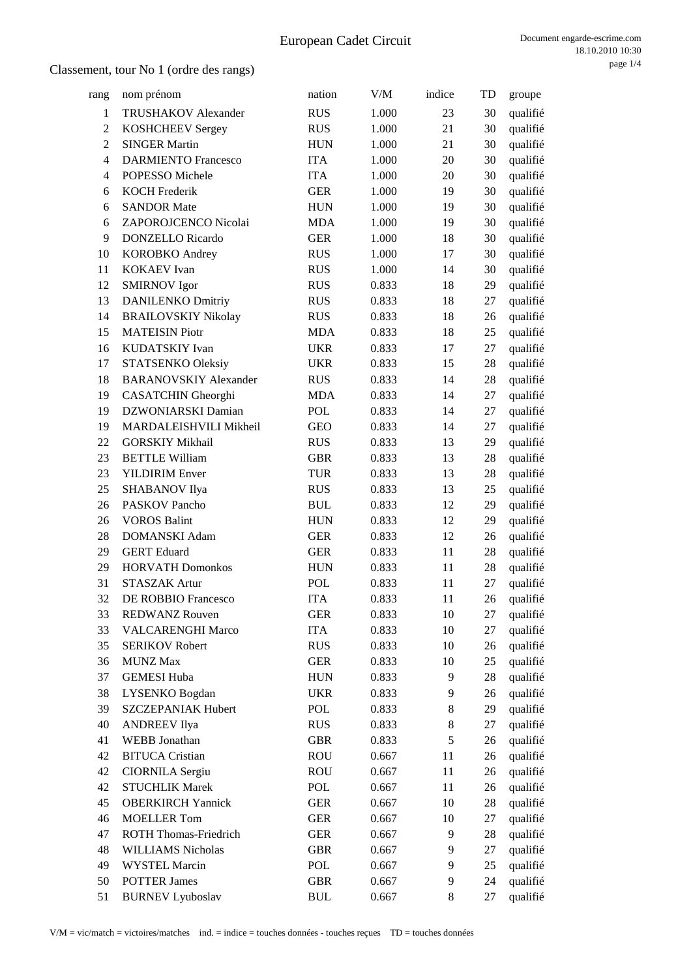| rang           | nom prénom                   | nation                           | V/M   | indice | TD | groupe   |
|----------------|------------------------------|----------------------------------|-------|--------|----|----------|
| $\mathbf{1}$   | TRUSHAKOV Alexander          | <b>RUS</b>                       | 1.000 | 23     | 30 | qualifié |
| $\mathbf{2}$   | <b>KOSHCHEEV Sergey</b>      | <b>RUS</b>                       | 1.000 | 21     | 30 | qualifié |
| $\overline{2}$ | <b>SINGER Martin</b>         | <b>HUN</b>                       | 1.000 | 21     | 30 | qualifié |
| $\overline{4}$ | <b>DARMIENTO Francesco</b>   | <b>ITA</b>                       | 1.000 | 20     | 30 | qualifié |
| 4              | POPESSO Michele              | <b>ITA</b>                       | 1.000 | 20     | 30 | qualifié |
| 6              | <b>KOCH Frederik</b>         | <b>GER</b>                       | 1.000 | 19     | 30 | qualifié |
| 6              | <b>SANDOR Mate</b>           | <b>HUN</b>                       | 1.000 | 19     | 30 | qualifié |
| 6              | ZAPOROJCENCO Nicolai         | <b>MDA</b>                       | 1.000 | 19     | 30 | qualifié |
| 9              | <b>DONZELLO</b> Ricardo      | <b>GER</b>                       | 1.000 | 18     | 30 | qualifié |
| 10             | <b>KOROBKO</b> Andrey        | <b>RUS</b>                       | 1.000 | 17     | 30 | qualifié |
| 11             | <b>KOKAEV</b> Ivan           | <b>RUS</b>                       | 1.000 | 14     | 30 | qualifié |
| 12             | <b>SMIRNOV</b> Igor          | <b>RUS</b>                       | 0.833 | 18     | 29 | qualifié |
| 13             | <b>DANILENKO Dmitriy</b>     | <b>RUS</b>                       | 0.833 | 18     | 27 | qualifié |
| 14             | <b>BRAILOVSKIY Nikolay</b>   | <b>RUS</b>                       | 0.833 | 18     | 26 | qualifié |
| 15             | <b>MATEISIN Piotr</b>        | <b>MDA</b>                       | 0.833 | 18     | 25 | qualifié |
| 16             | KUDATSKIY Ivan               | <b>UKR</b>                       | 0.833 | 17     | 27 | qualifié |
| 17             | STATSENKO Oleksiy            | <b>UKR</b>                       | 0.833 | 15     | 28 | qualifié |
| 18             | <b>BARANOVSKIY Alexander</b> | <b>RUS</b>                       | 0.833 | 14     | 28 | qualifié |
| 19             | CASATCHIN Gheorghi           | <b>MDA</b>                       | 0.833 | 14     | 27 | qualifié |
| 19             | DZWONIARSKI Damian           | <b>POL</b>                       | 0.833 | 14     | 27 | qualifié |
| 19             | MARDALEISHVILI Mikheil       | <b>GEO</b>                       | 0.833 | 14     | 27 | qualifié |
| 22             | <b>GORSKIY Mikhail</b>       | <b>RUS</b>                       | 0.833 | 13     | 29 | qualifié |
| 23             | <b>BETTLE William</b>        | <b>GBR</b>                       | 0.833 | 13     | 28 | qualifié |
| 23             | <b>YILDIRIM Enver</b>        | <b>TUR</b>                       | 0.833 | 13     | 28 | qualifié |
| 25             | SHABANOV Ilya                | <b>RUS</b>                       | 0.833 | 13     | 25 | qualifié |
| 26             | <b>PASKOV Pancho</b>         | <b>BUL</b>                       | 0.833 | 12     | 29 | qualifié |
| 26             | <b>VOROS Balint</b>          | <b>HUN</b>                       | 0.833 | 12     | 29 | qualifié |
| 28             | <b>DOMANSKI</b> Adam         | <b>GER</b>                       | 0.833 | 12     | 26 | qualifié |
| 29             | <b>GERT</b> Eduard           | <b>GER</b>                       | 0.833 | 11     | 28 | qualifié |
| 29             | <b>HORVATH Domonkos</b>      | <b>HUN</b>                       | 0.833 | 11     | 28 | qualifié |
| 31             | <b>STASZAK Artur</b>         | POL                              | 0.833 | 11     | 27 | qualifié |
| 32             | DE ROBBIO Francesco          | <b>ITA</b>                       | 0.833 | 11     | 26 | qualifié |
| 33             | <b>REDWANZ Rouven</b>        | <b>GER</b>                       | 0.833 | 10     | 27 | qualifié |
| 33             | <b>VALCARENGHI Marco</b>     | <b>ITA</b>                       | 0.833 | 10     | 27 | qualifié |
| 35             | <b>SERIKOV Robert</b>        | <b>RUS</b>                       | 0.833 | 10     | 26 | qualifié |
| 36             | <b>MUNZ Max</b>              | <b>GER</b>                       | 0.833 | 10     | 25 | qualifié |
| 37             | <b>GEMESI Huba</b>           | <b>HUN</b>                       | 0.833 | 9      | 28 | qualifié |
| 38             | LYSENKO Bogdan               | <b>UKR</b>                       | 0.833 | 9      | 26 | qualifié |
| 39             | <b>SZCZEPANIAK Hubert</b>    | POL                              | 0.833 | 8      | 29 | qualifié |
| 40             | <b>ANDREEV Ilya</b>          | <b>RUS</b>                       | 0.833 | 8      | 27 | qualifié |
| 41             | WEBB Jonathan                | <b>GBR</b>                       | 0.833 | 5      | 26 | qualifié |
| 42             | <b>BITUCA Cristian</b>       | <b>ROU</b>                       | 0.667 | 11     | 26 | qualifié |
| 42             | <b>CIORNILA Sergiu</b>       | <b>ROU</b>                       | 0.667 | 11     | 26 | qualifié |
| 42             | <b>STUCHLIK Marek</b>        | POL                              | 0.667 | 11     | 26 | qualifié |
| 45             | <b>OBERKIRCH Yannick</b>     | <b>GER</b>                       | 0.667 | 10     | 28 | qualifié |
| 46             | <b>MOELLER Tom</b>           | <b>GER</b>                       | 0.667 | 10     | 27 | qualifié |
| 47             | <b>ROTH Thomas-Friedrich</b> | <b>GER</b>                       | 0.667 | 9      | 28 | qualifié |
| 48             | <b>WILLIAMS Nicholas</b>     | <b>GBR</b>                       | 0.667 | 9      | 27 | qualifié |
| 49             | <b>WYSTEL Marcin</b>         | POL                              | 0.667 | 9      | 25 | qualifié |
| 50             | <b>POTTER James</b>          | <b>GBR</b>                       | 0.667 | 9      | 24 | qualifié |
| 51             | <b>BURNEV Lyuboslav</b>      | $\mathbf{B}\mathbf{U}\mathbf{L}$ | 0.667 | 8      | 27 | qualifié |
|                |                              |                                  |       |        |    |          |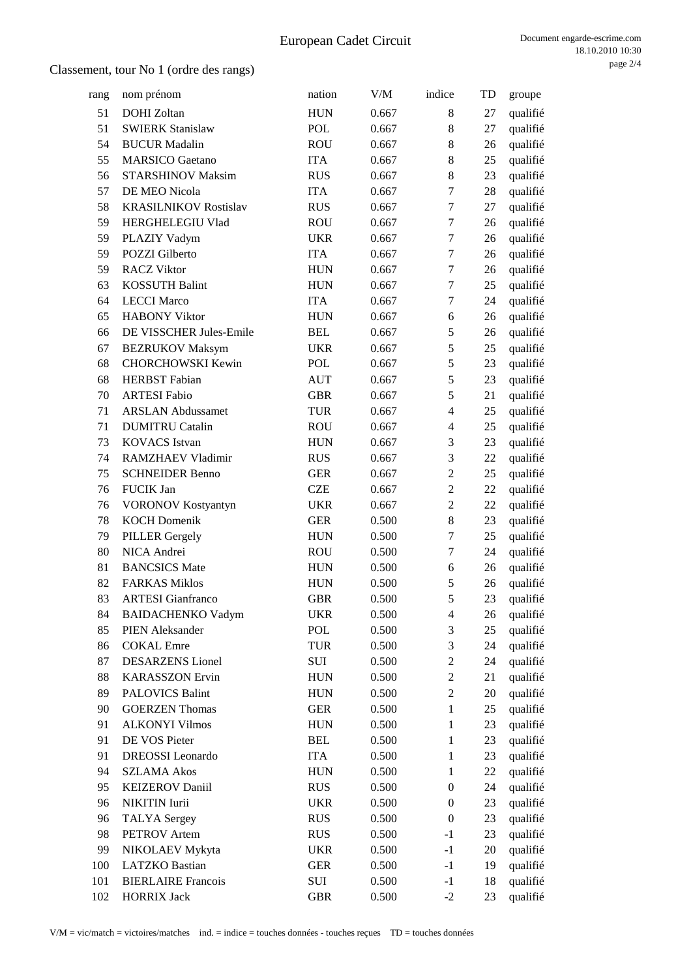| rang | nom prénom                   | nation     | V/M   | indice           | TD | groupe   |
|------|------------------------------|------------|-------|------------------|----|----------|
| 51   | <b>DOHI</b> Zoltan           | <b>HUN</b> | 0.667 | 8                | 27 | qualifié |
| 51   | <b>SWIERK Stanislaw</b>      | <b>POL</b> | 0.667 | 8                | 27 | qualifié |
| 54   | <b>BUCUR</b> Madalin         | <b>ROU</b> | 0.667 | 8                | 26 | qualifié |
| 55   | <b>MARSICO</b> Gaetano       | <b>ITA</b> | 0.667 | 8                | 25 | qualifié |
| 56   | <b>STARSHINOV Maksim</b>     | <b>RUS</b> | 0.667 | 8                | 23 | qualifié |
| 57   | DE MEO Nicola                | <b>ITA</b> | 0.667 | $\tau$           | 28 | qualifié |
| 58   | <b>KRASILNIKOV Rostislav</b> | <b>RUS</b> | 0.667 | 7                | 27 | qualifié |
| 59   | HERGHELEGIU Vlad             | <b>ROU</b> | 0.667 | 7                | 26 | qualifié |
| 59   | PLAZIY Vadym                 | <b>UKR</b> | 0.667 | 7                | 26 | qualifié |
| 59   | POZZI Gilberto               | <b>ITA</b> | 0.667 | $\tau$           | 26 | qualifié |
| 59   | <b>RACZ Viktor</b>           | <b>HUN</b> | 0.667 | 7                | 26 | qualifié |
| 63   | <b>KOSSUTH Balint</b>        | <b>HUN</b> | 0.667 | $\boldsymbol{7}$ | 25 | qualifié |
| 64   | <b>LECCI Marco</b>           | <b>ITA</b> | 0.667 | 7                | 24 | qualifié |
| 65   | <b>HABONY Viktor</b>         | <b>HUN</b> | 0.667 | 6                | 26 | qualifié |
| 66   | DE VISSCHER Jules-Emile      | <b>BEL</b> | 0.667 | 5                | 26 | qualifié |
| 67   | <b>BEZRUKOV Maksym</b>       | <b>UKR</b> | 0.667 | 5                | 25 | qualifié |
| 68   | <b>CHORCHOWSKI Kewin</b>     | <b>POL</b> | 0.667 | 5                | 23 | qualifié |
| 68   | <b>HERBST</b> Fabian         | <b>AUT</b> | 0.667 | 5                | 23 | qualifié |
| 70   | <b>ARTESI Fabio</b>          | <b>GBR</b> | 0.667 | 5                | 21 | qualifié |
| 71   | <b>ARSLAN Abdussamet</b>     | <b>TUR</b> | 0.667 | $\overline{4}$   | 25 | qualifié |
| 71   | <b>DUMITRU Catalin</b>       | <b>ROU</b> | 0.667 | $\overline{4}$   | 25 | qualifié |
| 73   | <b>KOVACS</b> Istvan         | <b>HUN</b> | 0.667 | 3                | 23 | qualifié |
| 74   | RAMZHAEV Vladimir            | <b>RUS</b> | 0.667 | 3                | 22 | qualifié |
| 75   | <b>SCHNEIDER Benno</b>       | <b>GER</b> | 0.667 | $\overline{c}$   | 25 | qualifié |
| 76   | FUCIK Jan                    | <b>CZE</b> | 0.667 | $\overline{2}$   | 22 | qualifié |
| 76   | VORONOV Kostyantyn           | <b>UKR</b> | 0.667 | $\overline{c}$   | 22 | qualifié |
| 78   | <b>KOCH Domenik</b>          | <b>GER</b> | 0.500 | 8                | 23 | qualifié |
| 79   | <b>PILLER Gergely</b>        | <b>HUN</b> | 0.500 | 7                | 25 | qualifié |
| 80   | NICA Andrei                  | <b>ROU</b> | 0.500 | 7                | 24 | qualifié |
| 81   | <b>BANCSICS</b> Mate         | <b>HUN</b> | 0.500 | 6                | 26 | qualifié |
| 82   | <b>FARKAS Miklos</b>         | <b>HUN</b> | 0.500 | 5                | 26 | qualifié |
| 83   | <b>ARTESI</b> Gianfranco     | <b>GBR</b> | 0.500 | 5                | 23 | qualifié |
| 84   | <b>BAIDACHENKO Vadym</b>     | <b>UKR</b> | 0.500 | 4                | 26 | qualifié |
| 85   | PIEN Aleksander              | POL        | 0.500 | 3                | 25 | qualifié |
| 86   | <b>COKAL</b> Emre            | <b>TUR</b> | 0.500 | 3                | 24 | qualifié |
| 87   | <b>DESARZENS</b> Lionel      | SUI        | 0.500 | $\mathbf{2}$     | 24 | qualifié |
| 88   | <b>KARASSZON</b> Ervin       | <b>HUN</b> | 0.500 | $\mathbf{2}$     | 21 | qualifié |
| 89   | <b>PALOVICS Balint</b>       | <b>HUN</b> | 0.500 | $\overline{c}$   | 20 | qualifié |
| 90   | <b>GOERZEN Thomas</b>        | <b>GER</b> | 0.500 | $\mathbf{1}$     | 25 | qualifié |
| 91   | <b>ALKONYI Vilmos</b>        | <b>HUN</b> | 0.500 | $\mathbf{1}$     | 23 | qualifié |
| 91   | DE VOS Pieter                | <b>BEL</b> | 0.500 | $\mathbf{1}$     | 23 | qualifié |
| 91   | <b>DREOSSI</b> Leonardo      | <b>ITA</b> | 0.500 | $\mathbf{1}$     | 23 | qualifié |
| 94   | <b>SZLAMA Akos</b>           | <b>HUN</b> | 0.500 | $\mathbf{1}$     | 22 | qualifié |
| 95   | <b>KEIZEROV Daniil</b>       | <b>RUS</b> | 0.500 | $\boldsymbol{0}$ | 24 | qualifié |
| 96   | NIKITIN Iurii                | <b>UKR</b> | 0.500 | $\boldsymbol{0}$ | 23 | qualifié |
| 96   | <b>TALYA</b> Sergey          | <b>RUS</b> | 0.500 | $\boldsymbol{0}$ | 23 | qualifié |
| 98   | PETROV Artem                 | <b>RUS</b> | 0.500 | $-1$             | 23 | qualifié |
| 99   | NIKOLAEV Mykyta              | <b>UKR</b> | 0.500 | $-1$             | 20 | qualifié |
| 100  | <b>LATZKO</b> Bastian        | <b>GER</b> | 0.500 | $-1$             | 19 | qualifié |
| 101  | <b>BIERLAIRE Francois</b>    | SUI        | 0.500 | $-1$             | 18 | qualifié |
| 102  | <b>HORRIX Jack</b>           | <b>GBR</b> | 0.500 | $-2$             | 23 | qualifié |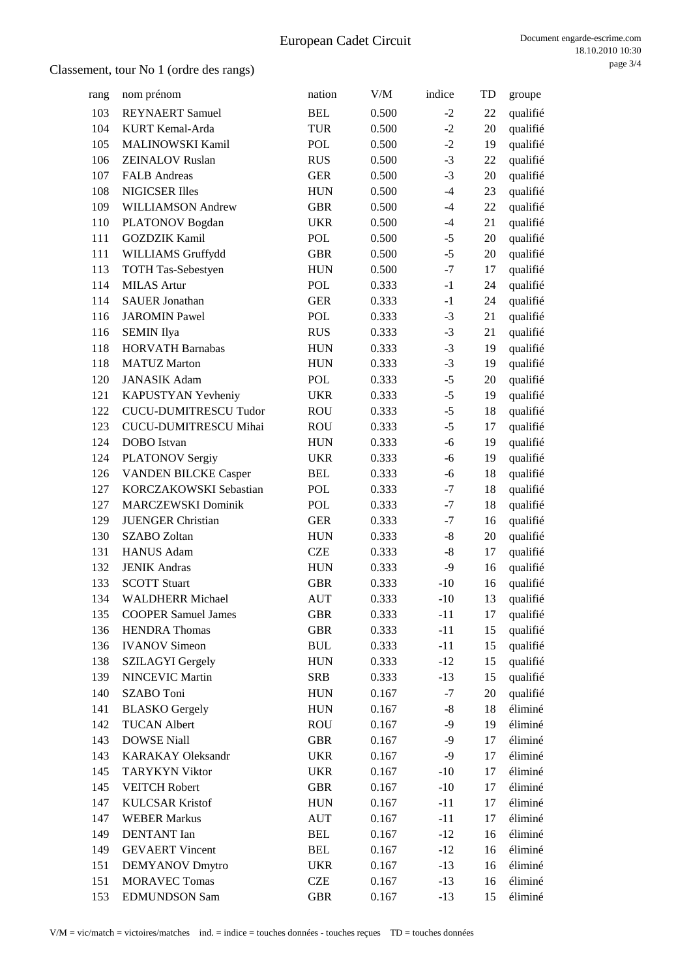| rang | nom prénom                   | nation     | V/M   | indice         | TD | groupe   |
|------|------------------------------|------------|-------|----------------|----|----------|
| 103  | <b>REYNAERT</b> Samuel       | <b>BEL</b> | 0.500 | $-2$           | 22 | qualifié |
| 104  | KURT Kemal-Arda              | <b>TUR</b> | 0.500 | $-2$           | 20 | qualifié |
| 105  | MALINOWSKI Kamil             | POL        | 0.500 | $-2$           | 19 | qualifié |
| 106  | <b>ZEINALOV Ruslan</b>       | <b>RUS</b> | 0.500 | $-3$           | 22 | qualifié |
| 107  | <b>FALB</b> Andreas          | <b>GER</b> | 0.500 | $-3$           | 20 | qualifié |
| 108  | <b>NIGICSER Illes</b>        | <b>HUN</b> | 0.500 | $-4$           | 23 | qualifié |
| 109  | WILLIAMSON Andrew            | <b>GBR</b> | 0.500 | $-4$           | 22 | qualifié |
| 110  | PLATONOV Bogdan              | <b>UKR</b> | 0.500 | $-4$           | 21 | qualifié |
| 111  | <b>GOZDZIK Kamil</b>         | POL        | 0.500 | $-5$           | 20 | qualifié |
| 111  | WILLIAMS Gruffydd            | <b>GBR</b> | 0.500 | $-5$           | 20 | qualifié |
| 113  | <b>TOTH Tas-Sebestyen</b>    | <b>HUN</b> | 0.500 | $-7$           | 17 | qualifié |
| 114  | <b>MILAS</b> Artur           | <b>POL</b> | 0.333 | $-1$           | 24 | qualifié |
| 114  | <b>SAUER Jonathan</b>        | <b>GER</b> | 0.333 | $-1$           | 24 | qualifié |
| 116  | <b>JAROMIN Pawel</b>         | POL        | 0.333 | $-3$           | 21 | qualifié |
| 116  | <b>SEMIN</b> Ilya            | <b>RUS</b> | 0.333 | $-3$           | 21 | qualifié |
| 118  | <b>HORVATH Barnabas</b>      | <b>HUN</b> | 0.333 | $-3$           | 19 | qualifié |
| 118  | <b>MATUZ Marton</b>          | <b>HUN</b> | 0.333 | $-3$           | 19 | qualifié |
| 120  | <b>JANASIK Adam</b>          | POL        | 0.333 | $-5$           | 20 | qualifié |
| 121  | KAPUSTYAN Yevheniy           | <b>UKR</b> | 0.333 | $-5$           | 19 | qualifié |
| 122  | <b>CUCU-DUMITRESCU Tudor</b> | <b>ROU</b> | 0.333 | $-5$           | 18 | qualifié |
| 123  | <b>CUCU-DUMITRESCU Mihai</b> | <b>ROU</b> | 0.333 | $-5$           | 17 | qualifié |
| 124  | <b>DOBO</b> Istvan           | <b>HUN</b> | 0.333 | $-6$           | 19 | qualifié |
| 124  | PLATONOV Sergiy              | <b>UKR</b> | 0.333 | $-6$           | 19 | qualifié |
| 126  | <b>VANDEN BILCKE Casper</b>  | <b>BEL</b> | 0.333 | $-6$           | 18 | qualifié |
| 127  | KORCZAKOWSKI Sebastian       | POL        | 0.333 | $-7$           | 18 | qualifié |
| 127  | <b>MARCZEWSKI Dominik</b>    | POL        | 0.333 | $-7$           | 18 | qualifié |
| 129  | <b>JUENGER Christian</b>     | <b>GER</b> | 0.333 | $-7$           | 16 | qualifié |
| 130  | <b>SZABO</b> Zoltan          | <b>HUN</b> | 0.333 | $-8$           | 20 | qualifié |
| 131  | <b>HANUS Adam</b>            | <b>CZE</b> | 0.333 | $-8$           | 17 | qualifié |
| 132  | <b>JENIK Andras</b>          | <b>HUN</b> | 0.333 | $-9$           | 16 | qualifié |
| 133  | <b>SCOTT Stuart</b>          | <b>GBR</b> | 0.333 | $-10$          | 16 | qualifié |
| 134  | <b>WALDHERR Michael</b>      | <b>AUT</b> | 0.333 | $-10$          | 13 | qualifié |
| 135  | <b>COOPER Samuel James</b>   | <b>GBR</b> | 0.333 | $\textbf{-}11$ | 17 | qualifié |
| 136  | <b>HENDRA</b> Thomas         | <b>GBR</b> | 0.333 | $-11$          | 15 | qualifié |
| 136  | <b>IVANOV</b> Simeon         | <b>BUL</b> | 0.333 | $-11$          | 15 | qualifié |
| 138  | <b>SZILAGYI</b> Gergely      | <b>HUN</b> | 0.333 | $-12$          | 15 | qualifié |
| 139  | NINCEVIC Martin              | <b>SRB</b> | 0.333 | $-13$          | 15 | qualifié |
| 140  | SZABO Toni                   | <b>HUN</b> | 0.167 | $-7$           | 20 | qualifié |
| 141  | <b>BLASKO</b> Gergely        | <b>HUN</b> | 0.167 | $-8$           | 18 | éliminé  |
| 142  | <b>TUCAN Albert</b>          | <b>ROU</b> | 0.167 | $-9$           | 19 | éliminé  |
| 143  | <b>DOWSE Niall</b>           | <b>GBR</b> | 0.167 | $-9$           | 17 | éliminé  |
| 143  | KARAKAY Oleksandr            | <b>UKR</b> | 0.167 | $-9$           | 17 | éliminé  |
| 145  | <b>TARYKYN Viktor</b>        | <b>UKR</b> | 0.167 | $-10$          | 17 | éliminé  |
| 145  | <b>VEITCH Robert</b>         | <b>GBR</b> | 0.167 | $-10$          | 17 | éliminé  |
| 147  | <b>KULCSAR Kristof</b>       | <b>HUN</b> | 0.167 | $-11$          | 17 | éliminé  |
| 147  | <b>WEBER Markus</b>          | <b>AUT</b> | 0.167 | $-11$          | 17 | éliminé  |
| 149  | <b>DENTANT</b> Ian           | <b>BEL</b> | 0.167 | $-12$          | 16 | éliminé  |
| 149  | <b>GEVAERT</b> Vincent       | <b>BEL</b> | 0.167 | $-12$          | 16 | éliminé  |
| 151  | <b>DEMYANOV Dmytro</b>       | <b>UKR</b> | 0.167 | $-13$          | 16 | éliminé  |
| 151  | <b>MORAVEC Tomas</b>         | CZE        | 0.167 | $-13$          | 16 | éliminé  |
| 153  | <b>EDMUNDSON Sam</b>         | <b>GBR</b> | 0.167 | $-13$          | 15 | éliminé  |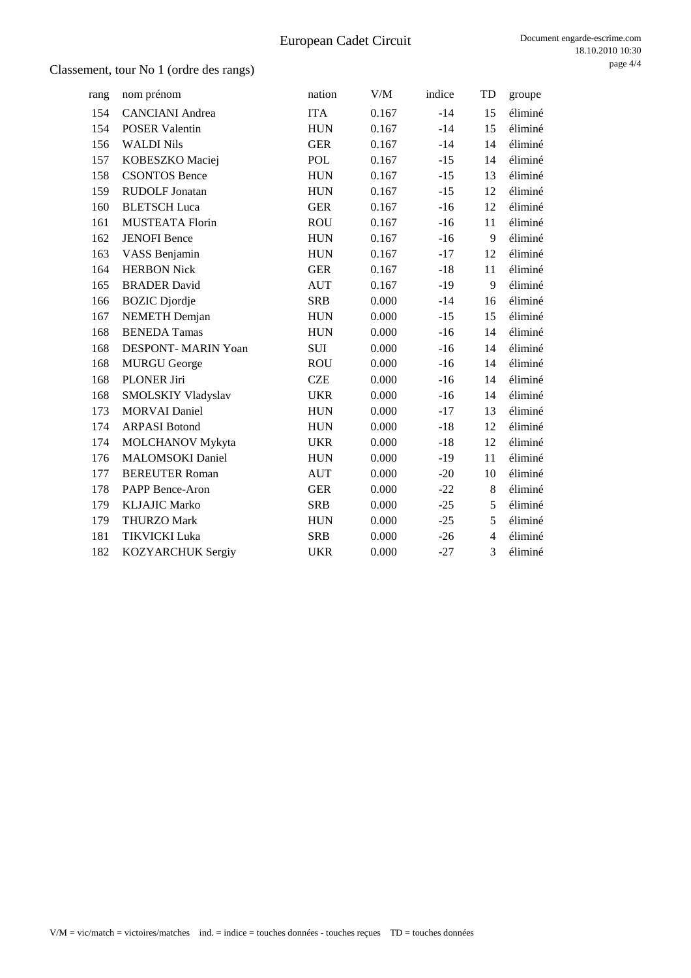| rang | nom prénom                 | nation     | V/M   | indice | TD             | groupe  |
|------|----------------------------|------------|-------|--------|----------------|---------|
| 154  | <b>CANCIANI</b> Andrea     | <b>ITA</b> | 0.167 | $-14$  | 15             | éliminé |
| 154  | <b>POSER Valentin</b>      | <b>HUN</b> | 0.167 | $-14$  | 15             | éliminé |
| 156  | <b>WALDI Nils</b>          | <b>GER</b> | 0.167 | $-14$  | 14             | éliminé |
| 157  | KOBESZKO Maciej            | POL        | 0.167 | $-15$  | 14             | éliminé |
| 158  | <b>CSONTOS Bence</b>       | <b>HUN</b> | 0.167 | $-15$  | 13             | éliminé |
| 159  | <b>RUDOLF Jonatan</b>      | <b>HUN</b> | 0.167 | $-15$  | 12             | éliminé |
| 160  | <b>BLETSCH</b> Luca        | <b>GER</b> | 0.167 | $-16$  | 12             | éliminé |
| 161  | <b>MUSTEATA Florin</b>     | <b>ROU</b> | 0.167 | $-16$  | 11             | éliminé |
| 162  | <b>JENOFI</b> Bence        | <b>HUN</b> | 0.167 | $-16$  | 9              | éliminé |
| 163  | VASS Benjamin              | <b>HUN</b> | 0.167 | $-17$  | 12             | éliminé |
| 164  | <b>HERBON Nick</b>         | <b>GER</b> | 0.167 | $-18$  | 11             | éliminé |
| 165  | <b>BRADER David</b>        | <b>AUT</b> | 0.167 | $-19$  | 9              | éliminé |
| 166  | <b>BOZIC</b> Djordje       | <b>SRB</b> | 0.000 | $-14$  | 16             | éliminé |
| 167  | <b>NEMETH</b> Demjan       | <b>HUN</b> | 0.000 | $-15$  | 15             | éliminé |
| 168  | <b>BENEDA Tamas</b>        | <b>HUN</b> | 0.000 | $-16$  | 14             | éliminé |
| 168  | <b>DESPONT- MARIN Yoan</b> | SUI        | 0.000 | $-16$  | 14             | éliminé |
| 168  | <b>MURGU George</b>        | <b>ROU</b> | 0.000 | $-16$  | 14             | éliminé |
| 168  | PLONER Jiri                | <b>CZE</b> | 0.000 | $-16$  | 14             | éliminé |
| 168  | SMOLSKIY Vladyslav         | <b>UKR</b> | 0.000 | $-16$  | 14             | éliminé |
| 173  | <b>MORVAI</b> Daniel       | <b>HUN</b> | 0.000 | $-17$  | 13             | éliminé |
| 174  | <b>ARPASI Botond</b>       | <b>HUN</b> | 0.000 | $-18$  | 12             | éliminé |
| 174  | <b>MOLCHANOV Mykyta</b>    | <b>UKR</b> | 0.000 | $-18$  | 12             | éliminé |
| 176  | <b>MALOMSOKI</b> Daniel    | <b>HUN</b> | 0.000 | $-19$  | 11             | éliminé |
| 177  | <b>BEREUTER Roman</b>      | <b>AUT</b> | 0.000 | $-20$  | 10             | éliminé |
| 178  | PAPP Bence-Aron            | <b>GER</b> | 0.000 | $-22$  | $\,8\,$        | éliminé |
| 179  | <b>KLJAJIC Marko</b>       | <b>SRB</b> | 0.000 | $-25$  | 5              | éliminé |
| 179  | <b>THURZO Mark</b>         | <b>HUN</b> | 0.000 | $-25$  | 5              | éliminé |
| 181  | <b>TIKVICKI Luka</b>       | <b>SRB</b> | 0.000 | $-26$  | $\overline{4}$ | éliminé |
| 182  | KOZYARCHUK Sergiy          | <b>UKR</b> | 0.000 | $-27$  | 3              | éliminé |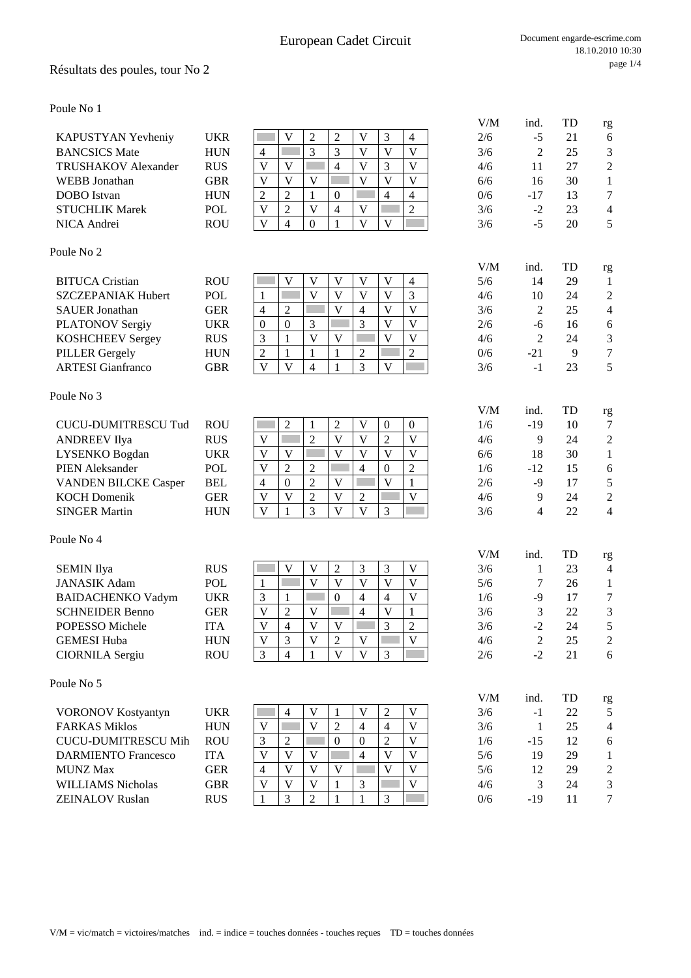## Résultats des poules, tour No 2

Poule No 1

|                                                     |                   |                                                                                                                       | V/M        | ind.           | TD       | rg                                         |
|-----------------------------------------------------|-------------------|-----------------------------------------------------------------------------------------------------------------------|------------|----------------|----------|--------------------------------------------|
| KAPUSTYAN Yevheniy                                  | <b>UKR</b>        | 3<br>V<br>$\overline{2}$<br>$\overline{c}$<br>V<br>$\overline{4}$                                                     | 2/6        | $-5$           | 21       | 6                                          |
| <b>BANCSICS Mate</b>                                | <b>HUN</b>        | 3<br>3<br>$\overline{\mathbf{V}}$<br>$\overline{\mathbf{V}}$<br>V<br>$\overline{4}$                                   | 3/6        | $\overline{2}$ | 25       | 3                                          |
| <b>TRUSHAKOV</b> Alexander                          | <b>RUS</b>        | $\overline{4}$<br>$\mathbf{V}$<br>3<br>$\overline{\mathsf{V}}$<br>V<br>V                                              | 4/6        | 11             | 27       | $\overline{c}$                             |
| <b>WEBB</b> Jonathan                                | <b>GBR</b>        | $\overline{\mathbf{V}}$<br>$\overline{\mathsf{V}}$<br>V<br>V<br>V<br>V                                                | 6/6        | 16             | 30       | $\mathbf{1}$                               |
| <b>DOBO</b> Istvan                                  | <b>HUN</b>        | $\overline{2}$<br>$\overline{2}$<br>$\mathbf{1}$<br>$\overline{4}$<br>$\overline{4}$<br>$\boldsymbol{0}$              | 0/6        | $-17$          | 13       | $\overline{7}$                             |
| <b>STUCHLIK Marek</b>                               | POL               | $\overline{V}$<br>$\overline{2}$<br>V<br>$\overline{2}$<br>$\overline{4}$<br>V                                        | 3/6        | $-2$           | 23       | $\overline{\mathcal{L}}$                   |
| NICA Andrei                                         | <b>ROU</b>        | $\mathbf{V}$<br>$\overline{4}$<br>$\mathbf{0}$<br>$\mathbf{1}$<br>V<br>V                                              | 3/6        | $-5$           | 20       | 5                                          |
| Poule No 2                                          |                   |                                                                                                                       |            |                |          |                                            |
|                                                     |                   | $\overline{\mathbf{V}}$<br>V<br>V<br>V<br>V                                                                           | V/M        | ind.           | TD       | rg                                         |
| <b>BITUCA</b> Cristian<br><b>SZCZEPANIAK Hubert</b> | <b>ROU</b><br>POL | $\overline{4}$<br>$\overline{\mathsf{V}}$<br>$\overline{V}$<br>$\overline{V}$<br>$\mathbf{V}$<br>3<br><b>Contract</b> | 5/6<br>4/6 | 14<br>10       | 29<br>24 | 1                                          |
| <b>SAUER Jonathan</b>                               | <b>GER</b>        | 1<br>$\overline{\mathsf{V}}$<br>$\overline{\mathsf{V}}$<br>$\overline{2}$<br>V<br>$\overline{4}$<br>$\overline{4}$    | 3/6        | $\mathfrak{2}$ | 25       | $\overline{c}$<br>$\overline{\mathcal{L}}$ |
| <b>PLATONOV Sergiy</b>                              | <b>UKR</b>        | $\overline{3}$<br>$\overline{V}$<br>3<br>$\overline{\mathsf{V}}$<br>$\mathbf{0}$<br>$\boldsymbol{0}$                  | 2/6        | $-6$           | 16       | 6                                          |
| KOSHCHEEV Sergey                                    | <b>RUS</b>        | $\overline{\mathsf{V}}$<br>$\overline{\mathbf{V}}$<br>$\overline{\mathsf{V}}$<br>V<br>3<br>1                          | 4/6        | $\overline{2}$ | 24       | 3                                          |
| <b>PILLER Gergely</b>                               | <b>HUN</b>        | $\overline{2}$<br>$\mathfrak{2}$<br>$\mathbf{1}$<br>$\mathbf{1}$<br>$\mathbf{1}$<br>$\overline{c}$                    | 0/6        | $-21$          | 9        | $\overline{7}$                             |
| <b>ARTESI</b> Gianfranco                            | <b>GBR</b>        | $\overline{\mathbf{V}}$<br>3<br>$\mathbf{V}$<br>$\overline{4}$<br>$\mathbf{1}$<br>V                                   | 3/6        | $-1$           | 23       | 5                                          |
| Poule No 3                                          |                   |                                                                                                                       |            |                |          |                                            |
|                                                     |                   |                                                                                                                       | V/M        | ind.           | TD       | rg                                         |
| <b>CUCU-DUMITRESCU Tud</b>                          | <b>ROU</b>        | $\overline{2}$<br>$\,1\,$<br>$\overline{c}$<br>$\ensuremath{\mathbf{V}}$<br>$\boldsymbol{0}$<br>$\boldsymbol{0}$      | 1/6        | $-19$          | 10       | 7                                          |
| <b>ANDREEV</b> Ilya                                 | <b>RUS</b>        | $\overline{2}$<br>$\overline{2}$<br>$\overline{\mathbf{V}}$<br>V<br>$\overline{\mathsf{V}}$<br>V                      | 4/6        | 9              | 24       | $\overline{c}$                             |
| LYSENKO Bogdan                                      | <b>UKR</b>        | $\mathbf{V}$<br>$\overline{V}$<br>$\overline{V}$<br>$\overline{V}$<br>$\overline{\mathsf{V}}$<br>V                    | 6/6        | 18             | 30       | 1                                          |
| <b>PIEN Aleksander</b>                              | <b>POL</b>        | $\overline{2}$<br>V<br>$\overline{c}$<br>$\overline{2}$<br>$\overline{4}$<br>$\mathbf{0}$                             | 1/6        | $-12$          | 15       | 6                                          |
| <b>VANDEN BILCKE Casper</b>                         | <b>BEL</b>        | $\overline{2}$<br>$\overline{\mathbf{V}}$<br>$\mathbf{1}$<br>$\overline{4}$<br>$\boldsymbol{0}$<br>$\mathbf V$        | 2/6        | $-9$           | 17       | 5                                          |
| <b>KOCH Domenik</b>                                 | <b>GER</b>        | $\overline{\mathsf{V}}$<br>$\sqrt{2}$<br>$\overline{\mathsf{V}}$<br>$\overline{\mathbf{V}}$<br>V<br>$\overline{2}$    | 4/6        | 9              | 24       | $\overline{c}$                             |
| <b>SINGER Martin</b>                                | <b>HUN</b>        | $\overline{\mathbf{V}}$<br>$\mathbf{V}$<br>$\overline{3}$<br>$\mathbf{V}$<br>$\overline{3}$<br>$\mathbf{1}$           | 3/6        | 4              | 22       | $\overline{4}$                             |
| Poule No 4                                          |                   |                                                                                                                       |            |                |          |                                            |
| <b>SEMIN Ilya</b>                                   | <b>RUS</b>        | V<br>V<br>$\overline{c}$<br>3<br>3<br>V                                                                               | V/M<br>3/6 | ind.<br>1      | TD<br>23 | rg                                         |
| <b>JANASIK</b> Adam                                 | <b>POL</b>        | $\overline{V}$<br>$\overline{V}$<br>V<br>V<br>$\overline{\mathbf{V}}$<br>П<br>1                                       | 5/6        | 7              | 26       | 4<br>1                                     |
| <b>BAIDACHENKO Vadym</b>                            | <b>UKR</b>        | $\mathbf{V}$<br>$\mathfrak{Z}$<br>$\overline{4}$<br>$\overline{4}$<br>$\mathbf{1}$<br>$\boldsymbol{0}$                | 1/6        | $-9$           | 17       | $\overline{7}$                             |
| <b>SCHNEIDER Benno</b>                              | <b>GER</b>        | $\overline{\mathbf{V}}$<br>V<br>$\overline{2}$<br>V<br>$\overline{4}$<br>$\mathbf{1}$                                 | 3/6        | 3              | 22       | 3                                          |
| POPESSO Michele                                     | <b>ITA</b>        | $\overline{\mathbf{V}}$<br>3<br>$\overline{2}$<br>$\mathbf{V}$<br>$\overline{4}$<br>V                                 | 3/6        | $-2$           | 24       | 5                                          |
| <b>GEMESI Huba</b>                                  | <b>HUN</b>        | V<br>3<br>2<br>V<br>V                                                                                                 | 4/6        | 2              | 25       | 2                                          |
| <b>CIORNILA Sergiu</b>                              | <b>ROU</b>        | $\mathfrak{Z}$<br>$\overline{V}$<br>$\overline{4}$<br>$\mathbf V$<br>$\mathfrak{Z}$<br>1                              | 2/6        | $-2$           | 21       | 6                                          |
| Poule No 5                                          |                   |                                                                                                                       |            |                |          |                                            |
|                                                     |                   |                                                                                                                       | V/M        | ind.           | TD       | rg                                         |
| <b>VORONOV Kostyantyn</b>                           | <b>UKR</b>        | $\mathbf V$<br>$\overline{2}$<br>$\mathbf V$<br>$\overline{4}$<br>$\mathbf{1}$<br>V                                   | 3/6        | $-1$           | $22\,$   | 5                                          |
| <b>FARKAS Miklos</b>                                | <b>HUN</b>        | $\overline{V}$<br>$\overline{2}$<br>$\mathbf{V}$<br>V<br>$\overline{4}$<br>4                                          | 3/6        | $\mathbf{1}$   | 25       | $\overline{4}$                             |
| <b>CUCU-DUMITRESCU Mih</b>                          | <b>ROU</b>        | $\mathfrak{Z}$<br>$\overline{2}$<br>$\boldsymbol{0}$<br>$\overline{2}$<br>V<br>$\boldsymbol{0}$                       | 1/6        | $-15$          | 12       | 6                                          |
| <b>DARMIENTO Francesco</b>                          | <b>ITA</b>        | $\mathbf V$<br>$\mathbf V$<br>$\mathbf V$<br>$\mathbf V$<br>$\mathbf V$<br>4                                          | 5/6        | 19             | 29       | 1                                          |
| <b>MUNZ Max</b>                                     | <b>GER</b>        | $\mathbf V$<br>$\mathbf V$<br>$\mathbf V$<br>$\overline{4}$<br>V<br>V                                                 | 5/6        | 12             | 29       | $\overline{c}$                             |
| WILLIAMS Nicholas                                   | <b>GBR</b>        | $\overline{\mathbf{V}}$<br>$\overline{\mathbf{V}}$<br>$\overline{V}$<br>$\overline{\mathbf{V}}$<br>$\mathbf{1}$<br>3  | 4/6        | 3              | 24       | 3                                          |

**ZEINALOV Ruslan** RUS  $\begin{array}{|c|c|c|c|c|c|c|c|c|} \hline 1 & 3 & 2 & 1 & 3 & 3 & 0/6 & -19 & 11 & 7 \ \hline \end{array}$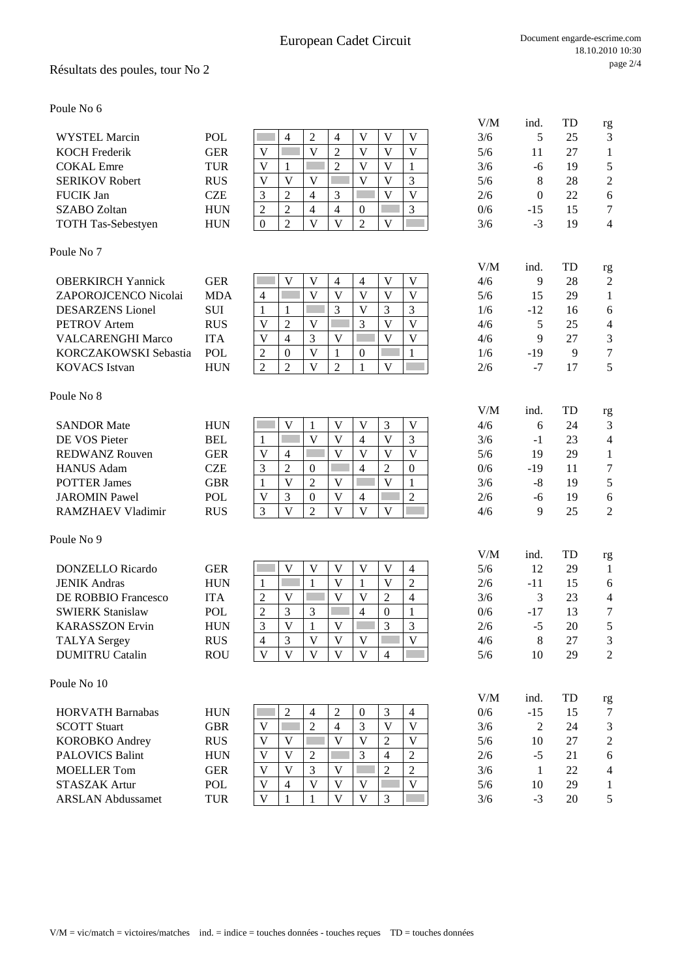### Résultats des poules, tour No 2

Poule No 6

|                           |            |          |   |   |          |   | <b>TILTA</b> |       | . . | ہ ۔            |
|---------------------------|------------|----------|---|---|----------|---|--------------|-------|-----|----------------|
| WYSTEL Marcin             | POL        |          |   |   |          | V | 3/6          |       | 25  | 3              |
| <b>KOCH Frederik</b>      | GER        | V        |   |   |          | V | 5/6          |       | 27  |                |
| <b>COKAL</b> Emre         | TUR        | V        |   |   |          |   | 3/6          | -6    | 19  |                |
| <b>SERIKOV Robert</b>     | <b>RUS</b> | V        |   |   |          | 2 | 5/6          |       | 28  | $\overline{2}$ |
| <b>FUCIK Jan</b>          | CZE        | $\sim$   | 4 |   |          | V | 2/6          | 0     | 22  | 6              |
| SZABO Zoltan              | <b>HUN</b> |          | 4 | 4 | $\theta$ | 3 | 0/6          | $-15$ | 15  | 7              |
| <b>TOTH Tas-Sebestyen</b> | <b>HUN</b> | $\Omega$ |   | v |          |   | 3/6          | - 1   | 19  | $\overline{4}$ |
|                           |            |          |   |   |          |   |              |       |     |                |

#### Poule No 7

| <b>OBERKIRCH Yannick</b> | GER        |  |  |  |  | 4/6 |                          | 28 | $\mathcal{D}$ |
|--------------------------|------------|--|--|--|--|-----|--------------------------|----|---------------|
| ZAPOROJCENCO Nicolai     | MDA        |  |  |  |  | 5/6 |                          | 29 |               |
| <b>DESARZENS</b> Lionel  | <b>SUI</b> |  |  |  |  | 1/6 | $-12$                    | 16 |               |
| <b>PETROV</b> Artem      | <b>RUS</b> |  |  |  |  | 4/6 |                          | 25 | 4             |
| <b>VALCARENGHI Marco</b> | <b>ITA</b> |  |  |  |  | 4/6 |                          |    | $\mathcal{R}$ |
| KORCZAKOWSKI Sebastia    | POL        |  |  |  |  | 1/6 | -19                      |    | 7             |
| <b>KOVACS</b> Istvan     | HUN        |  |  |  |  | 2/6 | $\overline{\phantom{0}}$ |    |               |

#### Poule No 8

| <b>SANDOR Mate</b>   | <b>HUN</b> |  |   |   | V              | 4/6 |     | 24 | 3              |
|----------------------|------------|--|---|---|----------------|-----|-----|----|----------------|
| DE VOS Pieter        | <b>BEL</b> |  |   | 4 |                | 3/6 | - 1 | 23 | $\overline{4}$ |
| REDWANZ Rouven       | GER        |  |   |   | V              | 5/6 | 19  | 29 |                |
| <b>HANUS Adam</b>    | CZE        |  |   |   | $\overline{0}$ | 0/6 | -19 |    | 7              |
| <b>POTTER James</b>  | GBR        |  | v |   |                | 3/6 | -8  | 19 |                |
| <b>JAROMIN Pawel</b> | POL        |  | v | 4 | ∼              | 2/6 | -6  | 19 | 6              |
| RAMZHAEV Vladimir    | <b>RUS</b> |  |   |   |                | 4/6 |     |    | $\overline{2}$ |

#### Poule No 9

| <b>DONZELLO</b> Ricardo    | GER        |   |  | $\mathbf{V}$ |   | 4          | 5/6 | 12    | 29 |                |
|----------------------------|------------|---|--|--------------|---|------------|-----|-------|----|----------------|
| <b>JENIK Andras</b>        | <b>HUN</b> |   |  | V            |   |            | 2/6 | -11   | 15 | 6              |
| <b>DE ROBBIO Francesco</b> | ITA        | ◠ |  | V            |   | 4          | 3/6 |       | 23 | 4              |
| <b>SWIERK Stanislaw</b>    | <b>POL</b> | ↑ |  |              | 4 |            | 0/6 | $-17$ | 13 | 7              |
| <b>KARASSZON Ervin</b>     | <b>HUN</b> | 3 |  | V            |   | $\bigcirc$ | 2/6 | - ג   | 20 |                |
| <b>TALYA</b> Sergey        | <b>RUS</b> | 4 |  | V            |   | V          | 4/6 | 8     | 27 | 3              |
| <b>DUMITRU Catalin</b>     | <b>ROU</b> | V |  | V            |   |            | 5/6 | 10    | 29 | $\overline{2}$ |
|                            |            |   |  |              |   |            |     |       |    |                |

### Poule No 10

|                          |            |   |   |   |   |   |   |              |     |       |    | Č              |
|--------------------------|------------|---|---|---|---|---|---|--------------|-----|-------|----|----------------|
| <b>HORVATH Barnabas</b>  | <b>HUN</b> |   |   | 4 | ∼ |   |   |              | 0/6 | $-15$ | 15 | 7              |
| <b>SCOTT Stuart</b>      | GBR        |   |   |   | 4 |   |   | v            | 3/6 |       | 24 | 3              |
| <b>KOROBKO</b> Andrey    | <b>RUS</b> | V |   |   |   |   |   | $\mathbf{V}$ | 5/6 | 10    | 27 | $\overline{2}$ |
| <b>PALOVICS Balint</b>   | <b>HUN</b> | V |   |   |   |   |   |              | 2/6 | -7    | 21 | 6              |
| <b>MOELLER Tom</b>       | GER        | V |   |   | V |   | ◠ | $\sim$       | 3/6 |       | 22 | $\overline{4}$ |
| STASZAK Artur            | POL        | V | 4 |   | V |   |   | $\mathbf{V}$ | 5/6 | 10    | 29 |                |
| <b>ARSLAN Abdussamet</b> | <b>TUR</b> | V |   |   |   | V |   |              | 3/6 | - 1   | 20 |                |
|                          |            |   |   |   |   |   |   |              |     |       |    |                |

#### Document engarde-escrime.com 18.10.2010 10:30 page 2/4

|                            |            |                                                                                                                      | V/M | ind.     | TD | rg                  |
|----------------------------|------------|----------------------------------------------------------------------------------------------------------------------|-----|----------|----|---------------------|
| <b>WYSTEL Marcin</b>       | POL        | $\mathfrak{2}$<br>V<br>$\overline{4}$<br>V<br>V<br>$\overline{4}$                                                    | 3/6 | 5        | 25 | 3                   |
| <b>KOCH Frederik</b>       | <b>GER</b> | V<br>V<br>$\overline{2}$<br>V<br>V<br>V                                                                              | 5/6 | 11       | 27 | $\mathbf{1}$        |
| <b>COKAL Emre</b>          | <b>TUR</b> | $\overline{2}$<br>V<br>V<br>V<br>1<br>1                                                                              | 3/6 | -6       | 19 | $\sqrt{5}$          |
| <b>SERIKOV Robert</b>      | <b>RUS</b> | V<br>V<br>V<br>V<br>V<br>3                                                                                           | 5/6 | 8        | 28 | $\boldsymbol{2}$    |
| <b>FUCIK Jan</b>           | <b>CZE</b> | $\overline{2}$<br>V<br>V<br>3<br>4<br>3                                                                              | 2/6 | $\theta$ | 22 | $\sqrt{6}$          |
| <b>SZABO Zoltan</b>        | <b>HUN</b> | $\overline{2}$<br>$\overline{2}$<br>$\overline{4}$<br>$\overline{4}$<br>3<br>$\boldsymbol{0}$                        | 0/6 | $-15$    | 15 | $\tau$              |
| <b>TOTH Tas-Sebestyen</b>  | <b>HUN</b> | $\overline{2}$<br>$\mathbf{V}$<br>$\overline{\mathbf{V}}$<br>$\overline{2}$<br>$\mathbf V$<br>$\mathbf{0}$           | 3/6 | $-3$     | 19 | $\overline{4}$      |
|                            |            |                                                                                                                      |     |          |    |                     |
| oule No 7                  |            |                                                                                                                      |     |          |    |                     |
|                            |            |                                                                                                                      | V/M | ind.     | TD | rg                  |
| <b>OBERKIRCH Yannick</b>   | <b>GER</b> | $\mathbf V$<br>$\mathbf V$<br>V<br>V<br>$\overline{4}$<br>$\overline{4}$                                             | 4/6 | 9        | 28 | $\overline{2}$      |
| ZAPOROJCENCO Nicolai       | <b>MDA</b> | V<br>V<br>V<br>V<br>V<br>$\overline{4}$                                                                              | 5/6 | 15       | 29 | 1                   |
| <b>DESARZENS</b> Lionel    | <b>SUI</b> | V<br>3<br>3<br>3<br>1<br>1                                                                                           | 1/6 | $-12$    | 16 | 6                   |
| <b>PETROV</b> Artem        | <b>RUS</b> | $\overline{V}$<br>$\overline{2}$<br>3<br>V<br>V<br>V                                                                 | 4/6 | 5        | 25 | $\overline{4}$      |
| <b>VALCARENGHI Marco</b>   | <b>ITA</b> | 3<br>$\overline{4}$<br>V<br>V<br>V<br>V                                                                              | 4/6 | 9        | 27 | 3                   |
| KORCZAKOWSKI Sebastia      | POL        | V<br>$\mathbf{1}$<br>$\overline{c}$<br>$\mathbf{0}$<br>$\mathbf{1}$<br>$\theta$                                      | 1/6 | $-19$    | 9  | $\tau$              |
| <b>KOVACS Istvan</b>       | <b>HUN</b> | $\overline{2}$<br>$\mathbf{V}$<br>$\overline{2}$<br>$\overline{2}$<br>$\mathbf V$<br>$\mathbf{1}$                    | 2/6 | $-7$     | 17 | 5                   |
|                            |            |                                                                                                                      |     |          |    |                     |
| oule No 8                  |            |                                                                                                                      |     |          |    |                     |
|                            |            |                                                                                                                      | V/M | ind.     | TD |                     |
| <b>SANDOR Mate</b>         | <b>HUN</b> | V<br>V<br>V<br>3<br>V<br>1                                                                                           | 4/6 | 6        | 24 | rg<br>3             |
| DE VOS Pieter              | <b>BEL</b> | V<br>V<br>$\overline{4}$<br>$\mathbf V$<br>3<br>$\mathbf{1}$                                                         | 3/6 | $-1$     | 23 | $\overline{4}$      |
| <b>REDWANZ Rouven</b>      | <b>GER</b> | $\overline{\mathbf{V}}$<br>V<br>V<br>V<br>V<br>$\overline{4}$                                                        | 5/6 | 19       | 29 | 1                   |
| <b>HANUS Adam</b>          | <b>CZE</b> | $\overline{2}$<br>$\mathfrak{2}$<br>3<br>$\overline{4}$<br>$\mathbf{0}$<br>$\boldsymbol{0}$                          | 0/6 | $-19$    | 11 | $\tau$              |
|                            |            | V<br>$\overline{2}$<br>V<br>V                                                                                        |     |          |    |                     |
| <b>POTTER James</b>        | <b>GBR</b> | $\mathbf{1}$<br>1                                                                                                    | 3/6 | $-8$     | 19 | $\mathfrak s$       |
| <b>JAROMIN Pawel</b>       | <b>POL</b> | $\mathfrak{Z}$<br>V<br>$\overline{2}$<br>V<br>$\boldsymbol{0}$<br>$\overline{4}$                                     | 2/6 | $-6$     | 19 | $\sqrt{6}$          |
| RAMZHAEV Vladimir          | <b>RUS</b> | $\overline{2}$<br>$\overline{\mathbf{V}}$<br>3<br>V<br>$\mathbf{V}$<br>V                                             | 4/6 | 9        | 25 | $\overline{2}$      |
|                            |            |                                                                                                                      |     |          |    |                     |
| oule No 9                  |            |                                                                                                                      | V/M | ind.     | TD |                     |
| <b>DONZELLO Ricardo</b>    | <b>GER</b> | V<br>V<br>V<br>V<br>V<br>$\overline{4}$                                                                              | 5/6 | 12       | 29 | rg<br>1             |
| <b>JENIK Andras</b>        | <b>HUN</b> | V<br>V<br>$\overline{2}$<br>$\mathbf{1}$<br>$\mathbf{1}$<br>1                                                        | 2/6 | $-11$    | 15 |                     |
| <b>DE ROBBIO Francesco</b> | <b>ITA</b> | V<br>$\mathfrak{2}$<br>$\overline{2}$<br>V<br>V<br>$\overline{4}$                                                    | 3/6 | 3        | 23 | 6<br>$\overline{4}$ |
| <b>SWIERK Stanislaw</b>    | POL        | 3<br>$\overline{4}$                                                                                                  | 0/6 | $-17$    | 13 | $\tau$              |
| <b>KARASSZON Ervin</b>     | <b>HUN</b> | $\overline{c}$<br>3<br>$\boldsymbol{0}$<br>1<br>3<br>3<br>3<br>V<br>$\mathbf{1}$<br>V                                | 2/6 | $-5$     | 20 | 5                   |
|                            |            |                                                                                                                      |     |          |    |                     |
| TALYA Sergey               | <b>RUS</b> | 3<br>V<br>V<br>V<br>4<br>$\mathbf{V}$<br>$\mathbf{V}$<br>$\mathbf{V}$<br>$\mathbf{V}$<br>V                           | 4/6 | 8        | 27 | 3                   |
| <b>DUMITRU Catalin</b>     | <b>ROU</b> | $\overline{4}$                                                                                                       | 5/6 | 10       | 29 | $\overline{2}$      |
| oule No 10                 |            |                                                                                                                      |     |          |    |                     |
|                            |            |                                                                                                                      | V/M | ind.     | TD |                     |
| <b>HORVATH Barnabas</b>    | <b>HUN</b> | $\overline{2}$<br>$\overline{2}$<br>3<br>$\boldsymbol{0}$<br>$\overline{4}$<br>$\overline{4}$                        | 0/6 | $-15$    | 15 | rg<br>7             |
|                            |            | $\overline{2}$<br>$\overline{\mathsf{V}}$<br>$\mathbf V$                                                             |     |          |    |                     |
| <b>SCOTT Stuart</b>        | <b>GBR</b> | 3<br>$\mathbf V$<br>$\overline{4}$<br>$\mathbf{V}$<br>$\overline{V}$                                                 | 3/6 | 2        | 24 | 3                   |
| <b>KOROBKO</b> Andrey      | <b>RUS</b> | $\overline{2}$<br>$\mathbf V$<br>V<br>V<br>$\mathbf{V}$                                                              | 5/6 | 10       | 27 | $\overline{c}$      |
| <b>PALOVICS Balint</b>     | <b>HUN</b> | 3<br>V<br>$\overline{2}$<br>$\overline{4}$<br>$\overline{c}$                                                         | 2/6 | $-5$     | 21 | $\sqrt{6}$          |
| <b>MOELLER Tom</b>         | <b>GER</b> | $\overline{2}$<br>V<br>3<br>$\overline{2}$<br>V<br>V                                                                 | 3/6 | 1        | 22 | $\overline{4}$      |
| STASZAK Artur              | POL        | $\overline{\mathsf{V}}$<br>$\overline{\mathbf{V}}$<br>$\overline{\mathbf{V}}$<br>$\mathbf{V}$<br>V<br>$\overline{4}$ | 5/6 | 10       | 29 | 1                   |
| <b>ARSLAN Abdussamet</b>   | <b>TUR</b> | V<br>V<br>3<br>V<br>$\mathbf{1}$<br>1                                                                                | 3/6 | $-3$     | 20 | 5                   |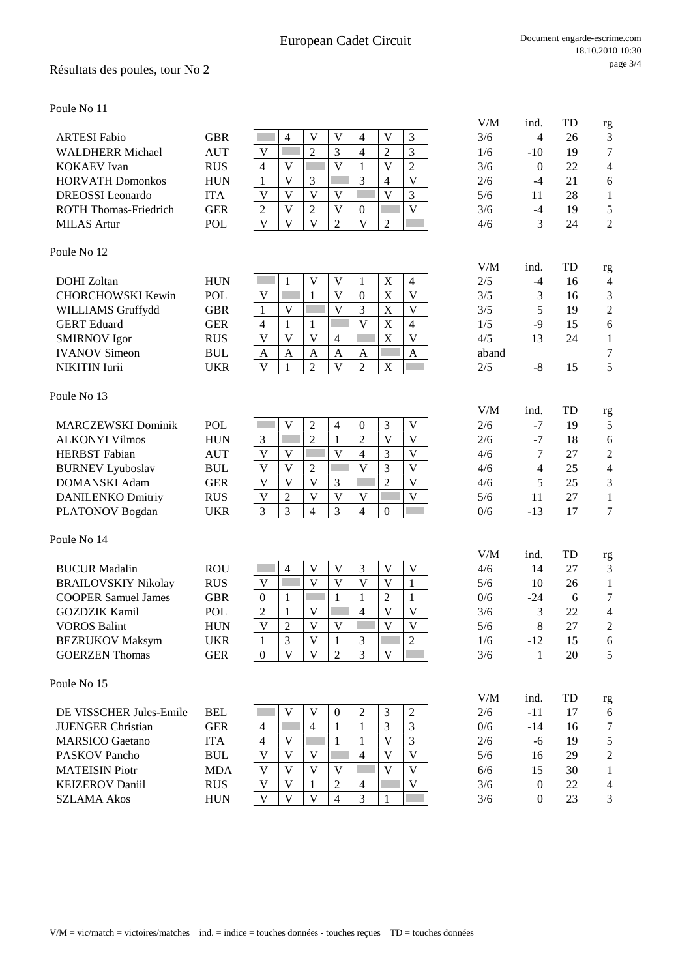## Résultats des poules, tour No 2

Poule No 11

| <b>ARTESI Fabio</b>          | GBR        |  |   |  |   |              | 3/6 |       | 26 |                |
|------------------------------|------------|--|---|--|---|--------------|-----|-------|----|----------------|
| <b>WALDHERR Michael</b>      | <b>AUT</b> |  | ∸ |  | ∠ |              | 1/6 | $-10$ | 19 | 7              |
| <b>KOKAEV</b> Ivan           | <b>RUS</b> |  |   |  |   |              | 3/6 |       | 22 | 4              |
| <b>HORVATH</b> Domonkos      | <b>HUN</b> |  |   |  | 4 |              | 2/6 |       |    |                |
| <b>DREOSSI</b> Leonardo      | <b>ITA</b> |  |   |  |   |              | 5/6 |       | 28 |                |
| <b>ROTH Thomas-Friedrich</b> | <b>GER</b> |  | ∠ |  |   | $\mathbf{V}$ | 3/6 | -4    | 19 |                |
| <b>MILAS</b> Artur           | POL        |  |   |  |   |              | 4/6 |       | 24 | $\overline{2}$ |

### Poule No 12

| <b>DOHI</b> Zoltan       | <b>HUN</b> |              |   |   | v |   |              | $\overline{4}$ | 2/5   | -4 | 16 | $\overline{4}$ |
|--------------------------|------------|--------------|---|---|---|---|--------------|----------------|-------|----|----|----------------|
| <b>CHORCHOWSKI Kewin</b> | POL        | $\mathbf{V}$ |   |   | v |   |              | $\mathbf{V}$   | 3/5   |    | 16 |                |
| <b>WILLIAMS Gruffydd</b> | GBR        |              |   |   |   |   |              | $\mathbf{V}$   | 3/5   |    | 19 |                |
| <b>GERT</b> Eduard       | GER        |              |   |   |   |   |              | 4              | 1/5   | -9 | 15 | 6              |
| <b>SMIRNOV</b> Igor      | <b>RUS</b> |              |   |   | 4 |   | $\mathbf{v}$ | $\mathbf{V}$   | 4/5   |    | 24 |                |
| <b>IVANOV</b> Simeon     | <b>BUL</b> | A            | A | A | A | A |              | A              | aband |    |    | 7              |
| <b>NIKITIN</b> Iurii     | UKR        | V            |   |   |   |   | $\Lambda$    |                | 2/5   | -8 |    |                |

#### Poule No 13

| <b>MARCZEWSKI Dominik</b> | <b>POL</b> |  |        |   |              | 2/6 | Ξ.                       | 19 |                |
|---------------------------|------------|--|--------|---|--------------|-----|--------------------------|----|----------------|
| <b>ALKONYI Vilmos</b>     | <b>HUN</b> |  |        |   | V            | 2/6 | $\overline{\phantom{a}}$ | 18 | 6              |
| <b>HERBST</b> Fabian      | AUT        |  |        |   | v            | 4/6 |                          |    |                |
| <b>BURNEV Lyuboslav</b>   | BUL        |  |        |   | v            | 4/6 |                          | 25 | $\overline{4}$ |
| DOMANSKI Adam             | GER        |  | $\sim$ | ◠ | $\mathbf{V}$ | 4/6 |                          | 25 | 3              |
| <b>DANILENKO Dmitriy</b>  | <b>RUS</b> |  |        |   | $\mathbf{V}$ | 5/6 |                          | 27 |                |
| PLATONOV Bogdan           | JKR        |  |        |   |              | 0/6 | -13                      |    | 7              |

#### Poule No 14

| <b>BUCUR Madalin</b>       | <b>ROU</b> |   |  |              |  | V | 4/6 | 14    |    |                |
|----------------------------|------------|---|--|--------------|--|---|-----|-------|----|----------------|
| <b>BRAILOVSKIY Nikolay</b> | <b>RUS</b> |   |  | V            |  |   | 5/6 | 10    | 26 |                |
| <b>COOPER Samuel James</b> | GBR        | 0 |  |              |  |   | 0/6 | $-24$ |    |                |
| <b>GOZDZIK Kamil</b>       | POL        |   |  |              |  | V | 3/6 |       | 22 | 4              |
| <b>VOROS Balint</b>        | <b>HUN</b> |   |  | $\mathbf{V}$ |  | V | 5/6 |       |    | $\overline{2}$ |
| <b>BEZRUKOV Maksym</b>     | UKR        |   |  |              |  |   | 1/6 | $-12$ | 15 | 6              |
| <b>GOERZEN</b> Thomas      | GER        | 0 |  |              |  |   | 3/6 |       | 20 |                |
|                            |            |   |  |              |  |   |     |       |    |                |

#### Poule No 15

| DE VISSCHER Jules-Emile  | <b>BEL</b> |   |   |                |   | $\sim$ |   | 2/6 | -11   |    |               |
|--------------------------|------------|---|---|----------------|---|--------|---|-----|-------|----|---------------|
| <b>JUENGER Christian</b> | GER        | 4 | 4 |                |   |        |   | 0/6 | $-14$ | 16 | 7             |
| <b>MARSICO</b> Gaetano   | ITA        | 4 |   |                |   |        |   | 2/6 | -6    | 19 |               |
| <b>PASKOV Pancho</b>     | <b>BUL</b> | V |   |                | 4 |        | V | 5/6 | 16    | 29 | $\mathcal{D}$ |
| <b>MATEISIN</b> Piotr    | <b>MDA</b> | v |   | v              |   |        | V | 6/6 |       | 30 |               |
| <b>KEIZEROV</b> Daniil   | <b>RUS</b> | V |   |                | 4 |        | V | 3/6 |       | 22 | 4             |
| <b>SZLAMA Akos</b>       | <b>HUN</b> | V |   | $\overline{4}$ |   |        |   | 3/6 |       | 23 | 3             |

| oule No 11                   |                                  |                                                    |                          |                         |                         |                           |                         |            |                  |          |                         |  |
|------------------------------|----------------------------------|----------------------------------------------------|--------------------------|-------------------------|-------------------------|---------------------------|-------------------------|------------|------------------|----------|-------------------------|--|
|                              |                                  |                                                    |                          | V                       |                         |                           |                         | V/M        | ind.             | TD       | rg                      |  |
| <b>ARTESI Fabio</b>          | <b>GBR</b>                       | $\overline{4}$                                     | V                        |                         | $\overline{4}$          | V                         | 3                       | 3/6        | 4                | 26       | 3                       |  |
| <b>WALDHERR Michael</b>      | <b>AUT</b>                       | $\mathbf V$                                        | $\overline{2}$           | 3                       | $\overline{4}$          | $\overline{2}$            | 3                       | 1/6        | $-10$            | 19       | 7                       |  |
| <b>KOKAEV</b> Ivan           | <b>RUS</b>                       | $\overline{4}$<br>V                                |                          | V                       | $\mathbf{1}$            | V                         | $\overline{2}$          | 3/6        | $\mathbf{0}$     | 22       | 4                       |  |
| <b>HORVATH Domonkos</b>      | <b>HUN</b>                       | $\overline{\mathsf{V}}$<br>$\mathbf{1}$            | 3                        |                         | 3                       | $\overline{4}$            | V                       | 2/6        | $-4$             | 21       | 6                       |  |
| <b>DREOSSI</b> Leonardo      | <b>ITA</b>                       | $\overline{V}$<br>$\overline{\mathsf{V}}$          | $\overline{\mathbf{V}}$  | $\overline{\mathsf{V}}$ |                         | $\overline{\mathsf{V}}$   | 3                       | 5/6        | 11               | 28       | 1                       |  |
| <b>ROTH Thomas-Friedrich</b> | <b>GER</b>                       | $\overline{\mathsf{V}}$<br>$\sqrt{2}$              | $\overline{2}$           | $\overline{\mathbf{V}}$ | $\boldsymbol{0}$        |                           | $\mathbf{V}$            | 3/6        | $-4$             | 19       | 5                       |  |
| <b>MILAS Artur</b>           | <b>POL</b>                       | $\overline{\mathbf{V}}$<br>$\mathbf{V}$            | $\mathbf{V}$             | $\overline{2}$          | $\overline{\mathsf{V}}$ | $\overline{2}$            |                         | 4/6        | 3                | 24       | 2                       |  |
| oule No 12                   |                                  |                                                    |                          |                         |                         |                           |                         |            |                  |          |                         |  |
| DOHI Zoltan                  | <b>HUN</b>                       | 1                                                  | V                        | V                       | $\mathbf{1}$            | $\boldsymbol{\mathrm{X}}$ | $\overline{4}$          | V/M<br>2/5 | ind.<br>$-4$     | TD<br>16 | rg<br>4                 |  |
| <b>CHORCHOWSKI Kewin</b>     | POL                              | V                                                  | $\mathbf{1}$             | $\overline{\mathbf{V}}$ | $\boldsymbol{0}$        | $\boldsymbol{\mathrm{X}}$ | $\mathbf{V}$            | 3/5        | 3                | 16       | 3                       |  |
|                              |                                  |                                                    |                          | $\mathbf{V}$            | 3                       |                           | $\mathbf{V}$            |            | 5                |          |                         |  |
| WILLIAMS Gruffydd            | <b>GBR</b>                       | $\mathbf{1}$<br>V                                  |                          |                         |                         | $\boldsymbol{\mathrm{X}}$ |                         | 3/5        |                  | 19       | $\overline{c}$          |  |
| <b>GERT</b> Eduard           | <b>GER</b>                       | $\overline{4}$<br>$\mathbf{1}$                     | $\mathbf{1}$             |                         | $\overline{V}$          | $\mathbf X$               | 4                       | 1/5        | $-9$             | 15       | 6                       |  |
| <b>SMIRNOV</b> Igor          | <b>RUS</b>                       | $\overline{\mathbf{V}}$<br>V                       | V                        | $\overline{4}$          |                         | $\mathbf X$               | $\overline{\mathbf{V}}$ | 4/5        | 13               | 24       | 1                       |  |
| <b>IVANOV Simeon</b>         | $\mathbf{B}\mathbf{U}\mathbf{L}$ | $\mathbf{A}$<br>A                                  | A                        | A                       | A                       |                           | $\mathbf{A}$            | aband      |                  |          | 7                       |  |
| NIKITIN Iurii                | <b>UKR</b>                       | V<br>$\mathbf{1}$                                  | $\overline{c}$           | V                       | $\overline{2}$          | $\mathbf X$               |                         | 2/5        | $-8$             | 15       | 5                       |  |
| oule No 13                   |                                  |                                                    |                          |                         |                         |                           |                         |            |                  |          |                         |  |
| <b>MARCZEWSKI Dominik</b>    | POL                              | V                                                  | $\overline{c}$           | $\overline{4}$          | 0                       | 3                         | V                       | V/M<br>2/6 | ind.<br>$-7$     | TD<br>19 | rg<br>5                 |  |
| <b>ALKONYI Vilmos</b>        | <b>HUN</b>                       | $\mathfrak{Z}$                                     | $\overline{2}$           | $\mathbf{1}$            | $\overline{2}$          | V                         | $\mathbf{V}$            | 2/6        | $-7$             | 18       | 6                       |  |
| <b>HERBST</b> Fabian         | <b>AUT</b>                       | V<br>V                                             |                          | $\overline{\mathbf{V}}$ |                         | 3                         | V                       | 4/6        | $\tau$           | 27       |                         |  |
|                              |                                  |                                                    |                          |                         | 4                       |                           |                         |            |                  |          | $\overline{c}$          |  |
| <b>BURNEV Lyuboslav</b>      | $\mathbf{B}\mathbf{U}\mathbf{L}$ | $\mathbf V$<br>V                                   | $\overline{c}$           |                         | $\mathbf V$             | 3                         | V                       | 4/6        | $\overline{4}$   | 25       | $\overline{\mathbf{4}}$ |  |
| <b>DOMANSKI Adam</b>         | <b>GER</b>                       | $\overline{\mathsf{V}}$<br>$\overline{\mathsf{V}}$ | $\overline{\mathsf{V}}$  | 3                       |                         | $\overline{2}$            | $\mathbf{V}$            | 4/6        | 5                | 25       | 3                       |  |
| <b>DANILENKO Dmitriy</b>     | <b>RUS</b>                       | $\overline{\mathsf{V}}$<br>$\overline{2}$          | V                        | $\overline{V}$          | V                       |                           | $\mathbf V$             | 5/6        | 11               | 27       | $\mathbf{1}$            |  |
| PLATONOV Bogdan              | <b>UKR</b>                       | 3<br>3                                             | $\overline{\mathcal{L}}$ | 3                       | $\overline{4}$          | $\Omega$                  |                         | 0/6        | $-13$            | 17       | 7                       |  |
| oule No 14                   |                                  |                                                    |                          |                         |                         |                           |                         |            |                  |          |                         |  |
| <b>BUCUR Madalin</b>         | <b>ROU</b>                       | 4                                                  | V                        | V                       | 3                       | V                         | V                       | V/M<br>4/6 | ind.<br>14       | TD<br>27 | rg<br>3                 |  |
| <b>BRAILOVSKIY Nikolay</b>   | <b>RUS</b>                       | $\mathbf V$                                        | $\overline{\mathsf{V}}$  | $\mathbf V$             | $\mathbf V$             | V                         |                         |            | 10               |          | 1                       |  |
|                              |                                  |                                                    |                          |                         |                         |                           | $\mathbf{1}$            | 5/6        |                  | 26       |                         |  |
| <b>COOPER Samuel James</b>   | <b>GBR</b>                       | $\boldsymbol{0}$<br>$\mathbf{1}$                   |                          | $\mathbf{1}$            | $\mathbf{1}$            | $\overline{c}$            | $\mathbf{1}$            | 0/6        | $-24$            | 6        | 7                       |  |
| <b>GOZDZIK Kamil</b>         | <b>POL</b>                       | $\overline{2}$<br>$\mathbf{1}$                     | $\mathbf V$              |                         | $\overline{4}$          | V                         | V                       | 3/6        | 3                | 22       | 4                       |  |
| <b>VOROS Balint</b>          | <b>HUN</b>                       | $\mathbf V$<br>$\overline{2}$                      | $\mathbf{V}$             | V                       |                         | $\mathbf{V}$              | V                       | 5/6        | 8                | 27       | $\mathfrak{D}$          |  |
| <b>BEZRUKOV Maksym</b>       | <b>UKR</b>                       | $\mathfrak{Z}$<br>$\mathbf{1}$                     | V                        | 1                       | $\mathfrak{Z}$          |                           | $\overline{2}$          | 1/6        | $-12$            | 15       | 6                       |  |
| <b>GOERZEN Thomas</b>        | <b>GER</b>                       | V<br>$\overline{0}$                                | V                        | $\overline{2}$          | 3                       | V                         |                         | 3/6        | 1                | 20       | 5                       |  |
| oule No 15                   |                                  |                                                    |                          |                         |                         |                           |                         |            |                  |          |                         |  |
|                              |                                  |                                                    |                          |                         |                         |                           |                         | V/M        | ind.             | TD       | rg                      |  |
| DE VISSCHER Jules-Emile      | <b>BEL</b>                       | V                                                  | V<br>$\overline{4}$      | $\boldsymbol{0}$        | $\overline{c}$          | 3                         | $\overline{2}$          | 2/6        | $-11$            | 17       | 6                       |  |
| <b>JUENGER Christian</b>     | <b>GER</b>                       | $\overline{4}$                                     |                          | 1                       | 1                       | 3                         | 3                       | 0/6        | $-14$            | 16       | 7                       |  |
| <b>MARSICO</b> Gaetano       | <b>ITA</b>                       | $\overline{4}$<br>V                                |                          | 1                       | 1                       | V                         | 3                       | 2/6        | -6               | 19       | 5                       |  |
| <b>PASKOV Pancho</b>         | <b>BUL</b>                       | V<br>V                                             | V                        |                         | 4                       | V                         | $\mathbf{V}$            | 5/6        | 16               | 29       | 2                       |  |
| <b>MATEISIN Piotr</b>        | <b>MDA</b>                       | V<br>V                                             | V                        | V                       |                         | V                         | V                       | 6/6        | 15               | 30       | 1                       |  |
| <b>KEIZEROV Daniil</b>       | <b>RUS</b>                       | V<br>V                                             | 1                        | 2                       | 4                       |                           | $\mathbf{V}$            | 3/6        | $\boldsymbol{0}$ | 22       | 4                       |  |
|                              |                                  |                                                    |                          |                         |                         |                           |                         |            |                  |          |                         |  |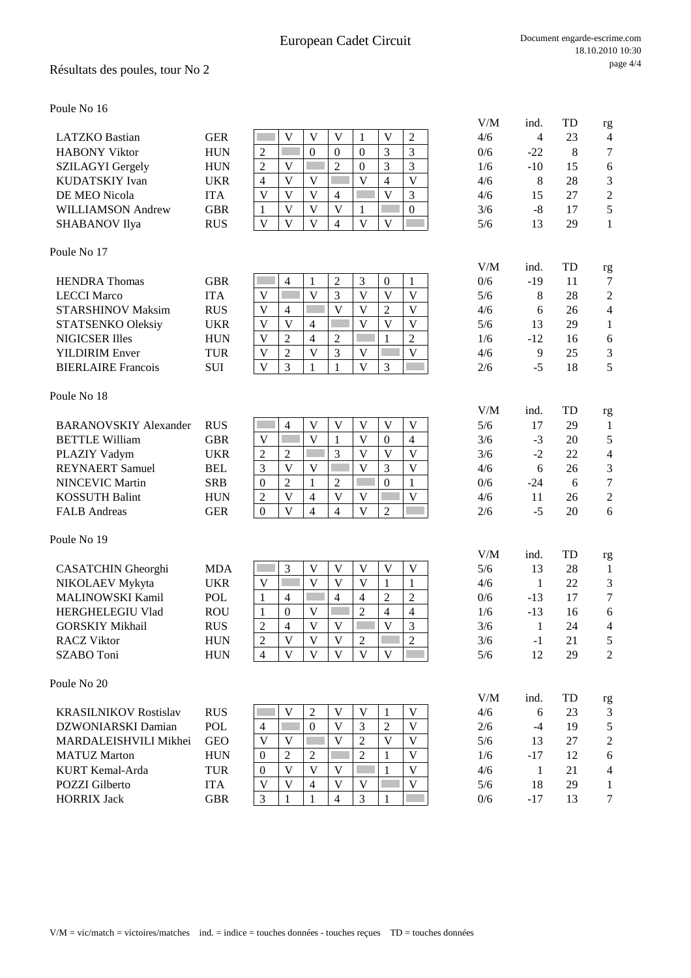LATZKO Bastian GER V V V 1 V 2 4/6 4 23 4

### Résultats des poules, tour No 2

Poule No 16

| <b>HABONY Viktor</b>         | <b>HUN</b> | $\overline{c}$          |                         | $\theta$                | $\boldsymbol{0}$        | $\theta$                | 3                       | 3                       | 0/6        | $-22$         | 8        | 7                  |
|------------------------------|------------|-------------------------|-------------------------|-------------------------|-------------------------|-------------------------|-------------------------|-------------------------|------------|---------------|----------|--------------------|
| <b>SZILAGYI</b> Gergely      | <b>HUN</b> | $\overline{2}$          | V                       |                         | $\overline{2}$          | $\boldsymbol{0}$        | 3                       | $\overline{3}$          | 1/6        | $-10$         | 15       | 6                  |
| KUDATSKIY Ivan               | <b>UKR</b> | $\overline{4}$          | V                       | $\overline{V}$          |                         | $\overline{V}$          | $\overline{4}$          | $\overline{V}$          | 4/6        | 8             | 28       | 3                  |
| DE MEO Nicola                | <b>ITA</b> | $\mathbf V$             | V                       | $\overline{\mathsf{V}}$ | $\overline{4}$          |                         | V                       | 3                       | 4/6        | 15            | 27       | $\overline{2}$     |
| <b>WILLIAMSON Andrew</b>     | <b>GBR</b> | $\mathbf{1}$            | $\overline{\mathbf{V}}$ | $\overline{V}$          | $\mathbf{V}$            | $\mathbf{1}$            |                         | $\boldsymbol{0}$        | 3/6        | $-8$          | 17       | 5                  |
| <b>SHABANOV Ilya</b>         | <b>RUS</b> | $\mathbf{V}$            | V                       | $\mathbf{V}$            | $\overline{4}$          | $\overline{\mathbf{V}}$ | $\mathbf{V}$            |                         | 5/6        | 13            | 29       | $\mathbf{1}$       |
| Poule No 17                  |            |                         |                         |                         |                         |                         |                         |                         |            |               |          |                    |
| <b>HENDRA</b> Thomas         | <b>GBR</b> |                         | $\overline{4}$          | $\mathbf{1}$            | $\boldsymbol{2}$        | 3                       | $\mathbf{0}$            | 1                       | V/M<br>0/6 | ind.<br>$-19$ | TD<br>11 | rg<br>7            |
| <b>LECCI Marco</b>           | <b>ITA</b> | V                       |                         | $\overline{V}$          | 3                       | V                       | V                       | V                       | 5/6        | 8             | 28       | $\overline{c}$     |
| <b>STARSHINOV Maksim</b>     | <b>RUS</b> | $\mathbf V$             | $\overline{4}$          |                         | $\overline{V}$          | V                       | $\overline{2}$          | $\mathbf V$             | 4/6        | 6             | 26       | $\overline{4}$     |
| STATSENKO Oleksiy            | <b>UKR</b> | $\mathbf V$             | V                       | $\overline{4}$          |                         | V                       | V                       | $\mathbf V$             | 5/6        | 13            | 29       | $\mathbf{1}$       |
| <b>NIGICSER Illes</b>        | <b>HUN</b> | V                       | $\overline{2}$          | $\overline{4}$          | $\overline{2}$          |                         | 1                       | $\overline{2}$          | 1/6        | $-12$         | 16       | 6                  |
| <b>YILDIRIM Enver</b>        | <b>TUR</b> | $\mathbf V$             | $\overline{2}$          | $\overline{\mathbf{V}}$ | 3                       | V                       |                         | V                       | 4/6        | 9             | 25       | 3                  |
| <b>BIERLAIRE Francois</b>    | SUI        | $\overline{\mathbf{V}}$ | 3                       | 1                       | $\mathbf{1}$            | V                       | 3                       |                         | 2/6        | $-5$          | 18       | 5                  |
| Poule No 18                  |            |                         |                         |                         |                         |                         |                         |                         |            |               |          |                    |
|                              |            |                         |                         |                         |                         |                         |                         |                         | V/M        | ind.          | TD       | rg                 |
| <b>BARANOVSKIY Alexander</b> | <b>RUS</b> |                         | $\overline{4}$          | V                       | V                       | $\mathbf V$             | V                       | V                       | 5/6        | 17            | 29       | 1                  |
| <b>BETTLE William</b>        | <b>GBR</b> | $\overline{V}$          |                         | $\overline{V}$          | $\mathbf{1}$            | $\overline{V}$          | $\mathbf{0}$            | $\overline{4}$          | 3/6        | $-3$          | 20       | 5                  |
| PLAZIY Vadym                 | <b>UKR</b> | $\overline{2}$          | $\overline{2}$          |                         | 3                       | $\overline{\mathbf{V}}$ | V                       | $\overline{\mathbf{V}}$ | 3/6        | $-2$          | 22       | 4                  |
| <b>REYNAERT</b> Samuel       | <b>BEL</b> | 3                       | V                       | V                       |                         | $\mathbf{V}$            | $\overline{3}$          | $\overline{\mathsf{V}}$ | 4/6        | 6             | 26       | 3                  |
| <b>NINCEVIC Martin</b>       | <b>SRB</b> | $\boldsymbol{0}$        | $\overline{2}$          | $\mathbf{1}$            | $\overline{c}$          |                         | $\overline{0}$          | $\mathbf{1}$            | 0/6        | $-24$         | 6        | $\boldsymbol{7}$   |
| <b>KOSSUTH Balint</b>        | <b>HUN</b> | $\overline{2}$          | V                       | $\overline{4}$          | $\mathbf{V}$            | V                       |                         | V                       | 4/6        | 11            | 26       | $\overline{c}$     |
| <b>FALB</b> Andreas          | <b>GER</b> | $\mathbf{0}$            | $\overline{\mathbf{V}}$ | $\overline{4}$          | $\overline{4}$          | $\overline{\mathbf{V}}$ | $\overline{2}$          |                         | 2/6        | $-5$          | 20       | 6                  |
| Poule No 19                  |            |                         |                         |                         |                         |                         |                         |                         |            |               |          |                    |
| CASATCHIN Gheorghi           | <b>MDA</b> |                         | 3                       | V                       | V                       | V                       | V                       | V                       | V/M<br>5/6 | ind.<br>13    | TD<br>28 | rg<br>$\mathbf{1}$ |
| NIKOLAEV Mykyta              | <b>UKR</b> | $\mathbf V$             |                         | $\overline{V}$          | V                       | V                       | 1                       | 1                       | 4/6        | $\mathbf{1}$  | 22       | 3                  |
| <b>MALINOWSKI Kamil</b>      | <b>POL</b> | $\mathbf{1}$            | $\overline{4}$          |                         | $\overline{4}$          | 4                       | $\overline{2}$          | $\overline{c}$          | 0/6        | $-13$         | 17       | $\overline{7}$     |
| HERGHELEGIU Vlad             | <b>ROU</b> | $\mathbf{1}$            | $\mathbf{0}$            | $\mathbf V$             |                         | $\overline{2}$          | $\overline{4}$          | $\overline{4}$          | 1/6        | $-13$         | 16       | 6                  |
| <b>GORSKIY Mikhail</b>       | <b>RUS</b> | $\overline{2}$          | $\overline{4}$          | $\overline{V}$          | $\overline{\mathbf{V}}$ |                         | $\overline{\mathbf{V}}$ | 3                       | 3/6        | $\mathbf{1}$  | 24       | $\overline{4}$     |
| <b>RACZ Viktor</b>           | <b>HUN</b> | $\overline{2}$          | V                       | V                       | $\mathbf{V}$            | $\overline{2}$          |                         | $\overline{2}$          | 3/6        | $-1$          | 21       | 5                  |
| SZABO Toni                   | <b>HUN</b> | $\overline{4}$          | V                       | $\overline{\mathsf{V}}$ | $\overline{\mathsf{V}}$ | $\overline{\mathbf{V}}$ | $\overline{\mathbf{V}}$ |                         | 5/6        | 12            | 29       | $\overline{2}$     |
| Poule No 20                  |            |                         |                         |                         |                         |                         |                         |                         |            |               |          |                    |
|                              |            |                         |                         |                         |                         |                         |                         |                         | V/M        | ind.          | TD       | rg                 |
| <b>KRASILNIKOV Rostislav</b> | <b>RUS</b> |                         | V                       | 2                       | V                       | V                       | 1                       | V                       | 4/6        | 6             | 23       | 3                  |
| DZWONIARSKI Damian           | <b>POL</b> | $\overline{4}$          |                         | $\boldsymbol{0}$        | V                       | 3                       | $\overline{2}$          | $\mathbf V$             | 2/6        | $-4$          | 19       | 5                  |
| MARDALEISHVILI Mikhei        | <b>GEO</b> | V                       | V                       |                         | V                       | $\overline{2}$          | V                       | V                       | 5/6        | 13            | 27       | $\overline{2}$     |
| <b>MATUZ Marton</b>          | <b>HUN</b> | $\mathbf{0}$            | 2                       | 2                       |                         | $\overline{c}$          | 1                       | V                       | 1/6        | $-17$         | 12       | 6                  |
| KURT Kemal-Arda              | TUR        | $\boldsymbol{0}$        | V                       | $\overline{\mathsf{V}}$ | V                       |                         | $\mathbf{1}$            | V                       | 4/6        | $\mathbf{1}$  | 21       | $\overline{4}$     |
| <b>POZZI</b> Gilberto        | <b>ITA</b> | $\mathbf V$             | V                       | $\overline{4}$          | V                       | V                       |                         | $\mathbf V$             | 5/6        | 18            | 29       | $\mathbf{1}$       |
| <b>HORRIX Jack</b>           | <b>GBR</b> | 3                       |                         | 1                       | $\overline{4}$          | 3                       |                         |                         | 0/6        | $-17$         | 13       | $\boldsymbol{7}$   |

V/M ind. TD rg

HORRIX Jack GBR 3 1 1 4 3 1 0/6 -17 13 7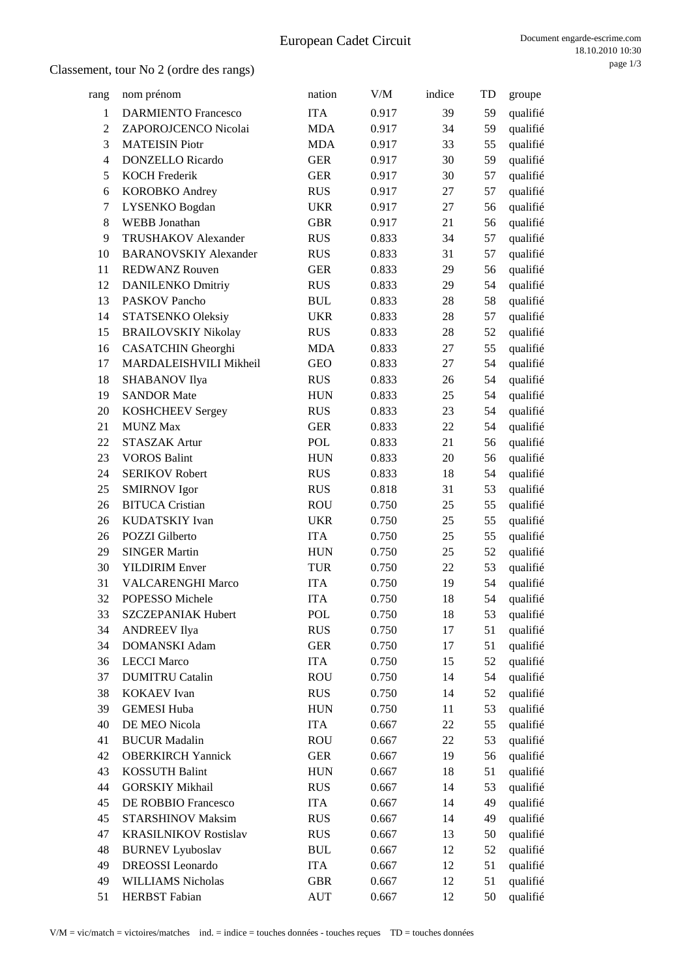| rang           | nom prénom                   | nation                           | V/M   | indice | TD | groupe   |
|----------------|------------------------------|----------------------------------|-------|--------|----|----------|
| $\mathbf{1}$   | <b>DARMIENTO Francesco</b>   | <b>ITA</b>                       | 0.917 | 39     | 59 | qualifié |
| $\overline{c}$ | ZAPOROJCENCO Nicolai         | <b>MDA</b>                       | 0.917 | 34     | 59 | qualifié |
| 3              | <b>MATEISIN Piotr</b>        | <b>MDA</b>                       | 0.917 | 33     | 55 | qualifié |
| 4              | <b>DONZELLO</b> Ricardo      | <b>GER</b>                       | 0.917 | 30     | 59 | qualifié |
| 5              | <b>KOCH Frederik</b>         | <b>GER</b>                       | 0.917 | 30     | 57 | qualifié |
| 6              | <b>KOROBKO</b> Andrey        | <b>RUS</b>                       | 0.917 | 27     | 57 | qualifié |
| 7              | LYSENKO Bogdan               | <b>UKR</b>                       | 0.917 | 27     | 56 | qualifié |
| 8              | <b>WEBB</b> Jonathan         | <b>GBR</b>                       | 0.917 | 21     | 56 | qualifié |
| 9              | TRUSHAKOV Alexander          | <b>RUS</b>                       | 0.833 | 34     | 57 | qualifié |
| 10             | <b>BARANOVSKIY Alexander</b> | <b>RUS</b>                       | 0.833 | 31     | 57 | qualifié |
| 11             | <b>REDWANZ Rouven</b>        | <b>GER</b>                       | 0.833 | 29     | 56 | qualifié |
| 12             | <b>DANILENKO Dmitriy</b>     | <b>RUS</b>                       | 0.833 | 29     | 54 | qualifié |
| 13             | PASKOV Pancho                | <b>BUL</b>                       | 0.833 | 28     | 58 | qualifié |
| 14             | <b>STATSENKO Oleksiy</b>     | <b>UKR</b>                       | 0.833 | 28     | 57 | qualifié |
| 15             | <b>BRAILOVSKIY Nikolay</b>   | <b>RUS</b>                       | 0.833 | 28     | 52 | qualifié |
| 16             | <b>CASATCHIN</b> Gheorghi    | <b>MDA</b>                       | 0.833 | 27     | 55 | qualifié |
| 17             | MARDALEISHVILI Mikheil       | <b>GEO</b>                       | 0.833 | 27     | 54 | qualifié |
| 18             | SHABANOV Ilya                | <b>RUS</b>                       | 0.833 | 26     | 54 | qualifié |
| 19             | <b>SANDOR Mate</b>           | <b>HUN</b>                       | 0.833 | 25     | 54 | qualifié |
| 20             | <b>KOSHCHEEV Sergey</b>      | <b>RUS</b>                       | 0.833 | 23     | 54 | qualifié |
| 21             | <b>MUNZ Max</b>              | <b>GER</b>                       | 0.833 | 22     | 54 | qualifié |
| 22             | <b>STASZAK Artur</b>         | <b>POL</b>                       | 0.833 | 21     | 56 | qualifié |
| 23             | <b>VOROS Balint</b>          | <b>HUN</b>                       | 0.833 | 20     | 56 | qualifié |
| 24             | <b>SERIKOV Robert</b>        | <b>RUS</b>                       | 0.833 | 18     | 54 | qualifié |
| 25             | <b>SMIRNOV</b> Igor          | <b>RUS</b>                       | 0.818 | 31     | 53 | qualifié |
| 26             | <b>BITUCA Cristian</b>       | <b>ROU</b>                       | 0.750 | 25     | 55 | qualifié |
| 26             | KUDATSKIY Ivan               | <b>UKR</b>                       | 0.750 | 25     | 55 | qualifié |
| 26             | POZZI Gilberto               | <b>ITA</b>                       | 0.750 | 25     | 55 | qualifié |
| 29             | <b>SINGER Martin</b>         | <b>HUN</b>                       | 0.750 | 25     | 52 | qualifié |
| 30             | <b>YILDIRIM Enver</b>        | <b>TUR</b>                       | 0.750 | 22     | 53 | qualifié |
| 31             | <b>VALCARENGHI Marco</b>     | <b>ITA</b>                       | 0.750 | 19     | 54 | qualifié |
| 32             | POPESSO Michele              | <b>ITA</b>                       | 0.750 | 18     | 54 | qualifié |
| 33             | SZCZEPANIAK Hubert           | POL                              | 0.750 | 18     | 53 | qualifié |
| 34             | <b>ANDREEV Ilya</b>          | <b>RUS</b>                       | 0.750 | 17     | 51 | qualifié |
| 34             | <b>DOMANSKI</b> Adam         | <b>GER</b>                       | 0.750 | 17     | 51 | qualifié |
| 36             | <b>LECCI Marco</b>           | <b>ITA</b>                       | 0.750 | 15     | 52 | qualifié |
| 37             | <b>DUMITRU Catalin</b>       | <b>ROU</b>                       | 0.750 | 14     | 54 | qualifié |
| 38             | <b>KOKAEV</b> Ivan           | <b>RUS</b>                       | 0.750 | 14     | 52 | qualifié |
| 39             | <b>GEMESI Huba</b>           | <b>HUN</b>                       | 0.750 | 11     | 53 | qualifié |
| 40             | DE MEO Nicola                | <b>ITA</b>                       | 0.667 | 22     | 55 | qualifié |
| 41             | <b>BUCUR</b> Madalin         | <b>ROU</b>                       | 0.667 | 22     | 53 | qualifié |
| 42             | <b>OBERKIRCH Yannick</b>     | <b>GER</b>                       | 0.667 | 19     | 56 | qualifié |
| 43             | <b>KOSSUTH Balint</b>        | <b>HUN</b>                       | 0.667 | 18     | 51 | qualifié |
| 44             | <b>GORSKIY Mikhail</b>       | <b>RUS</b>                       | 0.667 | 14     | 53 | qualifié |
| 45             | DE ROBBIO Francesco          | <b>ITA</b>                       | 0.667 | 14     | 49 | qualifié |
| 45             | STARSHINOV Maksim            | <b>RUS</b>                       | 0.667 | 14     | 49 | qualifié |
| 47             | <b>KRASILNIKOV Rostislav</b> | <b>RUS</b>                       | 0.667 | 13     | 50 | qualifié |
| 48             | <b>BURNEV Lyuboslav</b>      | $\mathbf{B}\mathbf{U}\mathbf{L}$ | 0.667 | 12     | 52 | qualifié |
| 49             | <b>DREOSSI</b> Leonardo      | <b>ITA</b>                       | 0.667 | 12     | 51 | qualifié |
| 49             | <b>WILLIAMS Nicholas</b>     | <b>GBR</b>                       | 0.667 | 12     | 51 | qualifié |
| 51             | <b>HERBST</b> Fabian         | <b>AUT</b>                       | 0.667 | 12     | 50 | qualifié |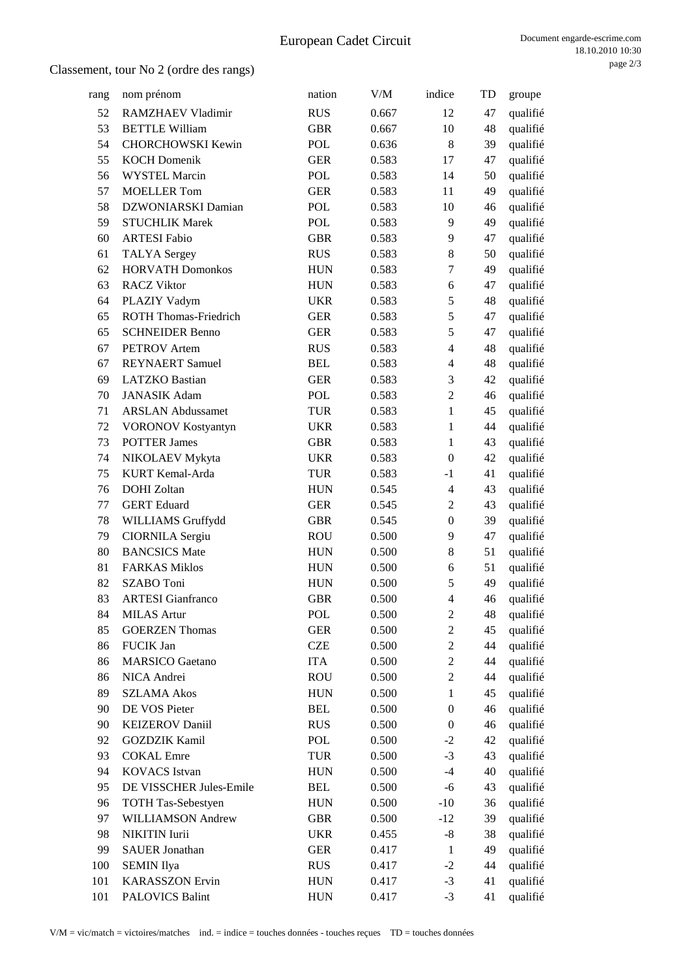| rang | nom prénom                   | nation     | V/M   | indice           | TD | groupe   |
|------|------------------------------|------------|-------|------------------|----|----------|
| 52   | RAMZHAEV Vladimir            | <b>RUS</b> | 0.667 | 12               | 47 | qualifié |
| 53   | <b>BETTLE William</b>        | <b>GBR</b> | 0.667 | 10               | 48 | qualifié |
| 54   | <b>CHORCHOWSKI Kewin</b>     | POL        | 0.636 | 8                | 39 | qualifié |
| 55   | <b>KOCH Domenik</b>          | <b>GER</b> | 0.583 | 17               | 47 | qualifié |
| 56   | <b>WYSTEL Marcin</b>         | POL        | 0.583 | 14               | 50 | qualifié |
| 57   | <b>MOELLER Tom</b>           | <b>GER</b> | 0.583 | 11               | 49 | qualifié |
| 58   | DZWONIARSKI Damian           | POL        | 0.583 | 10               | 46 | qualifié |
| 59   | <b>STUCHLIK Marek</b>        | POL        | 0.583 | 9                | 49 | qualifié |
| 60   | <b>ARTESI Fabio</b>          | <b>GBR</b> | 0.583 | 9                | 47 | qualifié |
| 61   | <b>TALYA</b> Sergey          | <b>RUS</b> | 0.583 | 8                | 50 | qualifié |
| 62   | <b>HORVATH Domonkos</b>      | <b>HUN</b> | 0.583 | $\tau$           | 49 | qualifié |
| 63   | <b>RACZ Viktor</b>           | <b>HUN</b> | 0.583 | 6                | 47 | qualifié |
| 64   | PLAZIY Vadym                 | <b>UKR</b> | 0.583 | $\mathfrak s$    | 48 | qualifié |
| 65   | <b>ROTH Thomas-Friedrich</b> | <b>GER</b> | 0.583 | 5                | 47 | qualifié |
| 65   | <b>SCHNEIDER Benno</b>       | <b>GER</b> | 0.583 | 5                | 47 | qualifié |
| 67   | <b>PETROV</b> Artem          | <b>RUS</b> | 0.583 | $\overline{4}$   | 48 | qualifié |
| 67   | <b>REYNAERT</b> Samuel       | <b>BEL</b> | 0.583 | $\overline{4}$   | 48 | qualifié |
| 69   | <b>LATZKO</b> Bastian        | <b>GER</b> | 0.583 | 3                | 42 | qualifié |
| 70   | <b>JANASIK Adam</b>          | POL        | 0.583 | $\overline{2}$   | 46 | qualifié |
| 71   | <b>ARSLAN Abdussamet</b>     | <b>TUR</b> | 0.583 | $\mathbf{1}$     | 45 | qualifié |
| 72   | VORONOV Kostyantyn           | <b>UKR</b> | 0.583 | $\mathbf{1}$     | 44 | qualifié |
| 73   | <b>POTTER James</b>          | <b>GBR</b> | 0.583 | $\mathbf{1}$     | 43 | qualifié |
| 74   | NIKOLAEV Mykyta              | <b>UKR</b> | 0.583 | $\mathbf{0}$     | 42 | qualifié |
| 75   | KURT Kemal-Arda              | <b>TUR</b> | 0.583 | $-1$             | 41 | qualifié |
| 76   | <b>DOHI</b> Zoltan           | <b>HUN</b> | 0.545 | $\overline{4}$   | 43 | qualifié |
| 77   | <b>GERT</b> Eduard           | <b>GER</b> | 0.545 | $\overline{2}$   | 43 | qualifié |
| 78   | WILLIAMS Gruffydd            | <b>GBR</b> | 0.545 | $\boldsymbol{0}$ | 39 | qualifié |
| 79   | <b>CIORNILA Sergiu</b>       | <b>ROU</b> | 0.500 | 9                | 47 | qualifié |
| 80   | <b>BANCSICS</b> Mate         | <b>HUN</b> | 0.500 | 8                | 51 | qualifié |
| 81   | <b>FARKAS Miklos</b>         | <b>HUN</b> | 0.500 | 6                | 51 | qualifié |
| 82   | SZABO Toni                   | <b>HUN</b> | 0.500 | 5                | 49 | qualifié |
| 83   | <b>ARTESI</b> Gianfranco     | <b>GBR</b> | 0.500 | $\overline{4}$   | 46 | qualifié |
| 84   | <b>MILAS</b> Artur           | POL        | 0.500 | $\mathbf{2}$     | 48 | qualifié |
| 85   | <b>GOERZEN</b> Thomas        | <b>GER</b> | 0.500 | $\overline{2}$   | 45 | qualifié |
| 86   | FUCIK Jan                    | <b>CZE</b> | 0.500 | $\boldsymbol{2}$ | 44 | qualifié |
| 86   | <b>MARSICO</b> Gaetano       | <b>ITA</b> | 0.500 | $\overline{2}$   | 44 | qualifié |
| 86   | NICA Andrei                  | <b>ROU</b> | 0.500 | $\overline{2}$   | 44 | qualifié |
| 89   | <b>SZLAMA Akos</b>           | <b>HUN</b> | 0.500 | $\mathbf{1}$     | 45 | qualifié |
| 90   | DE VOS Pieter                | <b>BEL</b> | 0.500 | $\boldsymbol{0}$ | 46 | qualifié |
| 90   | <b>KEIZEROV Daniil</b>       | <b>RUS</b> | 0.500 | $\boldsymbol{0}$ | 46 | qualifié |
| 92   | <b>GOZDZIK Kamil</b>         | POL        | 0.500 | $-2$             | 42 | qualifié |
| 93   | <b>COKAL</b> Emre            | TUR        | 0.500 | $-3$             | 43 | qualifié |
| 94   | <b>KOVACS</b> Istvan         | <b>HUN</b> | 0.500 | $-4$             | 40 | qualifié |
| 95   | DE VISSCHER Jules-Emile      | <b>BEL</b> | 0.500 | $-6$             | 43 | qualifié |
| 96   | <b>TOTH Tas-Sebestyen</b>    | <b>HUN</b> | 0.500 | $-10$            | 36 | qualifié |
| 97   | WILLIAMSON Andrew            | <b>GBR</b> | 0.500 | $-12$            | 39 | qualifié |
| 98   | NIKITIN Iurii                | <b>UKR</b> | 0.455 | $-8$             | 38 | qualifié |
| 99   | <b>SAUER Jonathan</b>        | <b>GER</b> | 0.417 | $\mathbf{1}$     | 49 | qualifié |
| 100  | <b>SEMIN</b> Ilya            | <b>RUS</b> | 0.417 | $-2$             | 44 | qualifié |
| 101  | <b>KARASSZON</b> Ervin       | <b>HUN</b> | 0.417 | $-3$             | 41 | qualifié |
| 101  | <b>PALOVICS Balint</b>       | <b>HUN</b> | 0.417 | $-3$             | 41 | qualifié |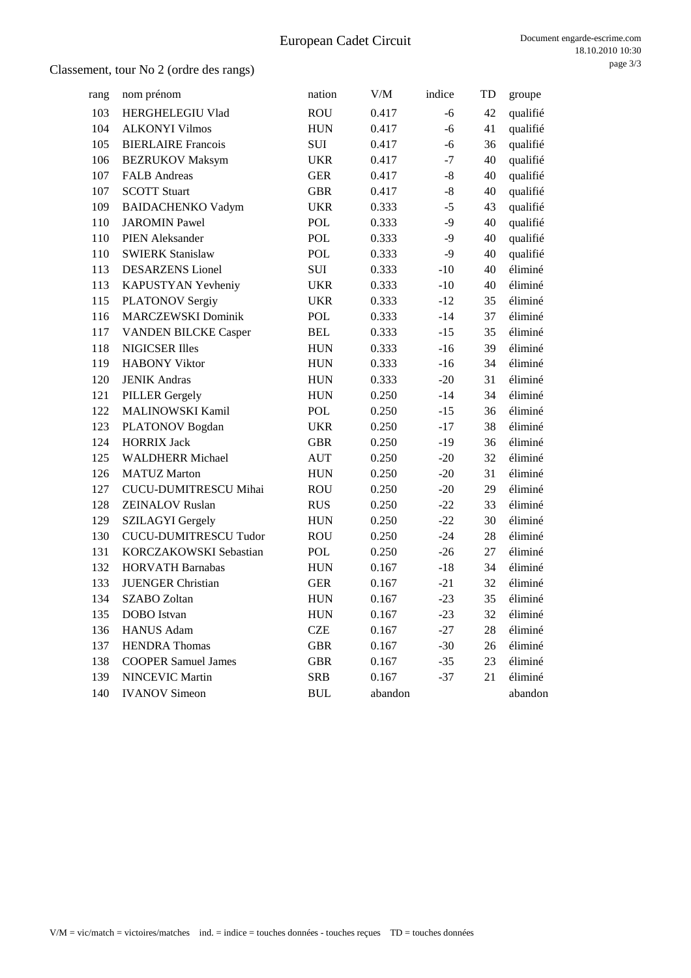| rang | nom prénom                   | nation     | V/M     | indice | TD | groupe   |
|------|------------------------------|------------|---------|--------|----|----------|
| 103  | HERGHELEGIU Vlad             | <b>ROU</b> | 0.417   | -6     | 42 | qualifié |
| 104  | <b>ALKONYI Vilmos</b>        | <b>HUN</b> | 0.417   | $-6$   | 41 | qualifié |
| 105  | <b>BIERLAIRE</b> Francois    | SUI        | 0.417   | $-6$   | 36 | qualifié |
| 106  | <b>BEZRUKOV Maksym</b>       | <b>UKR</b> | 0.417   | $-7$   | 40 | qualifié |
| 107  | <b>FALB</b> Andreas          | <b>GER</b> | 0.417   | $-8$   | 40 | qualifié |
| 107  | <b>SCOTT Stuart</b>          | <b>GBR</b> | 0.417   | $-8$   | 40 | qualifié |
| 109  | <b>BAIDACHENKO Vadym</b>     | <b>UKR</b> | 0.333   | $-5$   | 43 | qualifié |
| 110  | <b>JAROMIN Pawel</b>         | POL        | 0.333   | $-9$   | 40 | qualifié |
| 110  | <b>PIEN Aleksander</b>       | POL        | 0.333   | $-9$   | 40 | qualifié |
| 110  | <b>SWIERK Stanislaw</b>      | <b>POL</b> | 0.333   | $-9$   | 40 | qualifié |
| 113  | <b>DESARZENS</b> Lionel      | SUI        | 0.333   | $-10$  | 40 | éliminé  |
| 113  | KAPUSTYAN Yevheniy           | <b>UKR</b> | 0.333   | $-10$  | 40 | éliminé  |
| 115  | <b>PLATONOV Sergiy</b>       | <b>UKR</b> | 0.333   | $-12$  | 35 | éliminé  |
| 116  | <b>MARCZEWSKI Dominik</b>    | POL        | 0.333   | $-14$  | 37 | éliminé  |
| 117  | <b>VANDEN BILCKE Casper</b>  | <b>BEL</b> | 0.333   | $-15$  | 35 | éliminé  |
| 118  | <b>NIGICSER Illes</b>        | <b>HUN</b> | 0.333   | $-16$  | 39 | éliminé  |
| 119  | <b>HABONY Viktor</b>         | <b>HUN</b> | 0.333   | $-16$  | 34 | éliminé  |
| 120  | <b>JENIK Andras</b>          | <b>HUN</b> | 0.333   | $-20$  | 31 | éliminé  |
| 121  | <b>PILLER</b> Gergely        | <b>HUN</b> | 0.250   | $-14$  | 34 | éliminé  |
| 122  | MALINOWSKI Kamil             | POL        | 0.250   | $-15$  | 36 | éliminé  |
| 123  | PLATONOV Bogdan              | <b>UKR</b> | 0.250   | $-17$  | 38 | éliminé  |
| 124  | <b>HORRIX Jack</b>           | <b>GBR</b> | 0.250   | $-19$  | 36 | éliminé  |
| 125  | <b>WALDHERR Michael</b>      | <b>AUT</b> | 0.250   | $-20$  | 32 | éliminé  |
| 126  | <b>MATUZ Marton</b>          | <b>HUN</b> | 0.250   | $-20$  | 31 | éliminé  |
| 127  | CUCU-DUMITRESCU Mihai        | <b>ROU</b> | 0.250   | $-20$  | 29 | éliminé  |
| 128  | <b>ZEINALOV Ruslan</b>       | <b>RUS</b> | 0.250   | $-22$  | 33 | éliminé  |
| 129  | <b>SZILAGYI</b> Gergely      | <b>HUN</b> | 0.250   | $-22$  | 30 | éliminé  |
| 130  | <b>CUCU-DUMITRESCU Tudor</b> | <b>ROU</b> | 0.250   | $-24$  | 28 | éliminé  |
| 131  | KORCZAKOWSKI Sebastian       | POL        | 0.250   | $-26$  | 27 | éliminé  |
| 132  | <b>HORVATH Barnabas</b>      | <b>HUN</b> | 0.167   | $-18$  | 34 | éliminé  |
| 133  | <b>JUENGER Christian</b>     | <b>GER</b> | 0.167   | $-21$  | 32 | éliminé  |
| 134  | <b>SZABO</b> Zoltan          | <b>HUN</b> | 0.167   | $-23$  | 35 | éliminé  |
| 135  | DOBO Istvan                  | <b>HUN</b> | 0.167   | $-23$  | 32 | éliminé  |
| 136  | <b>HANUS Adam</b>            | <b>CZE</b> | 0.167   | $-27$  | 28 | éliminé  |
| 137  | <b>HENDRA</b> Thomas         | <b>GBR</b> | 0.167   | $-30$  | 26 | éliminé  |
| 138  | <b>COOPER Samuel James</b>   | <b>GBR</b> | 0.167   | $-35$  | 23 | éliminé  |
| 139  | <b>NINCEVIC Martin</b>       | <b>SRB</b> | 0.167   | $-37$  | 21 | éliminé  |
| 140  | <b>IVANOV</b> Simeon         | <b>BUL</b> | abandon |        |    | abandon  |
|      |                              |            |         |        |    |          |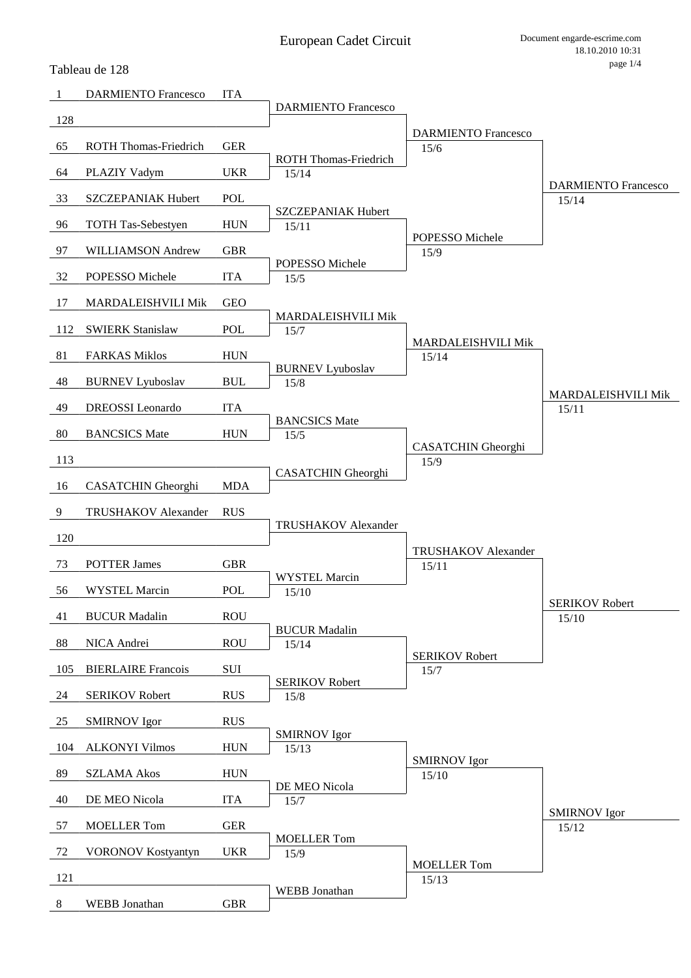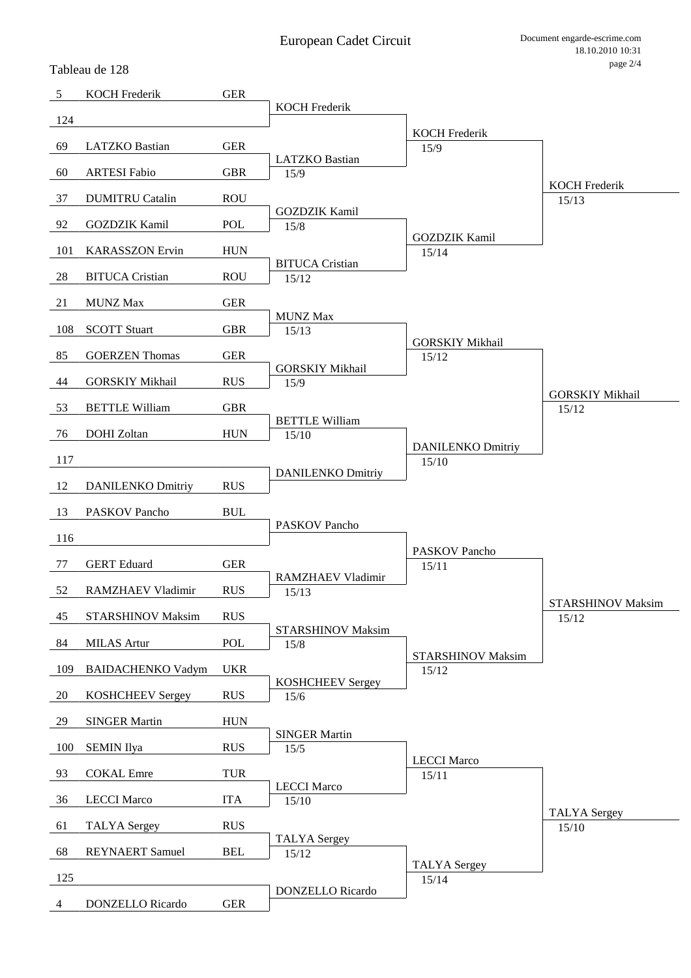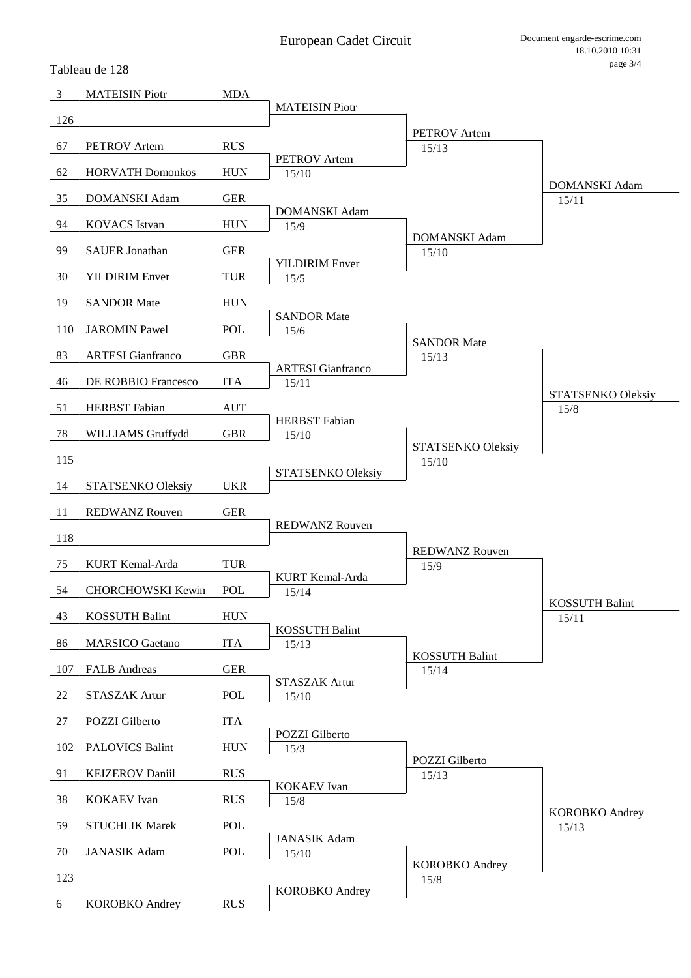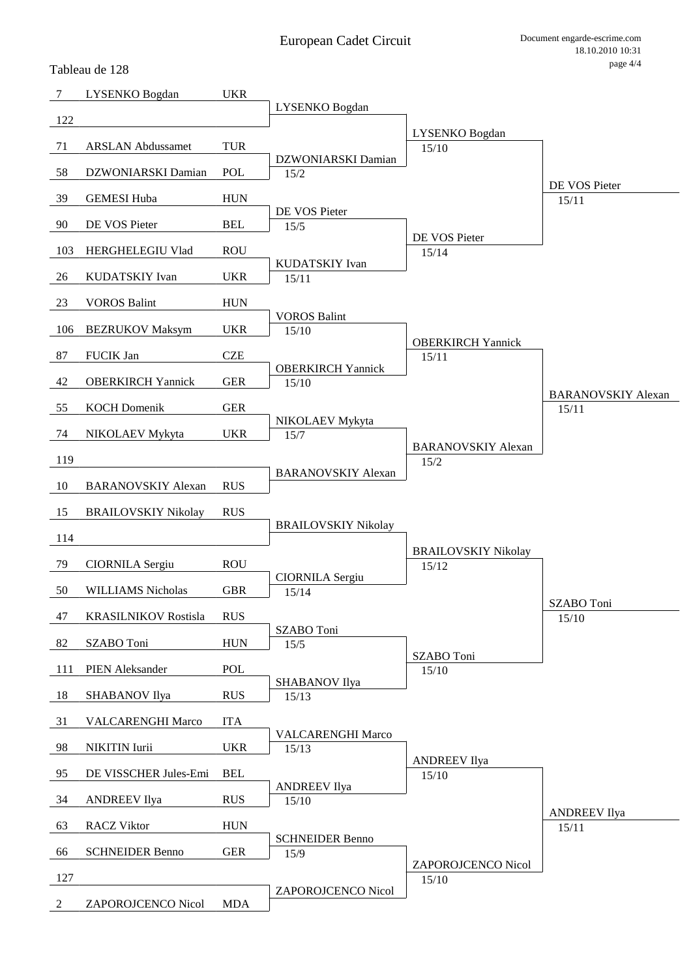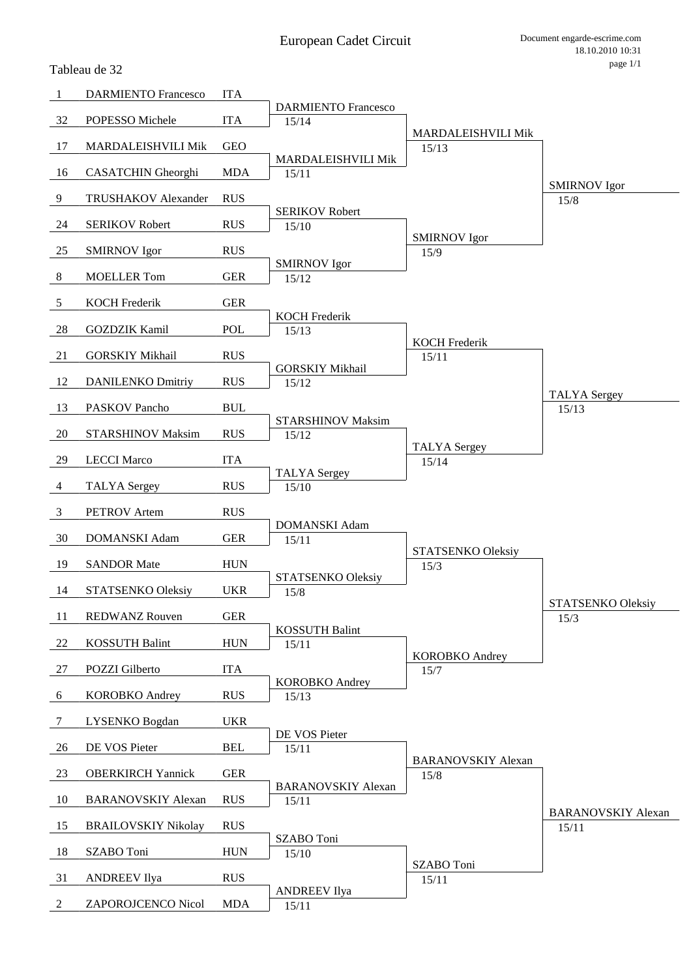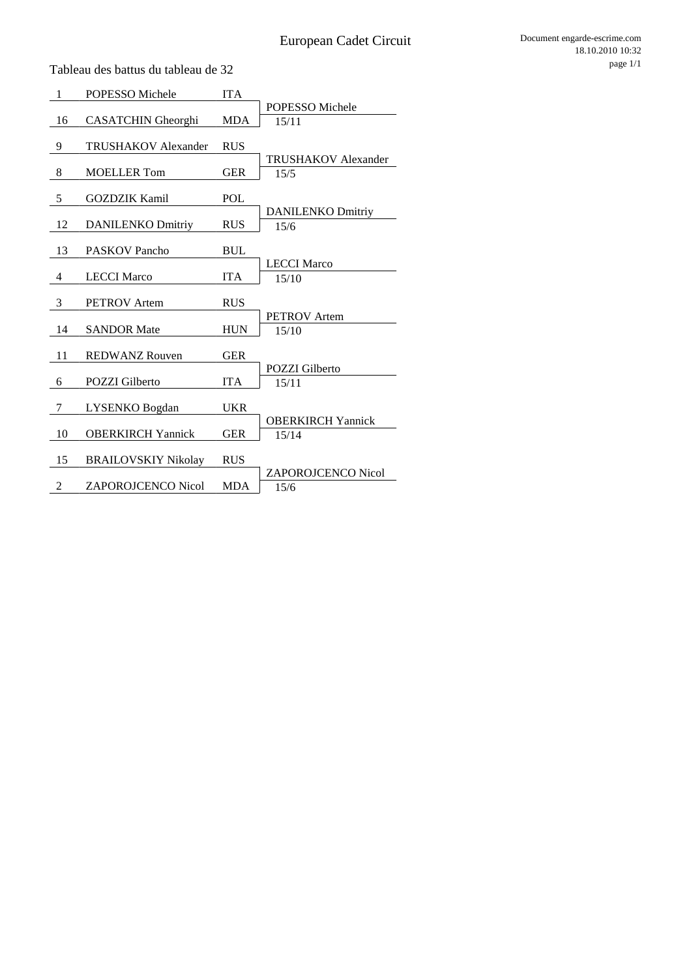| POPESSO Michele<br><b>MDA</b><br>16                               |  |
|-------------------------------------------------------------------|--|
|                                                                   |  |
| <b>CASATCHIN</b> Gheorghi<br>15/11                                |  |
|                                                                   |  |
| <b>TRUSHAKOV</b> Alexander<br>9<br><b>RUS</b>                     |  |
| <b>TRUSHAKOV Alexander</b>                                        |  |
| 8<br><b>MOELLER</b> Tom<br><b>GER</b><br>15/5                     |  |
| 5<br><b>GOZDZIK Kamil</b><br>POL                                  |  |
| <b>DANILENKO Dmitriy</b>                                          |  |
| 12<br><b>DANILENKO Dmitriy</b><br><b>RUS</b><br>15/6              |  |
|                                                                   |  |
| 13<br><b>PASKOV Pancho</b><br><b>BUL</b>                          |  |
| <b>LECCI Marco</b>                                                |  |
| <b>LECCI Marco</b><br><b>ITA</b><br>4<br>15/10                    |  |
|                                                                   |  |
| 3<br><b>RUS</b><br><b>PETROV</b> Artem                            |  |
| <b>PETROV</b> Artem                                               |  |
| <b>SANDOR Mate</b><br><b>HUN</b><br>14<br>15/10                   |  |
|                                                                   |  |
| 11<br><b>REDWANZ Rouven</b><br><b>GER</b>                         |  |
| <b>POZZI</b> Gilberto<br><b>ITA</b>                               |  |
| <b>POZZI</b> Gilberto<br>6<br>15/11                               |  |
| 7<br>LYSENKO Bogdan<br><b>UKR</b>                                 |  |
| <b>OBERKIRCH Yannick</b>                                          |  |
| 10<br><b>OBERKIRCH Yannick</b><br>GER<br>15/14                    |  |
|                                                                   |  |
| 15<br><b>BRAILOVSKIY Nikolay</b><br><b>RUS</b>                    |  |
| <b>ZAPOROJCENCO Nicol</b>                                         |  |
| $\overline{c}$<br><b>ZAPOROJCENCO Nicol</b><br><b>MDA</b><br>15/6 |  |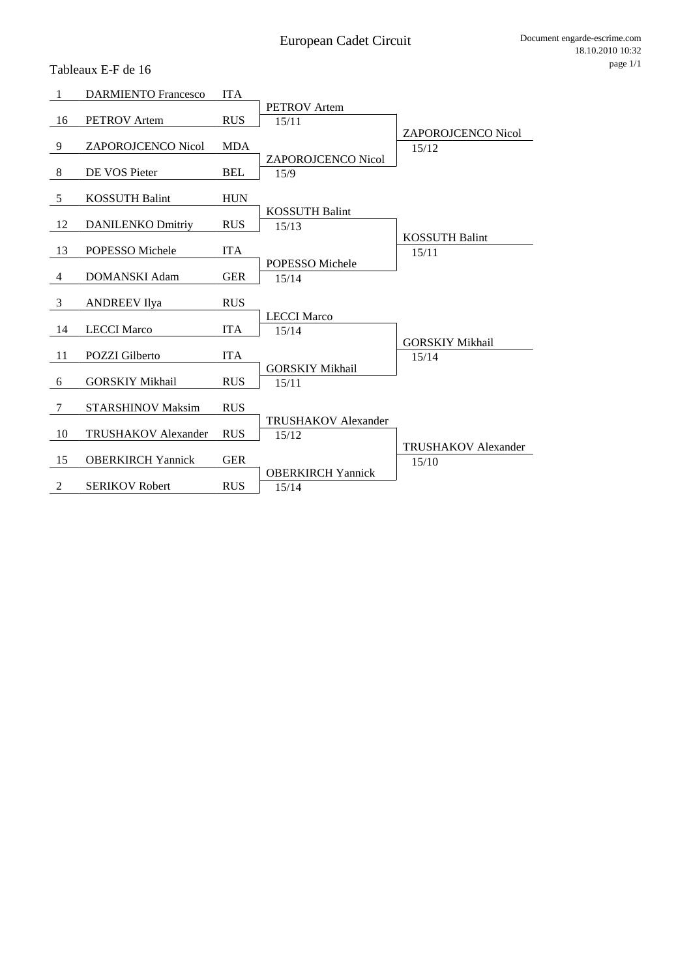| <b>ZAPOROJCENCO Nicol</b>  |
|----------------------------|
|                            |
|                            |
|                            |
|                            |
|                            |
|                            |
|                            |
|                            |
|                            |
|                            |
|                            |
|                            |
|                            |
|                            |
|                            |
|                            |
|                            |
|                            |
|                            |
|                            |
|                            |
|                            |
|                            |
| <b>TRUSHAKOV Alexander</b> |
|                            |
|                            |
|                            |

Tableaux E-F de 16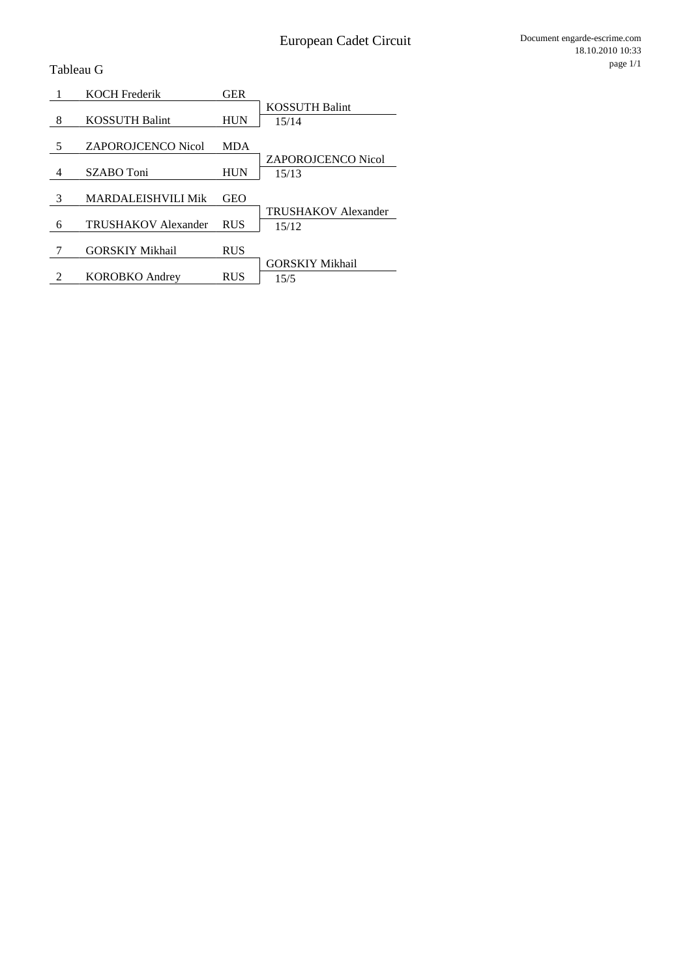Tableau G

|   | <b>KOCH Frederik</b>      | <b>GER</b> |                            |
|---|---------------------------|------------|----------------------------|
|   |                           |            | <b>KOSSUTH Balint</b>      |
| 8 | <b>KOSSUTH Balint</b>     | <b>HUN</b> | 15/14                      |
|   |                           |            |                            |
| 5 | <b>ZAPOROJCENCO Nicol</b> | <b>MDA</b> |                            |
|   |                           |            | <b>ZAPOROJCENCO Nicol</b>  |
| 4 | SZABO Toni                | <b>HUN</b> | 15/13                      |
|   |                           |            |                            |
| 3 | <b>MARDALEISHVILI Mik</b> | <b>GEO</b> |                            |
|   |                           |            | <b>TRUSHAKOV Alexander</b> |
| 6 | TRUSHAKOV Alexander       | <b>RUS</b> | 15/12                      |
|   |                           |            |                            |
|   | <b>GORSKIY Mikhail</b>    | <b>RUS</b> |                            |
|   |                           |            | <b>GORSKIY Mikhail</b>     |
| 2 | <b>KOROBKO</b> Andrey     | <b>RUS</b> | 15/5                       |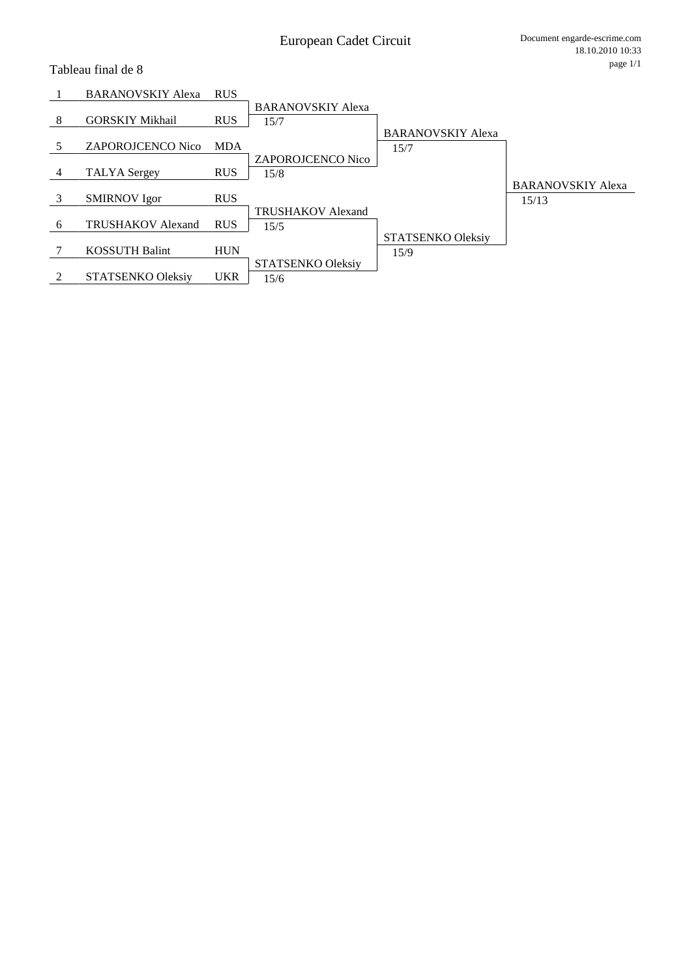### Tableau final de 8

|   | <b>BARANOVSKIY Alexa</b> | <b>RUS</b> |                          |                          |                          |
|---|--------------------------|------------|--------------------------|--------------------------|--------------------------|
|   |                          |            | <b>BARANOVSKIY Alexa</b> |                          |                          |
| 8 | <b>GORSKIY Mikhail</b>   | <b>RUS</b> | 15/7                     |                          |                          |
|   |                          |            |                          | <b>BARANOVSKIY Alexa</b> |                          |
|   | <b>ZAPOROJCENCO Nico</b> | <b>MDA</b> |                          | 15/7                     |                          |
|   |                          |            | <b>ZAPOROJCENCO Nico</b> |                          |                          |
| 4 | <b>TALYA</b> Sergey      | <b>RUS</b> | 15/8                     |                          |                          |
|   |                          |            |                          |                          | <b>BARANOVSKIY Alexa</b> |
| 3 | <b>SMIRNOV</b> Igor      | <b>RUS</b> |                          |                          | 15/13                    |
|   |                          |            | <b>TRUSHAKOV Alexand</b> |                          |                          |
| 6 | <b>TRUSHAKOV Alexand</b> | <b>RUS</b> | 15/5                     |                          |                          |
|   |                          |            |                          | STATSENKO Oleksiy        |                          |
|   | <b>KOSSUTH Balint</b>    | <b>HUN</b> |                          | 15/9                     |                          |
|   |                          |            | STATSENKO Oleksiy        |                          |                          |
|   | <b>STATSENKO Oleksiv</b> | <b>UKR</b> | 15/6                     |                          |                          |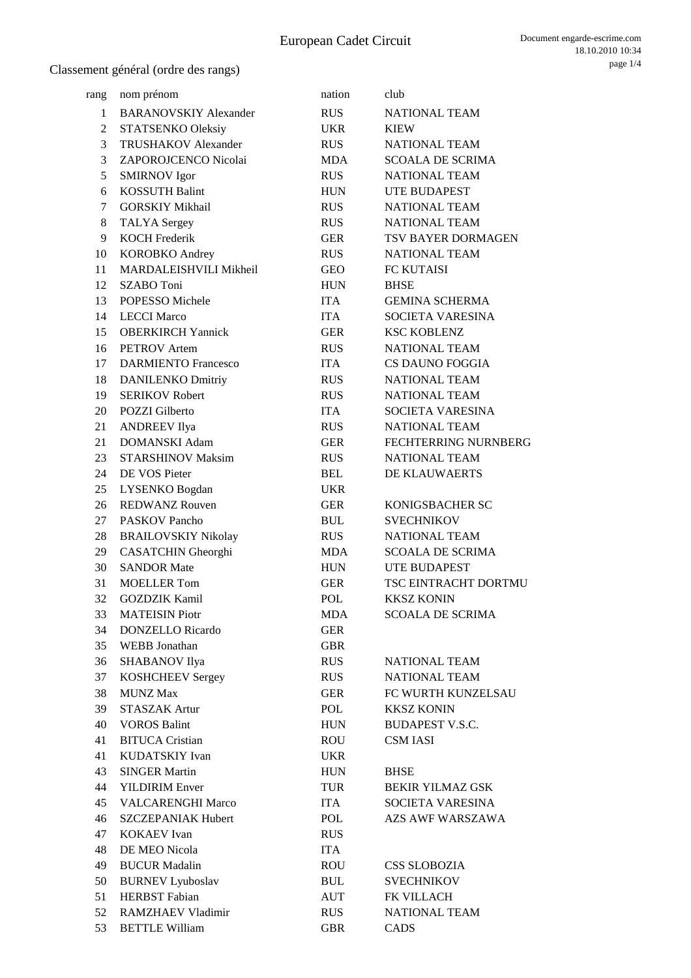| rang           | nom prénom                                    | nation     | club                                  |
|----------------|-----------------------------------------------|------------|---------------------------------------|
| 1              | <b>BARANOVSKIY Alexander</b>                  | <b>RUS</b> | <b>NATIONAL TEAM</b>                  |
| $\overline{2}$ | STATSENKO Oleksiy                             | <b>UKR</b> | KIEW                                  |
| 3              | <b>TRUSHAKOV</b> Alexander                    | <b>RUS</b> | NATIONAL TEAM                         |
| 3              | ZAPOROJCENCO Nicolai                          | <b>MDA</b> | <b>SCOALA DE SCRIMA</b>               |
| 5              | <b>SMIRNOV</b> Igor                           | <b>RUS</b> | <b>NATIONAL TEAM</b>                  |
| 6              | <b>KOSSUTH Balint</b>                         | <b>HUN</b> | UTE BUDAPEST                          |
| 7              | <b>GORSKIY Mikhail</b>                        | <b>RUS</b> | NATIONAL TEAM                         |
| 8              | <b>TALYA</b> Sergey                           | <b>RUS</b> | <b>NATIONAL TEAM</b>                  |
| 9              | <b>KOCH Frederik</b>                          | <b>GER</b> | TSV BAYER DORMAGEN                    |
| 10             | <b>KOROBKO</b> Andrey                         | <b>RUS</b> | <b>NATIONAL TEAM</b>                  |
| 11             | MARDALEISHVILI Mikheil                        | <b>GEO</b> | FC KUTAISI                            |
| 12             | SZABO Toni                                    | <b>HUN</b> | <b>BHSE</b>                           |
| 13             | POPESSO Michele                               | <b>ITA</b> | <b>GEMINA SCHERMA</b>                 |
| 14             | <b>LECCI Marco</b>                            | <b>ITA</b> | <b>SOCIETA VARESINA</b>               |
| 15             | <b>OBERKIRCH Yannick</b>                      | <b>GER</b> | <b>KSC KOBLENZ</b>                    |
| 16             | <b>PETROV</b> Artem                           | <b>RUS</b> | <b>NATIONAL TEAM</b>                  |
| 17             | <b>DARMIENTO Francesco</b>                    | <b>ITA</b> | CS DAUNO FOGGIA                       |
| 18             | <b>DANILENKO Dmitriy</b>                      | <b>RUS</b> | NATIONAL TEAM                         |
| 19             | <b>SERIKOV Robert</b>                         | <b>RUS</b> | <b>NATIONAL TEAM</b>                  |
| 20             | <b>POZZI</b> Gilberto                         | <b>ITA</b> | SOCIETA VARESINA                      |
| 21             | <b>ANDREEV Ilya</b>                           | <b>RUS</b> | NATIONAL TEAM                         |
| 21             | <b>DOMANSKI Adam</b>                          | <b>GER</b> | FECHTERRING NURNBERG                  |
| 23             | <b>STARSHINOV Maksim</b>                      | <b>RUS</b> | <b>NATIONAL TEAM</b>                  |
| 24             | DE VOS Pieter                                 | <b>BEL</b> |                                       |
| 25             |                                               | <b>UKR</b> | DE KLAUWAERTS                         |
|                | LYSENKO Bogdan                                |            |                                       |
| 26             | <b>REDWANZ Rouven</b>                         | <b>GER</b> | KONIGSBACHER SC                       |
| 27             | PASKOV Pancho                                 | <b>BUL</b> | <b>SVECHNIKOV</b>                     |
| 28             | <b>BRAILOVSKIY Nikolay</b>                    | <b>RUS</b> | <b>NATIONAL TEAM</b>                  |
| 29             | CASATCHIN Gheorghi                            | MDA        | <b>SCOALA DE SCRIMA</b>               |
| 30             | <b>SANDOR Mate</b>                            | <b>HUN</b> | UTE BUDAPEST                          |
| 31             | <b>MOELLER</b> Tom                            | <b>GER</b> | TSC EINTRACHT DORTMU                  |
| 32             | <b>GOZDZIK Kamil</b><br><b>MATEISIN Piotr</b> | POL        | <b>KKSZ KONIN</b>                     |
| 33             |                                               | <b>MDA</b> | <b>SCOALA DE SCRIMA</b>               |
| 34             | <b>DONZELLO</b> Ricardo                       | <b>GER</b> |                                       |
| 35             | WEBB Jonathan                                 | <b>GBR</b> |                                       |
| 36             | SHABANOV Ilya                                 | <b>RUS</b> | <b>NATIONAL TEAM</b><br>NATIONAL TEAM |
| 37             | <b>KOSHCHEEV Sergey</b>                       | <b>RUS</b> |                                       |
| 38             | <b>MUNZ Max</b>                               | <b>GER</b> | FC WURTH KUNZELSAU                    |
| 39             | <b>STASZAK Artur</b>                          | POL        | <b>KKSZ KONIN</b>                     |
| 40             | <b>VOROS Balint</b>                           | <b>HUN</b> | <b>BUDAPEST V.S.C.</b>                |
| 41             | <b>BITUCA Cristian</b>                        | ROU        | <b>CSM IASI</b>                       |
| 41             | KUDATSKIY Ivan                                | <b>UKR</b> |                                       |
| 43             | <b>SINGER Martin</b>                          | <b>HUN</b> | <b>BHSE</b>                           |
| 44             | <b>YILDIRIM Enver</b>                         | <b>TUR</b> | <b>BEKIR YILMAZ GSK</b>               |
| 45             | <b>VALCARENGHI Marco</b>                      | <b>ITA</b> | SOCIETA VARESINA                      |
| 46             | <b>SZCZEPANIAK Hubert</b>                     | POL        | AZS AWF WARSZAWA                      |
| 47             | <b>KOKAEV</b> Ivan                            | <b>RUS</b> |                                       |
| 48             | DE MEO Nicola                                 | <b>ITA</b> |                                       |
| 49             | <b>BUCUR Madalin</b>                          | <b>ROU</b> | <b>CSS SLOBOZIA</b>                   |
| 50             | <b>BURNEV Lyuboslav</b>                       | <b>BUL</b> | <b>SVECHNIKOV</b>                     |
| 51             | <b>HERBST</b> Fabian                          | <b>AUT</b> | FK VILLACH                            |
| 52             | <b>RAMZHAEV Vladimir</b>                      | <b>RUS</b> | <b>NATIONAL TEAM</b>                  |
| 53             | <b>BETTLE William</b>                         | <b>GBR</b> | CADS                                  |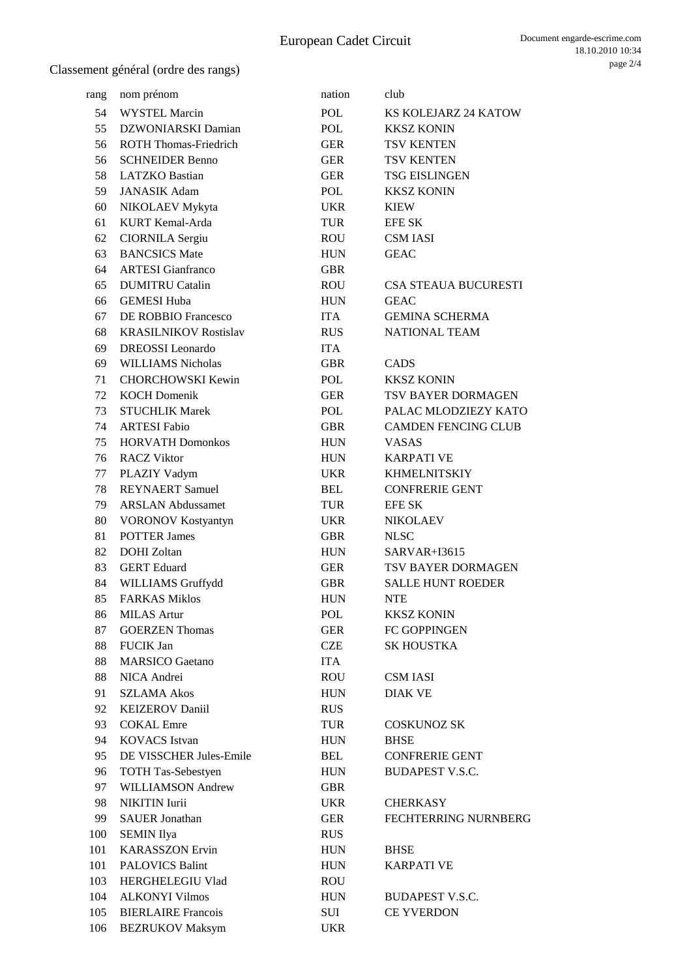| rang | nom prénom                   | nation     | club                        |
|------|------------------------------|------------|-----------------------------|
| 54   | <b>WYSTEL Marcin</b>         | <b>POL</b> | KS KOLEJARZ 24 KATOW        |
| 55   | DZWONIARSKI Damian           | POL        | <b>KKSZ KONIN</b>           |
| 56   | <b>ROTH Thomas-Friedrich</b> | <b>GER</b> | <b>TSV KENTEN</b>           |
| 56   | <b>SCHNEIDER Benno</b>       | <b>GER</b> | <b>TSV KENTEN</b>           |
| 58   | <b>LATZKO</b> Bastian        | <b>GER</b> | <b>TSG EISLINGEN</b>        |
| 59   | <b>JANASIK Adam</b>          | <b>POL</b> | <b>KKSZ KONIN</b>           |
| 60   | NIKOLAEV Mykyta              | <b>UKR</b> | <b>KIEW</b>                 |
| 61   | KURT Kemal-Arda              | <b>TUR</b> | <b>EFE SK</b>               |
| 62   | <b>CIORNILA Sergiu</b>       | ROU        | <b>CSM IASI</b>             |
| 63   | <b>BANCSICS Mate</b>         | <b>HUN</b> | <b>GEAC</b>                 |
| 64   | <b>ARTESI</b> Gianfranco     | <b>GBR</b> |                             |
| 65   | <b>DUMITRU Catalin</b>       | <b>ROU</b> | <b>CSA STEAUA BUCURESTI</b> |
| 66   | <b>GEMESI Huba</b>           | <b>HUN</b> | <b>GEAC</b>                 |
| 67   | DE ROBBIO Francesco          | <b>ITA</b> | <b>GEMINA SCHERMA</b>       |
| 68   | <b>KRASILNIKOV Rostislav</b> | <b>RUS</b> | <b>NATIONAL TEAM</b>        |
| 69   | <b>DREOSSI</b> Leonardo      | <b>ITA</b> |                             |
| 69   | <b>WILLIAMS Nicholas</b>     | <b>GBR</b> | CADS                        |
| 71   | <b>CHORCHOWSKI Kewin</b>     | POL        | <b>KKSZ KONIN</b>           |
| 72   | <b>KOCH Domenik</b>          | <b>GER</b> | TSV BAYER DORMAGEN          |
| 73   | <b>STUCHLIK Marek</b>        | POL        | PALAC MLODZIEZY KATO        |
| 74   | <b>ARTESI Fabio</b>          | <b>GBR</b> | <b>CAMDEN FENCING CLUB</b>  |
| 75   | <b>HORVATH Domonkos</b>      | <b>HUN</b> | <b>VASAS</b>                |
| 76   | <b>RACZ Viktor</b>           | <b>HUN</b> | <b>KARPATI VE</b>           |
| 77   | PLAZIY Vadym                 | <b>UKR</b> | <b>KHMELNITSKIY</b>         |
| 78   | <b>REYNAERT</b> Samuel       | <b>BEL</b> | <b>CONFRERIE GENT</b>       |
| 79   | <b>ARSLAN Abdussamet</b>     | <b>TUR</b> | <b>EFE SK</b>               |
| 80   | <b>VORONOV Kostyantyn</b>    | <b>UKR</b> | <b>NIKOLAEV</b>             |
| 81   | <b>POTTER James</b>          | <b>GBR</b> | <b>NLSC</b>                 |
| 82   | <b>DOHI</b> Zoltan           | <b>HUN</b> | SARVAR+I3615                |
| 83   | <b>GERT</b> Eduard           | GER        | TSV BAYER DORMAGEN          |
| 84   | WILLIAMS Gruffydd            | <b>GBR</b> | <b>SALLE HUNT ROEDER</b>    |
| 85   | <b>FARKAS Miklos</b>         | <b>HUN</b> | <b>NTE</b>                  |
| 86   | <b>MILAS Artur</b>           | <b>POL</b> | <b>KKSZ KONIN</b>           |
| 87   | <b>GOERZEN</b> Thomas        | <b>GER</b> | FC GOPPINGEN                |
| 88   | <b>FUCIK Jan</b>             | <b>CZE</b> | <b>SK HOUSTKA</b>           |
| 88   | <b>MARSICO</b> Gaetano       | <b>ITA</b> |                             |
| 88   | NICA Andrei                  | <b>ROU</b> | <b>CSM IASI</b>             |
| 91   | <b>SZLAMA Akos</b>           | <b>HUN</b> | <b>DIAK VE</b>              |
| 92   | <b>KEIZEROV Daniil</b>       | <b>RUS</b> |                             |
| 93   | <b>COKAL</b> Emre            | <b>TUR</b> | <b>COSKUNOZ SK</b>          |
| 94   | <b>KOVACS</b> Istvan         | <b>HUN</b> | <b>BHSE</b>                 |
| 95   | DE VISSCHER Jules-Emile      | <b>BEL</b> | <b>CONFRERIE GENT</b>       |
| 96   | <b>TOTH Tas-Sebestyen</b>    | <b>HUN</b> | <b>BUDAPEST V.S.C.</b>      |
| 97   | <b>WILLIAMSON Andrew</b>     | <b>GBR</b> |                             |
| 98   | NIKITIN Iurii                | <b>UKR</b> | <b>CHERKASY</b>             |
| 99   | <b>SAUER</b> Jonathan        | <b>GER</b> | <b>FECHTERRING NURNBERG</b> |
| 100  | <b>SEMIN Ilya</b>            | <b>RUS</b> |                             |
| 101  | <b>KARASSZON Ervin</b>       | <b>HUN</b> | <b>BHSE</b>                 |
| 101  | <b>PALOVICS Balint</b>       | <b>HUN</b> | <b>KARPATI VE</b>           |
| 103  | HERGHELEGIU Vlad             | <b>ROU</b> |                             |
| 104  | <b>ALKONYI Vilmos</b>        | <b>HUN</b> | <b>BUDAPEST V.S.C.</b>      |
| 105  | <b>BIERLAIRE</b> Francois    | SUI        | <b>CE YVERDON</b>           |
| 106  | <b>BEZRUKOV Maksym</b>       | <b>UKR</b> |                             |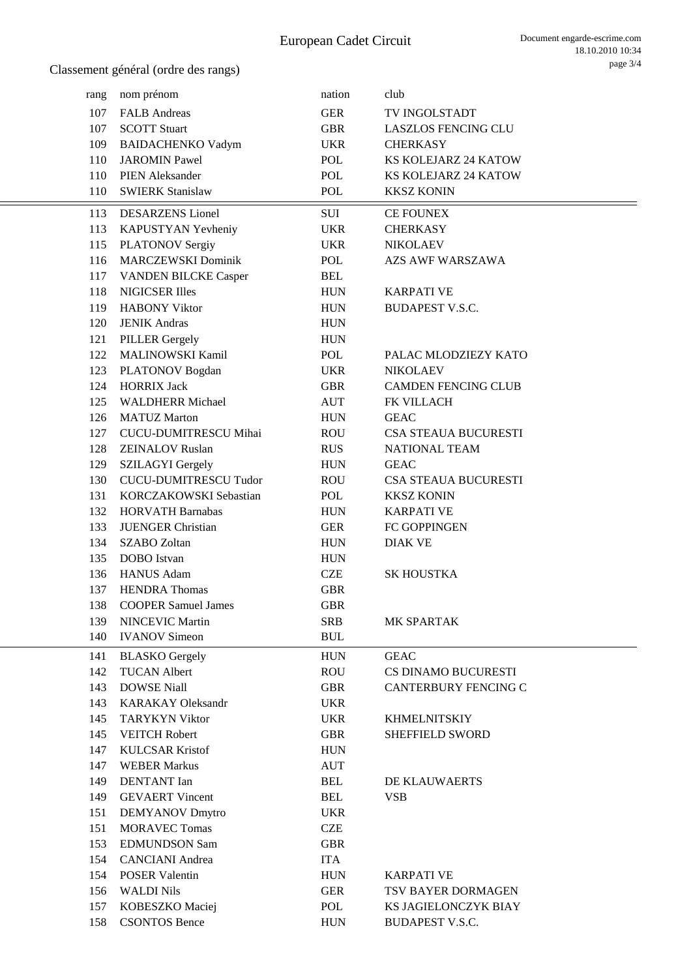| rang | nom prénom                   | nation     | club                        |
|------|------------------------------|------------|-----------------------------|
| 107  | <b>FALB</b> Andreas          | <b>GER</b> | <b>TV INGOLSTADT</b>        |
| 107  | <b>SCOTT Stuart</b>          | <b>GBR</b> | <b>LASZLOS FENCING CLU</b>  |
| 109  | <b>BAIDACHENKO Vadym</b>     | <b>UKR</b> | <b>CHERKASY</b>             |
| 110  | <b>JAROMIN Pawel</b>         | POL        | KS KOLEJARZ 24 KATOW        |
| 110  | <b>PIEN Aleksander</b>       | POL        | KS KOLEJARZ 24 KATOW        |
| 110  | <b>SWIERK Stanislaw</b>      | POL        | <b>KKSZ KONIN</b>           |
| 113  | <b>DESARZENS</b> Lionel      | SUI        | CE FOUNEX                   |
| 113  | KAPUSTYAN Yevheniy           | <b>UKR</b> | <b>CHERKASY</b>             |
| 115  | <b>PLATONOV Sergiy</b>       | <b>UKR</b> | <b>NIKOLAEV</b>             |
| 116  | <b>MARCZEWSKI Dominik</b>    | POL        | <b>AZS AWF WARSZAWA</b>     |
| 117  | <b>VANDEN BILCKE Casper</b>  | <b>BEL</b> |                             |
| 118  | <b>NIGICSER Illes</b>        | <b>HUN</b> | <b>KARPATI VE</b>           |
| 119  | <b>HABONY Viktor</b>         | <b>HUN</b> | <b>BUDAPEST V.S.C.</b>      |
| 120  | <b>JENIK Andras</b>          | <b>HUN</b> |                             |
| 121  | <b>PILLER Gergely</b>        | <b>HUN</b> |                             |
| 122  | MALINOWSKI Kamil             | POL        | PALAC MLODZIEZY KATO        |
| 123  | PLATONOV Bogdan              | <b>UKR</b> | <b>NIKOLAEV</b>             |
| 124  | <b>HORRIX Jack</b>           | <b>GBR</b> | <b>CAMDEN FENCING CLUB</b>  |
| 125  | <b>WALDHERR Michael</b>      | <b>AUT</b> | FK VILLACH                  |
| 126  | <b>MATUZ Marton</b>          | <b>HUN</b> | <b>GEAC</b>                 |
| 127  | CUCU-DUMITRESCU Mihai        | <b>ROU</b> | <b>CSA STEAUA BUCURESTI</b> |
| 128  | <b>ZEINALOV Ruslan</b>       | <b>RUS</b> | <b>NATIONAL TEAM</b>        |
| 129  | <b>SZILAGYI Gergely</b>      | <b>HUN</b> | <b>GEAC</b>                 |
| 130  | <b>CUCU-DUMITRESCU Tudor</b> | <b>ROU</b> | <b>CSA STEAUA BUCURESTI</b> |
| 131  | KORCZAKOWSKI Sebastian       | POL        | <b>KKSZ KONIN</b>           |
| 132  | <b>HORVATH Barnabas</b>      | <b>HUN</b> | <b>KARPATI VE</b>           |
| 133  | <b>JUENGER Christian</b>     | <b>GER</b> | FC GOPPINGEN                |
| 134  | <b>SZABO</b> Zoltan          | <b>HUN</b> | <b>DIAK VE</b>              |
| 135  | DOBO Istvan                  | <b>HUN</b> |                             |
| 136  | <b>HANUS Adam</b>            | <b>CZE</b> | <b>SK HOUSTKA</b>           |
| 137  | <b>HENDRA</b> Thomas         | <b>GBR</b> |                             |
|      | 138 COOPER Samuel James      | <b>GBR</b> |                             |
| 139  | <b>NINCEVIC Martin</b>       | <b>SRB</b> | MK SPARTAK                  |
| 140  | <b>IVANOV</b> Simeon         | <b>BUL</b> |                             |
| 141  | <b>BLASKO</b> Gergely        | <b>HUN</b> | <b>GEAC</b>                 |
| 142  | <b>TUCAN Albert</b>          | <b>ROU</b> | CS DINAMO BUCURESTI         |
| 143  | <b>DOWSE Niall</b>           | <b>GBR</b> | <b>CANTERBURY FENCING C</b> |
| 143  | <b>KARAKAY Oleksandr</b>     | <b>UKR</b> |                             |
| 145  | <b>TARYKYN Viktor</b>        | <b>UKR</b> | <b>KHMELNITSKIY</b>         |
| 145  | <b>VEITCH Robert</b>         | <b>GBR</b> | <b>SHEFFIELD SWORD</b>      |
| 147  | <b>KULCSAR Kristof</b>       | <b>HUN</b> |                             |
| 147  | <b>WEBER Markus</b>          | <b>AUT</b> |                             |
| 149  | <b>DENTANT</b> Ian           | <b>BEL</b> | DE KLAUWAERTS               |
| 149  | <b>GEVAERT</b> Vincent       | <b>BEL</b> | <b>VSB</b>                  |
| 151  | <b>DEMYANOV</b> Dmytro       | <b>UKR</b> |                             |
| 151  | <b>MORAVEC Tomas</b>         | <b>CZE</b> |                             |
| 153  | <b>EDMUNDSON Sam</b>         | <b>GBR</b> |                             |
| 154  | <b>CANCIANI</b> Andrea       | <b>ITA</b> |                             |
| 154  | <b>POSER Valentin</b>        | <b>HUN</b> | <b>KARPATI VE</b>           |
| 156  | <b>WALDI Nils</b>            | <b>GER</b> | TSV BAYER DORMAGEN          |
| 157  | KOBESZKO Maciej              | POL        | KS JAGIELONCZYK BIAY        |
| 158  | <b>CSONTOS Bence</b>         | <b>HUN</b> | <b>BUDAPEST V.S.C.</b>      |